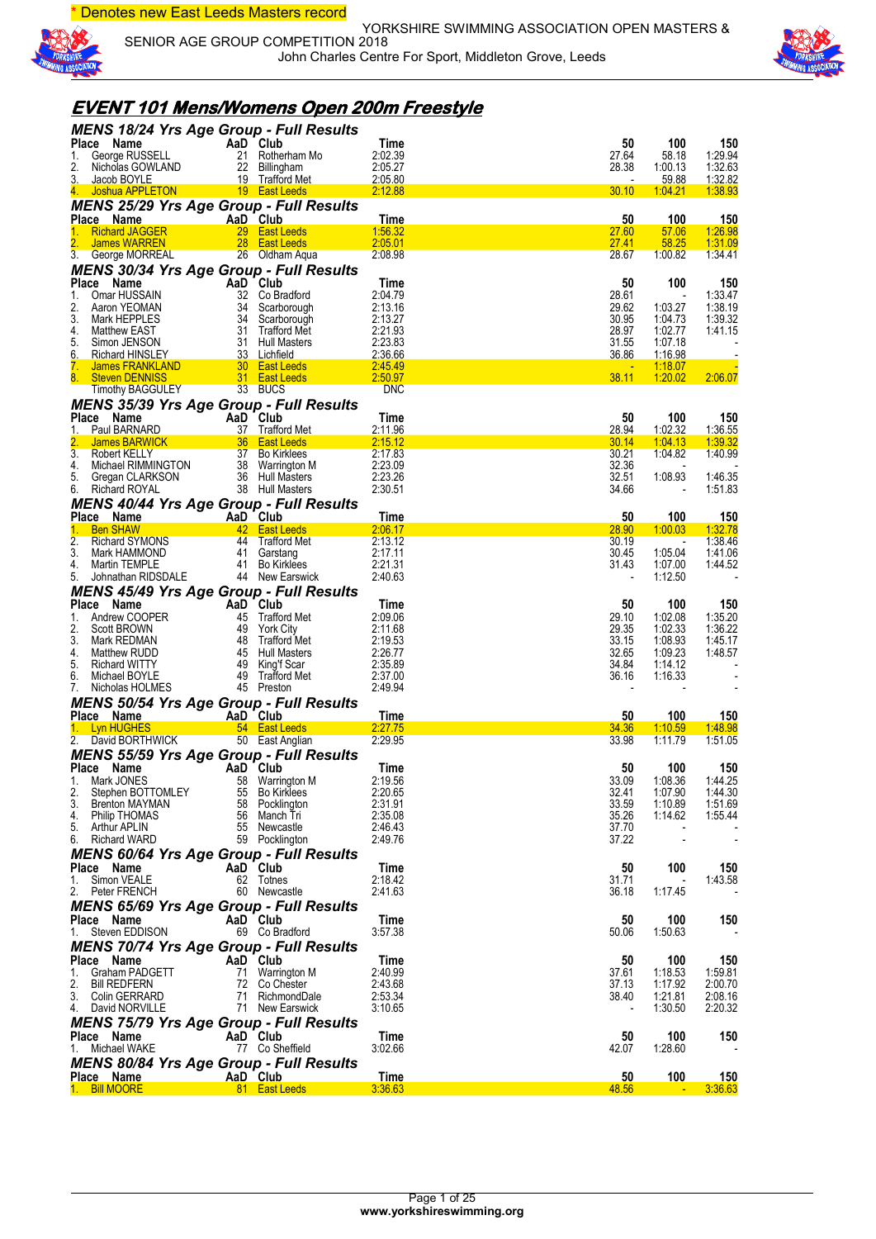\* Denotes new East Leeds Masters record



YORKSHIRE SWIMMING ASSOCIATION OPEN MASTERS & SENIOR AGE GROUP COMPETITION 2018 John Charles Centre For Sport, Middleton Grove, Leeds



### **EVENT 101 Mens/Womens Open 200m Freestyle**

| <b>MENS 18/24 Yrs Age Group - Full Results</b>               |          |                                    |                       |                |                    |                       |
|--------------------------------------------------------------|----------|------------------------------------|-----------------------|----------------|--------------------|-----------------------|
| Place Name                                                   |          | AaD Club                           | Time                  | 50             | 100                | 150                   |
| George RUSSELL<br>1.                                         |          | 21 Rotherham Mo                    | 2:02.39               | 27.64          | 58.18              | 1:29.94               |
| 2.<br>Nicholas GOWLAND<br>3.<br>Jacob BOYLE                  |          | 22 Billingham<br>19 Trafford Met   | 2:05.27<br>2:05.80    | 28.38          | 1:00.13<br>59.88   | 1:32.63<br>1:32.82    |
| 4.<br>Joshua APPLETON                                        |          | 19 East Leeds                      | 2:12.88               | 30.10          | 1.04.21            | 1:38.93               |
| <b>MENS 25/29 Yrs Age Group - Full Results</b>               |          |                                    |                       |                |                    |                       |
| Place Name                                                   |          | AaD Club                           | Time                  | 50             | 100                | 150                   |
| <b>Richard JAGGER</b><br>1.                                  |          | 29 East Leeds                      | 1:56.32               | 27.60          | 57.06              | <u>1:26.98</u>        |
| James WARREN                                                 |          | 28 East Leeds                      | 2:05.01               | 27.41          | 58.25              | 1:31.09               |
| 3.<br>George MORREAL                                         |          | 26 Oldham Aqua                     | 2:08.98               | 28.67          | 1:00.82            | 1:34.41               |
| <b>MENS 30/34 Yrs Age Group - Full Results</b>               |          |                                    |                       |                |                    |                       |
| Place Name                                                   |          | AaD Club                           | Time                  | 50             | 100                | 150                   |
| Omar HUSSAIN<br>1.<br>2.<br>Aaron YEOMAN                     |          | 32 Co Bradford<br>34 Scarborough   | 2:04.79<br>2:13.16    | 28.61<br>29.62 | 1:03.27            | 1:33.47<br>1:38.19    |
| 3.<br>Mark HEPPLES                                           |          | 34 Scarborough                     | 2:13.27               | 30.95          | 1:04.73            | 1:39.32               |
| 4.<br>Matthew EAST                                           |          | 31 Trafford Met                    | 2:21.93               | 28.97          | 1:02.77            | 1:41.15               |
| 5.<br>Simon JENSON                                           |          | 31 Hull Masters                    | 2:23.83               | 31.55          | 1:07.18            |                       |
| 6.<br><b>Richard HINSLEY</b>                                 |          | 33 Lichfield                       | 2:36.66               | 36.86          | <u>1:16.98</u>     |                       |
| 7.<br>James FRANKLAND                                        |          | 30 East Leeds                      | 2:45.49               |                | <u>1:18.07</u>     |                       |
| 8.<br><b>Steven DENNISS</b><br><b>Timothy BAGGULEY</b>       |          | 31 East Leeds<br>33 BUCS           | 2:50.97<br><b>DNC</b> | 38.11          | 1:20.02            | 2:06.07               |
|                                                              |          |                                    |                       |                |                    |                       |
| <b>MENS 35/39 Yrs Age Group - Full Results</b><br>Place Name |          | AaD Club                           | Time                  | 50             | 100                | 150                   |
| Paul BARNARD<br>1.                                           |          | 37 Trafford Met                    | 2:11.96               | 28.94          | 1:02.32            | 1:36.55               |
| 2.<br><b>James BARWICK</b>                                   |          | 36 East Leeds                      | 2:15.12               | 30.14          | 1:04.13            | 1:39.32               |
| $\overline{3}$ .<br>Robert KELLY                             |          | 37 Bo Kirklees                     | 2:17.83               | 30.21          | 1:04.82            | 1:40.99               |
| 4.<br>Michael RIMMINGTON                                     |          | 38 Warrington M                    | 2:23.09               | 32.36          |                    |                       |
| 5.<br>Gregan CLARKSON                                        |          | 36 Hull Masters                    | 2:23.26               | 32.51          | 1:08.93            | 1:46.35               |
| 6.<br><b>Richard ROYAL</b>                                   |          | 38 Hull Masters                    | 2:30.51               | 34.66          |                    | 1:51.83               |
| <b>MENS 40/44 Yrs Age Group - Full Results</b>               |          |                                    |                       |                |                    |                       |
| Place Name<br><b>Ben SHAW</b><br>1.                          | AaD Club | 42 East Leeds                      | Time<br>2:06.17       | 50<br>28.90    | 100                | <b>150</b><br>1:32.78 |
| 2.<br><b>Richard SYMONS</b>                                  |          | 44 Trafford Met                    | 2:13.12               | 30.19          | 1:00.03            | 1:38.46               |
| 3.<br>Mark HAMMOND                                           |          | 41 Garstang                        | 2:17.11               | 30.45          | 1:05.04            | 1:41.06               |
| 4.<br>Martin TEMPLE                                          | 41       | <b>Bo Kirklees</b>                 | 2:21.31               | 31.43          | 1:07.00            | 1:44.52               |
| 5.<br>Johnathan RIDSDALE                                     |          | 44 New Earswick                    | 2:40.63               |                | 1:12.50            |                       |
| <b>MENS 45/49 Yrs Age Group - Full Results</b>               |          |                                    |                       |                |                    |                       |
| Place Name                                                   |          | AaD Club                           | Time                  | 50             | 100                | 150                   |
| 1.<br>Andrew COOPER                                          |          | 45 Trafford Met                    | 2:09.06               | 29.10          | 1:02.08            | 1:35.20               |
| 2.<br>Scott BROWN                                            |          | 49 York City                       | 2:11.68               | 29.35          | 1:02.33            | 1:36.22               |
| 3.<br>Mark REDMAN<br>4.<br>Matthew RUDD                      |          | 48 Trafford Met<br>45 Hull Masters | 2:19.53<br>2:26.77    | 33.15<br>32.65 | 1:08.93<br>1:09.23 | 1:45.17<br>1:48.57    |
| 5.<br><b>Richard WITTY</b>                                   |          | 49 King'f Scar                     | 2:35.89               | 34.84          | 1:14.12            |                       |
| 6.<br>Michael BOYLE                                          |          | 49 Trafford Met                    | 2:37.00               | 36.16          | 1:16.33            |                       |
| Nicholas HOLMES<br>7.                                        |          | 45 Preston                         | 2:49.94               |                |                    |                       |
| <b>MENS 50/54 Yrs Age Group - Full Results</b>               |          |                                    |                       |                |                    |                       |
| Place Name                                                   |          | AaD Club                           | Time                  | 50             | 100                | <b>150</b>            |
| 1. Lyn HUGHES                                                |          | 54 East Leeds                      | 2:27.75               | 34.36          | 1:10.59            | 1:48.98               |
| 2. David BORTHWICK                                           |          | 50 East Anglian                    | 2:29.95               | 33.98          | 1:11.79            | 1:51.05               |
| <b>MENS 55/59 Yrs Age Group - Full Results</b>               |          |                                    |                       |                |                    |                       |
| Place Name                                                   |          | AaD Club                           | Time                  | 50             | 100                | 150                   |
| 1. Mark JONES<br>2.<br>Stephen BOTTOMLEY                     |          | 58 Warrington M<br>55 Bo Kirklees  | 2:19.56<br>2:20.65    | 33.09<br>32.41 | 1:08.36<br>1:07.90 | 1:44.25<br>1:44.30    |
| 3.<br>Brenton MAYMAN                                         |          | 58 Pocklington                     | 2:31.91               | 33.59          | 1:10.89            | 1:51.69               |
| <b>Philip THOMAS</b><br>4.                                   | 56       | Manch Tri                          | 2:35.08               | 35.26          | 1:14.62            | 1:55.44               |
| 5.<br>Arthur APLIN                                           |          | 55 Newcastle                       | 2:46.43               | 37.70          |                    |                       |
| 6.<br>Richard WARD                                           |          | 59 Pocklington                     | 2:49.76               | 37.22          |                    |                       |
| <b>MENS 60/64 Yrs Age Group - Full Results</b>               |          |                                    |                       |                |                    |                       |
| Place Name                                                   |          | AaD Club                           | Time                  | 50             | 100                | 150                   |
| Simon VEALE<br>1.                                            |          | 62 Totnes                          | 2:18.42               | 31.71          |                    | 1:43.58               |
| 2. Peter FRENCH                                              |          | 60 Newcastle                       | 2:41.63               | 36.18          | 1:17.45            |                       |
| <b>MENS 65/69 Yrs Age Group - Full Results</b>               |          |                                    |                       |                |                    |                       |
| Place Name<br>Steven EDDISON                                 |          | AaD Club                           | Time<br>3:57.38       | 50             | 100                | 150                   |
| 1.                                                           |          | 69 Co Bradford                     |                       | 50.06          | 1:50.63            |                       |
| <b>MENS 70/74 Yrs Age Group - Full Results</b>               |          |                                    |                       |                |                    |                       |
| Place Name<br>Graham PADGETT<br>1.                           |          | AaD Club<br>71 Warrington M        | Time<br>2:40.99       | 50<br>37.61    | 100<br>1:18.53     | 150<br>1:59.81        |
| 2.<br><b>Bill REDFERN</b>                                    |          | 72 Co Chester                      | 2:43.68               | 37.13          | 1:17.92            | 2:00.70               |
| 3.<br>Colin GERRARD                                          |          | 71 RichmondDale                    | 2:53.34               | 38.40          | 1:21.81            | 2:08.16               |
| 4.<br>David NORVILLE                                         |          | 71 New Earswick                    | 3:10.65               |                | 1:30.50            | 2:20.32               |
| <b>MENS 75/79 Yrs Age Group - Full Results</b>               |          |                                    |                       |                |                    |                       |
| Place Name                                                   |          | AaD Club                           | Time                  | 50             | 100                | 150                   |
| Michael WAKE<br>1.                                           |          | 77 Co Sheffield                    | 3:02.66               | 42.07          | 1:28.60            |                       |
| <b>MENS 80/84 Yrs Age Group - Full Results</b>               |          |                                    |                       |                |                    |                       |
| Place Name                                                   |          | AaD Club                           | Time                  | 50             | 100                | 150                   |
| 1. Bill MOORE                                                |          | 81 East Leeds                      | 3:36.63               | 48.56          |                    | 3:36.63               |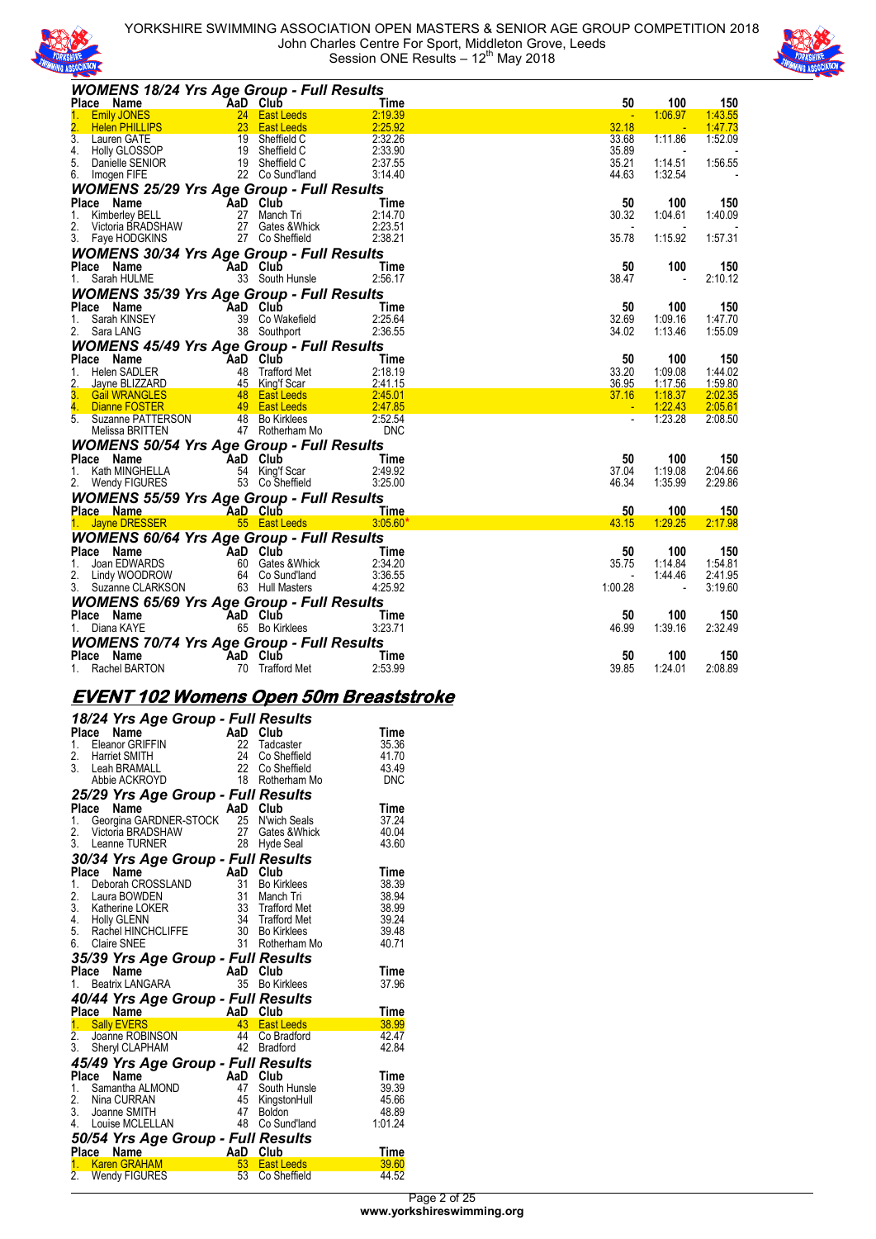



| <b>WOMENS 18/24 Yrs Age Group - Full Results</b>                                                                                                                        |                            |                                                                            |                       |                |                          |                          |
|-------------------------------------------------------------------------------------------------------------------------------------------------------------------------|----------------------------|----------------------------------------------------------------------------|-----------------------|----------------|--------------------------|--------------------------|
| Place Name<br>1. Emily JONES<br>2. Helen PHILLIPS<br>2. Helen PHILLIPS<br>3. Lauren GATE<br>4. Holly GLOSSOP<br>5. Danielle SENIOR<br>6. Imogen FIFE<br>22 Co Sund'land |                            |                                                                            | Time                  | 50             | 100                      | 150                      |
|                                                                                                                                                                         |                            |                                                                            | 2:19.39               |                | 1:06.97                  | 1:43.55                  |
|                                                                                                                                                                         |                            |                                                                            | 2:25.92               | 32.18          | - 4                      | 1:47.73                  |
|                                                                                                                                                                         |                            |                                                                            | 2:32.26               | 33.68          | 1:11.86                  | 1:52.09                  |
|                                                                                                                                                                         |                            |                                                                            | 2:33.90               | 35.89          | $\overline{\phantom{a}}$ | $\sim$                   |
|                                                                                                                                                                         |                            |                                                                            | 2:37.55               | 35.21          | 1:14.51                  | 1:56.55                  |
|                                                                                                                                                                         |                            | 22 Co Sund'land                                                            | 3:14.40               | 44.63          | 1:32.54                  | $\overline{\phantom{a}}$ |
| <b>WOMENS 25/29 Yrs Age Group - Full Results</b>                                                                                                                        |                            |                                                                            |                       |                |                          |                          |
| <b>Place Name</b><br>1. Kimberley BELL <b>7</b> 27 Manch Tri                                                                                                            |                            |                                                                            | Time                  | 50             | 100                      | 150                      |
|                                                                                                                                                                         |                            |                                                                            | 2:14.70               | 30.32          | 1:04.61                  | 1:40.09                  |
| 2.<br>Victoria BRADSHAW                                                                                                                                                 |                            | 27 Gates & Whick                                                           | 2:23.51               |                |                          |                          |
| 3. Faye HODGKINS                                                                                                                                                        |                            | V 27 Gates & vvnic<br>27 Co Sheffield                                      | 2:38.21               | 35.78          | 1:15.92                  | 1:57.31                  |
| <b>WOMENS 30/34 Yrs Age Group - Full Results</b>                                                                                                                        |                            |                                                                            |                       |                |                          |                          |
| Place Name                                                                                                                                                              | AaD Club                   |                                                                            | Time                  | 50             | 100                      | 150                      |
| 1. Sarah HULME                                                                                                                                                          |                            | 33 South Hunsle                                                            | 2:56.17               | 38.47          | $\overline{\phantom{a}}$ | 2:10.12                  |
| <b>WOMENS 35/39 Yrs Age Group - Full Results</b>                                                                                                                        |                            |                                                                            |                       |                |                          |                          |
| Place Name                                                                                                                                                              |                            | $AaD$ Club                                                                 | Time                  | 50             | 100                      | 150                      |
| 1. Sarah KINSEY                                                                                                                                                         |                            | 39 Co Wakefield                                                            | 2:25.64               | 32.69          | 1:09.16                  | 1:47.70                  |
| 2. Sara LANG                                                                                                                                                            |                            | 38 Southport                                                               | 2:36.55               | 34.02          | 1:13.46                  | 1:55.09                  |
| <b>WOMENS 45/49 Yrs Age Group - Full Results</b>                                                                                                                        |                            |                                                                            |                       |                |                          |                          |
| Place Name                                                                                                                                                              |                            |                                                                            | <b>Example 1</b> Time | 50             | 100                      | 150                      |
| 1. Helen SADLER                                                                                                                                                         |                            |                                                                            | 2:18.19               | 33.20          | 1:09.08                  | 1:44.02                  |
| Jayne BLIZZARD                                                                                                                                                          |                            |                                                                            | 2:41.15               | 36.95          | 1:17.56                  | 1:59.80                  |
| 3.<br><b>Gail WRANGLES</b>                                                                                                                                              |                            |                                                                            | 2:45.01               | 37.16          | 1:18.37                  | 2:02.35                  |
| 4. Dianne FOSTER                                                                                                                                                        |                            | Main Club<br>AaD Club<br>48 Trafford Met<br>48 East Leeds<br>49 East Leeds | 2:47.85               |                | 1:22.43                  | 2:05.61                  |
| 5.                                                                                                                                                                      |                            |                                                                            | 2:52.54               | $\blacksquare$ | 1:23.28                  | 2:08.50                  |
| Suzanne PATTERSON 48 Bo Kirklees<br>Melissa BRITTEN 47 Rotherham Mo                                                                                                     |                            |                                                                            | <b>DNC</b>            |                |                          |                          |
| <b>WOMENS 50/54 Yrs Age Group - Full Results</b>                                                                                                                        |                            |                                                                            |                       |                |                          |                          |
| Place Name                                                                                                                                                              | AaD Club                   |                                                                            | Time                  | 50             | 100                      | 150                      |
| 1. Kath MINGHELLA                                                                                                                                                       |                            |                                                                            | 2:49.92               | 37.04          | 1:19.08                  | 2:04.66                  |
| 2. Wendy FIGURES                                                                                                                                                        |                            | 54 King'f Scar<br>53 Co Sheffield<br>53 Co Sheffield                       | 3:25.00               | 46.34          | 1:35.99                  | 2:29.86                  |
| <b>WOMENS 55/59 Yrs Age Group - Full Results</b>                                                                                                                        |                            |                                                                            |                       |                |                          |                          |
| Place Name                                                                                                                                                              | <b>Example 20</b> AaD Club |                                                                            | <u>__Time</u>         | 50             | 100                      | 150                      |
| 1. Jayne DRESSER                                                                                                                                                        |                            | <b>East Leeds</b> 55 <b>East Leeds</b>                                     | $3:05.60*$            | 43.15          | 1:29.25                  | 2:17.98                  |
|                                                                                                                                                                         |                            |                                                                            |                       |                |                          |                          |
| <b>WOMENS 60/64 Yrs Age Group - Full Results</b><br>Place Name<br>1. Joan EDWARDS 60 Gates<br>2. Lindy WOODROW 64 Co.Sur                                                |                            |                                                                            |                       | 50             |                          |                          |
|                                                                                                                                                                         |                            |                                                                            | Time                  |                | 100                      | 150                      |
|                                                                                                                                                                         |                            | 60 Gates & Whick<br>64 Co Sund'land                                        | 2:34.20<br>3:36.55    | 35.75          | 1:14.84<br>1:44.46       | 1:54.81<br>2:41.95       |
| 3. Suzanne CLARKSON                                                                                                                                                     |                            | 63 Hull Masters                                                            | 4:25.92               | 1:00.28        | $\blacksquare$           | 3:19.60                  |
|                                                                                                                                                                         |                            |                                                                            |                       |                |                          |                          |
| <b>WOMENS 65/69 Yrs Age Group - Full Results</b>                                                                                                                        |                            |                                                                            |                       |                |                          |                          |
| Place Name    AaD Club                                                                                                                                                  |                            |                                                                            | Time                  | 50             | 100                      | 150                      |
| 1. Diana KAYE                                                                                                                                                           |                            | 65 Bo Kirklees                                                             | 3:23.71               | 46.99          | 1:39.16                  | 2:32.49                  |
| <b>WOMENS 70/74 Yrs Age Group - Full Results</b>                                                                                                                        |                            |                                                                            |                       |                |                          |                          |
| Place Name                                                                                                                                                              | TaaD Club                  |                                                                            | Time                  | 50             | 100                      | 150                      |
| 1. Rachel BARTON                                                                                                                                                        |                            | 70 Trafford Met                                                            | 2:53.99               | 39.85          | 1:24.01                  | 2:08.89                  |

### **EVENT 102 Womens Open 50m Breaststroke**

| AaD Club<br>Place<br>Name<br>Flace Name<br>1. Eleanor GRIFFIN<br>22<br>35.36<br>Tadcaster<br>24<br>2. Harriet SMITH<br>Co Sheffield<br>41.70<br>3. Leah BRAMALL<br>22<br>43.49<br>Co Sheffield<br>18 Rotherham Mo<br><b>DNC</b><br>Abbie ACKROYD<br>25/29 Yrs Age Group - Full Results<br>AaD Club<br>Place<br>Name<br>Time<br><b>Place Name</b><br>1. Georgina GARDNER-STOCK<br>25 N'wich Seals<br>27 Gates & Whick<br>2. Victoria BRADSHAW<br>3. Leanne TURNER<br>28 Hyde Seal<br>30/34 Yrs Age Group - Full Results<br>AaD Club<br>Place<br>Name<br><b>Place Name A</b><br>1. Deborah CROSSLAND<br>2. Laura BOWDEN<br>3. Katherine LOKER<br>4. Holly GLENN<br>5. Rachel HINCHCLIFFE<br>6. Claire SNEE<br>31<br><b>Bo Kirklees</b><br>31<br>38.94<br>Manch Tri<br>33 Trafford Met<br>38.99<br>34 Trafford Met<br>30 Bo Kirklees<br>39.24<br>39.48<br>6. Claire SNEE<br>31 Rotherham Mo<br>40.71<br>35/39 Yrs Age Group - Full Results<br>Place<br><b>Bo Kirklees</b><br>1.<br>40/44 Yrs Age Group - Full Results<br>Aap Club<br>Place Name<br>Sally EVERS 43<br>Joanne ROBINSON 44<br>1. Sally EVERS<br><b>East Leeds</b><br>2.<br>Co Bradford<br>42 Bradford<br>3. Sheryl CLAPHAM<br>45/49 Yrs Age Group - Full Results<br>AaD Club<br>Place<br>Name<br>47<br>1. Samantha ALMOND<br>South Hunsle<br>2. Nina CURRAN<br>45<br>KingstonHull<br>3. Joanne SMITH<br>47<br>Boldon<br>48<br>4. Louise MCLELLAN<br>Co Sund'land<br>50/54 Yrs Age Group - Full Results | 18/24 Yrs Age Group - Full Results |  |               |
|------------------------------------------------------------------------------------------------------------------------------------------------------------------------------------------------------------------------------------------------------------------------------------------------------------------------------------------------------------------------------------------------------------------------------------------------------------------------------------------------------------------------------------------------------------------------------------------------------------------------------------------------------------------------------------------------------------------------------------------------------------------------------------------------------------------------------------------------------------------------------------------------------------------------------------------------------------------------------------------------------------------------------------------------------------------------------------------------------------------------------------------------------------------------------------------------------------------------------------------------------------------------------------------------------------------------------------------------------------------------------------------------------------------------------------------------------------------|------------------------------------|--|---------------|
|                                                                                                                                                                                                                                                                                                                                                                                                                                                                                                                                                                                                                                                                                                                                                                                                                                                                                                                                                                                                                                                                                                                                                                                                                                                                                                                                                                                                                                                                  |                                    |  | Time          |
|                                                                                                                                                                                                                                                                                                                                                                                                                                                                                                                                                                                                                                                                                                                                                                                                                                                                                                                                                                                                                                                                                                                                                                                                                                                                                                                                                                                                                                                                  |                                    |  |               |
|                                                                                                                                                                                                                                                                                                                                                                                                                                                                                                                                                                                                                                                                                                                                                                                                                                                                                                                                                                                                                                                                                                                                                                                                                                                                                                                                                                                                                                                                  |                                    |  |               |
|                                                                                                                                                                                                                                                                                                                                                                                                                                                                                                                                                                                                                                                                                                                                                                                                                                                                                                                                                                                                                                                                                                                                                                                                                                                                                                                                                                                                                                                                  |                                    |  |               |
|                                                                                                                                                                                                                                                                                                                                                                                                                                                                                                                                                                                                                                                                                                                                                                                                                                                                                                                                                                                                                                                                                                                                                                                                                                                                                                                                                                                                                                                                  |                                    |  |               |
|                                                                                                                                                                                                                                                                                                                                                                                                                                                                                                                                                                                                                                                                                                                                                                                                                                                                                                                                                                                                                                                                                                                                                                                                                                                                                                                                                                                                                                                                  |                                    |  |               |
|                                                                                                                                                                                                                                                                                                                                                                                                                                                                                                                                                                                                                                                                                                                                                                                                                                                                                                                                                                                                                                                                                                                                                                                                                                                                                                                                                                                                                                                                  |                                    |  | 37.24         |
|                                                                                                                                                                                                                                                                                                                                                                                                                                                                                                                                                                                                                                                                                                                                                                                                                                                                                                                                                                                                                                                                                                                                                                                                                                                                                                                                                                                                                                                                  |                                    |  | 40.04         |
|                                                                                                                                                                                                                                                                                                                                                                                                                                                                                                                                                                                                                                                                                                                                                                                                                                                                                                                                                                                                                                                                                                                                                                                                                                                                                                                                                                                                                                                                  |                                    |  | 43.60         |
|                                                                                                                                                                                                                                                                                                                                                                                                                                                                                                                                                                                                                                                                                                                                                                                                                                                                                                                                                                                                                                                                                                                                                                                                                                                                                                                                                                                                                                                                  |                                    |  |               |
|                                                                                                                                                                                                                                                                                                                                                                                                                                                                                                                                                                                                                                                                                                                                                                                                                                                                                                                                                                                                                                                                                                                                                                                                                                                                                                                                                                                                                                                                  |                                    |  | Time          |
|                                                                                                                                                                                                                                                                                                                                                                                                                                                                                                                                                                                                                                                                                                                                                                                                                                                                                                                                                                                                                                                                                                                                                                                                                                                                                                                                                                                                                                                                  |                                    |  | 38.39         |
|                                                                                                                                                                                                                                                                                                                                                                                                                                                                                                                                                                                                                                                                                                                                                                                                                                                                                                                                                                                                                                                                                                                                                                                                                                                                                                                                                                                                                                                                  |                                    |  |               |
|                                                                                                                                                                                                                                                                                                                                                                                                                                                                                                                                                                                                                                                                                                                                                                                                                                                                                                                                                                                                                                                                                                                                                                                                                                                                                                                                                                                                                                                                  |                                    |  |               |
|                                                                                                                                                                                                                                                                                                                                                                                                                                                                                                                                                                                                                                                                                                                                                                                                                                                                                                                                                                                                                                                                                                                                                                                                                                                                                                                                                                                                                                                                  |                                    |  |               |
|                                                                                                                                                                                                                                                                                                                                                                                                                                                                                                                                                                                                                                                                                                                                                                                                                                                                                                                                                                                                                                                                                                                                                                                                                                                                                                                                                                                                                                                                  |                                    |  |               |
|                                                                                                                                                                                                                                                                                                                                                                                                                                                                                                                                                                                                                                                                                                                                                                                                                                                                                                                                                                                                                                                                                                                                                                                                                                                                                                                                                                                                                                                                  |                                    |  |               |
|                                                                                                                                                                                                                                                                                                                                                                                                                                                                                                                                                                                                                                                                                                                                                                                                                                                                                                                                                                                                                                                                                                                                                                                                                                                                                                                                                                                                                                                                  |                                    |  |               |
|                                                                                                                                                                                                                                                                                                                                                                                                                                                                                                                                                                                                                                                                                                                                                                                                                                                                                                                                                                                                                                                                                                                                                                                                                                                                                                                                                                                                                                                                  |                                    |  |               |
|                                                                                                                                                                                                                                                                                                                                                                                                                                                                                                                                                                                                                                                                                                                                                                                                                                                                                                                                                                                                                                                                                                                                                                                                                                                                                                                                                                                                                                                                  |                                    |  | Time          |
|                                                                                                                                                                                                                                                                                                                                                                                                                                                                                                                                                                                                                                                                                                                                                                                                                                                                                                                                                                                                                                                                                                                                                                                                                                                                                                                                                                                                                                                                  |                                    |  | 37.96         |
|                                                                                                                                                                                                                                                                                                                                                                                                                                                                                                                                                                                                                                                                                                                                                                                                                                                                                                                                                                                                                                                                                                                                                                                                                                                                                                                                                                                                                                                                  |                                    |  |               |
|                                                                                                                                                                                                                                                                                                                                                                                                                                                                                                                                                                                                                                                                                                                                                                                                                                                                                                                                                                                                                                                                                                                                                                                                                                                                                                                                                                                                                                                                  |                                    |  | Time<br>38.99 |
|                                                                                                                                                                                                                                                                                                                                                                                                                                                                                                                                                                                                                                                                                                                                                                                                                                                                                                                                                                                                                                                                                                                                                                                                                                                                                                                                                                                                                                                                  |                                    |  | 42.47         |
|                                                                                                                                                                                                                                                                                                                                                                                                                                                                                                                                                                                                                                                                                                                                                                                                                                                                                                                                                                                                                                                                                                                                                                                                                                                                                                                                                                                                                                                                  |                                    |  | 42.84         |
|                                                                                                                                                                                                                                                                                                                                                                                                                                                                                                                                                                                                                                                                                                                                                                                                                                                                                                                                                                                                                                                                                                                                                                                                                                                                                                                                                                                                                                                                  |                                    |  |               |
|                                                                                                                                                                                                                                                                                                                                                                                                                                                                                                                                                                                                                                                                                                                                                                                                                                                                                                                                                                                                                                                                                                                                                                                                                                                                                                                                                                                                                                                                  |                                    |  | Time          |
|                                                                                                                                                                                                                                                                                                                                                                                                                                                                                                                                                                                                                                                                                                                                                                                                                                                                                                                                                                                                                                                                                                                                                                                                                                                                                                                                                                                                                                                                  |                                    |  | 39.39         |
|                                                                                                                                                                                                                                                                                                                                                                                                                                                                                                                                                                                                                                                                                                                                                                                                                                                                                                                                                                                                                                                                                                                                                                                                                                                                                                                                                                                                                                                                  |                                    |  | 45.66         |
|                                                                                                                                                                                                                                                                                                                                                                                                                                                                                                                                                                                                                                                                                                                                                                                                                                                                                                                                                                                                                                                                                                                                                                                                                                                                                                                                                                                                                                                                  |                                    |  | 48.89         |
| AaD Club                                                                                                                                                                                                                                                                                                                                                                                                                                                                                                                                                                                                                                                                                                                                                                                                                                                                                                                                                                                                                                                                                                                                                                                                                                                                                                                                                                                                                                                         |                                    |  | 1:01.24       |
| 1. Karen GRAHAM<br>53 East Leeds                                                                                                                                                                                                                                                                                                                                                                                                                                                                                                                                                                                                                                                                                                                                                                                                                                                                                                                                                                                                                                                                                                                                                                                                                                                                                                                                                                                                                                 |                                    |  |               |
| 2.<br>53<br><b>Wendy FIGURES</b><br>Co Sheffield<br>44.52                                                                                                                                                                                                                                                                                                                                                                                                                                                                                                                                                                                                                                                                                                                                                                                                                                                                                                                                                                                                                                                                                                                                                                                                                                                                                                                                                                                                        | Place Name<br>$\frac{1}{\sqrt{2}}$ |  | Time<br>39.60 |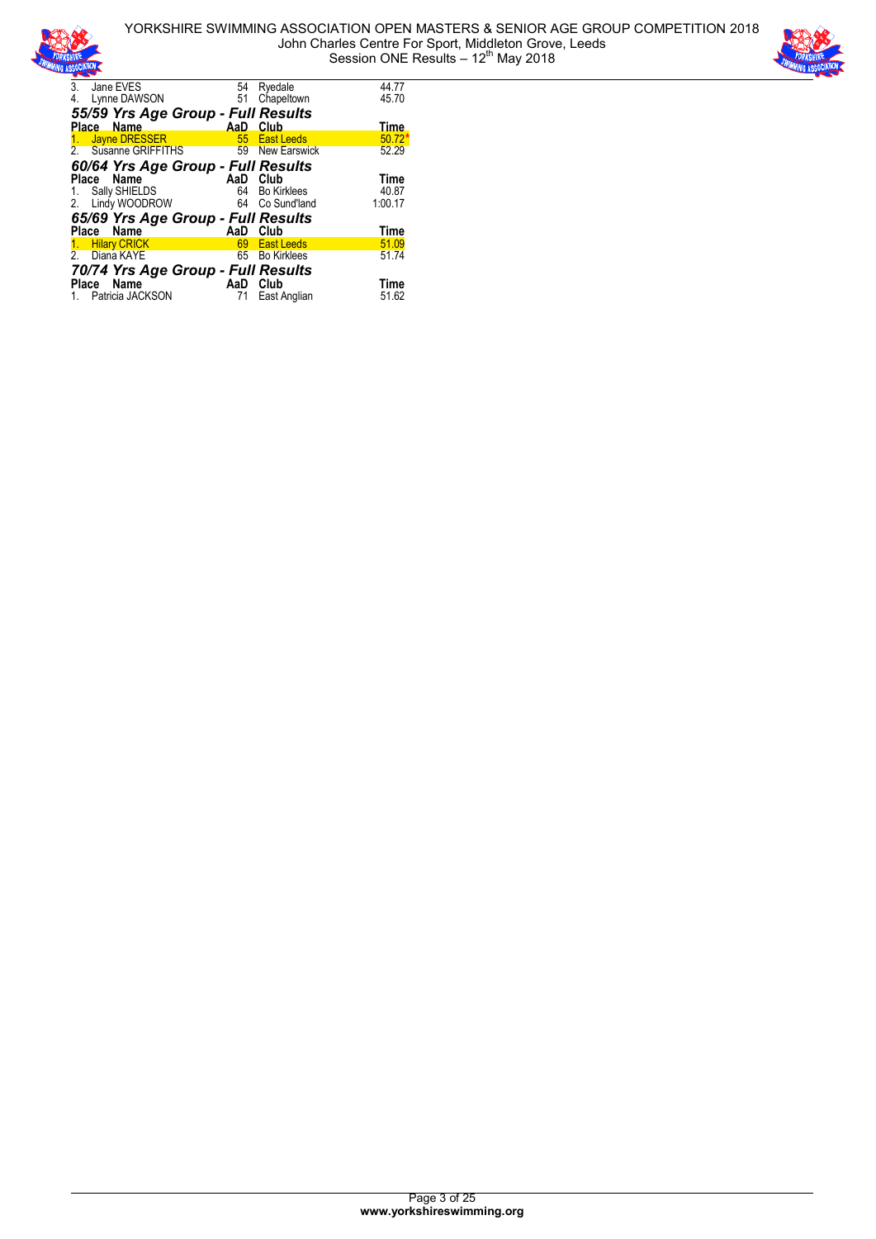



| 3.           | Jane EVES                          | 54       | Ryedale             | 44.77       |
|--------------|------------------------------------|----------|---------------------|-------------|
| 4.           | Lynne DAWSON                       | 51       | Chapeltown          | 45.70       |
|              | 55/59 Yrs Age Group - Full Results |          |                     |             |
|              | Place Name                         | AaD –    | <b>Club</b>         | <b>Time</b> |
| 1.           | Jayne DRESSER                      | 55       | <b>East Leeds</b>   | 50.72       |
|              | 2. Susanne GRIFFITHS               | 59       | <b>New Earswick</b> | 52.29       |
|              | 60/64 Yrs Age Group - Full Results |          |                     |             |
|              | Name<br>Place                      | AaD      | Club                | <b>Time</b> |
|              | 1. Sally SHIELDS                   | 64       | <b>Bo Kirklees</b>  | 40.87       |
|              | 2. Lindy WOODROW                   | 64       | Co Sund'land        | 1:00.17     |
|              | 65/69 Yrs Age Group - Full Results |          |                     |             |
|              | Place Name                         | AaD Club |                     | <b>Time</b> |
|              | 1. Hilary CRICK                    |          | 69 East Leeds       | 51.09       |
| 2            | Diana KAYE                         | 65       | <b>Bo Kirklees</b>  | 51.74       |
|              | 70/74 Yrs Age Group - Full Results |          |                     |             |
| <b>Place</b> | Name                               | AaD      | Club                | Time        |
|              | 1. Patricia JACKSON                | 71       | East Anglian        | 51.62       |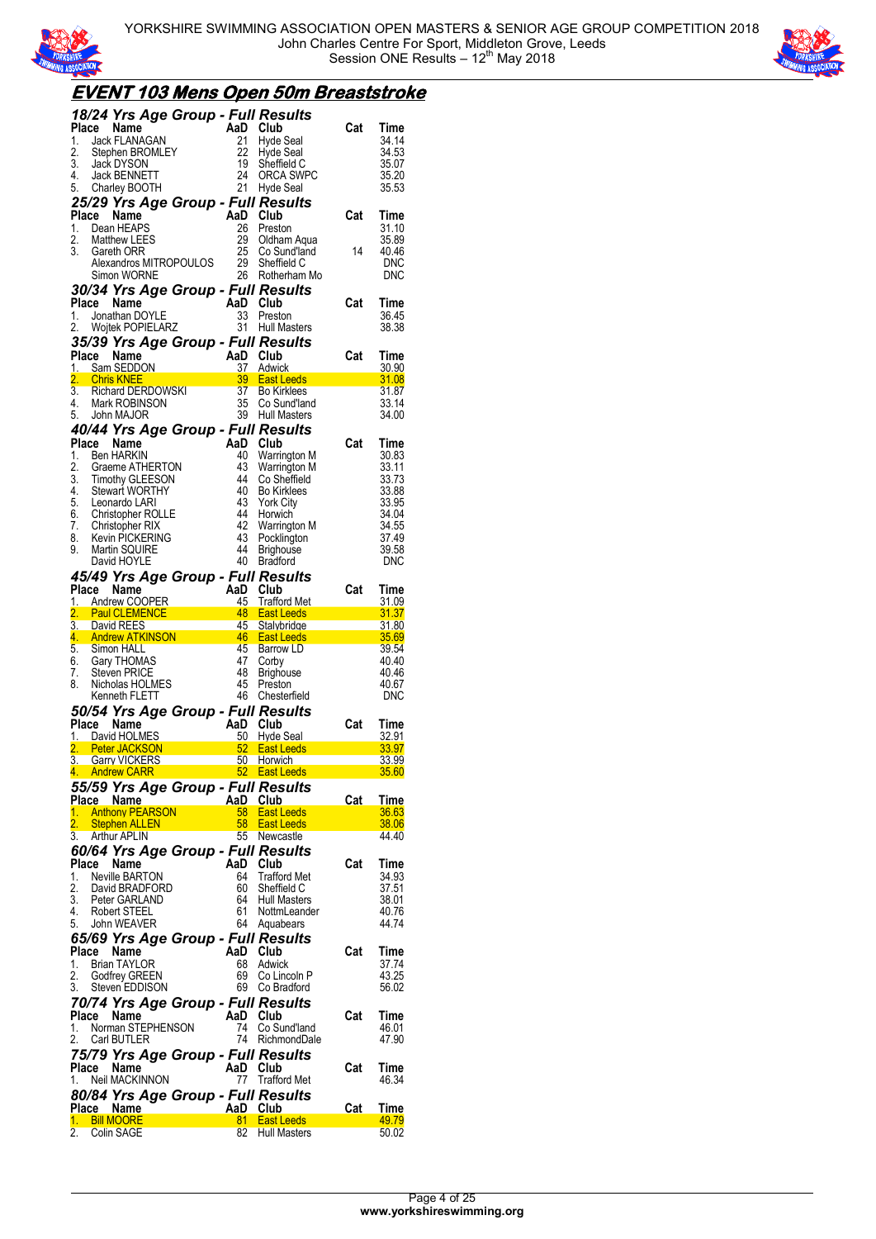



## **EVENT 103 Mens Open 50m Breaststroke**

|                  | 18/24 Yrs Age Group - Full Results                                                                                                                                                                                                                                            |                  |                                |                                                                                             |                |
|------------------|-------------------------------------------------------------------------------------------------------------------------------------------------------------------------------------------------------------------------------------------------------------------------------|------------------|--------------------------------|---------------------------------------------------------------------------------------------|----------------|
| Place            | Compared to the Manufacture of the Manufacture of the Manufacture of the Manufacture of the Manufacture of the Manufacture of the Manufacture of the Manufacture of the Manufacture of the Manufacture of the Manufacture of t                                                |                  | Club                           | Cat                                                                                         | Time           |
| 1.<br>2.         |                                                                                                                                                                                                                                                                               | 22               | Hyde Seal<br>Hyde Seal         |                                                                                             | 34.14<br>34.53 |
| 3.               | Jack DYSON                                                                                                                                                                                                                                                                    | 19               | Sheffield C                    |                                                                                             | 35.07          |
| 4.               |                                                                                                                                                                                                                                                                               | 24               | ORCA SWPC                      |                                                                                             | 35.20          |
| 5.               |                                                                                                                                                                                                                                                                               | 21               | Hyde Seal                      |                                                                                             | 35.53          |
|                  | 25/29 Yrs Age Group - Full Results                                                                                                                                                                                                                                            |                  |                                |                                                                                             |                |
| Place            | Name                                                                                                                                                                                                                                                                          | AaD              | Club                           | Cat                                                                                         | Time           |
| 1.               | Dean HEAPS                                                                                                                                                                                                                                                                    | 26               | Preston                        |                                                                                             | 31.10          |
| 2.               | <b>Matthew LEES</b>                                                                                                                                                                                                                                                           | 29               | Oldham Aqua                    |                                                                                             | 35.89          |
| 3.               | Gareth ORR                                                                                                                                                                                                                                                                    | 25               | Co Sund'land                   | 14                                                                                          | 40.46          |
|                  | Alexandros MITROPOULOS                                                                                                                                                                                                                                                        | 29               | Sheffield C                    |                                                                                             | <b>DNC</b>     |
|                  | Simon WORNE                                                                                                                                                                                                                                                                   | 26               | Rotherham Mo                   |                                                                                             | DNC            |
|                  | 30/34 Yrs Age Group - Full Results                                                                                                                                                                                                                                            |                  |                                |                                                                                             |                |
| Place            |                                                                                                                                                                                                                                                                               |                  | Club                           | Cat                                                                                         | Time           |
| 1.<br>2.         |                                                                                                                                                                                                                                                                               |                  | Preston<br><b>Hull Masters</b> |                                                                                             | 36.45<br>38.38 |
|                  | Je Name AaD<br>Jonathan DOYLE 33<br>Wojtek POPIELARZ 31<br>20 V≁c 2                                                                                                                                                                                                           |                  |                                |                                                                                             |                |
|                  | 35/39 Yrs Age Group - Full Results                                                                                                                                                                                                                                            |                  |                                | Cat                                                                                         |                |
| Place            |                                                                                                                                                                                                                                                                               |                  | Club<br><b>Adwick</b>          |                                                                                             | Time<br>30.90  |
| 2.               | ace Name<br>Sam SEDDON 37<br>Chris KNEE<br>Richard DERDOWSKI 39<br>Richard DERDOWSKI 37<br>Mark ROBINSON 35<br>John MAJOR 39                                                                                                                                                  |                  | <b>East Leeds</b>              |                                                                                             | 31.08          |
| 3.               |                                                                                                                                                                                                                                                                               |                  | <b>Bo Kirklees</b>             |                                                                                             | 31.87          |
| 4.               |                                                                                                                                                                                                                                                                               |                  | Co Sund'land                   |                                                                                             | 33.14          |
| 5.               | John MAJOR                                                                                                                                                                                                                                                                    | 39               | Hull Masters                   |                                                                                             | 34.00          |
|                  | 40/44 Yrs Age Group - Full Results                                                                                                                                                                                                                                            |                  |                                |                                                                                             |                |
| Place            | Name                                                                                                                                                                                                                                                                          | AaD Club         |                                | Cat                                                                                         | Time           |
| 1.               | <b>Ben HARKIN</b><br>Ben HARKIN<br>Graeme ATHERTON<br>Timothy GLEESON<br>Changet WORTHY                                                                                                                                                                                       | 40               | Warrington M                   |                                                                                             | 30.83          |
| 2.               |                                                                                                                                                                                                                                                                               | 43               | Warrington M                   |                                                                                             | 33.11          |
| $\overline{3}$ . | <b>Timothy GLEESON</b>                                                                                                                                                                                                                                                        | 44               | Co Sheffield                   |                                                                                             | 33.73          |
| 4.               | Stewart WORTHY                                                                                                                                                                                                                                                                | 40               | <b>Bo Kirklees</b>             |                                                                                             | 33.88          |
|                  | 5. Leonardo LARI                                                                                                                                                                                                                                                              | 43               | <b>York City</b>               |                                                                                             | 33.95          |
|                  | 6. Christopher ROLLE<br>7. Christopher RIX                                                                                                                                                                                                                                    | 44<br>- 42       | Horwich                        |                                                                                             | 34.04<br>34.55 |
| 8.               | Kevin PICKERING                                                                                                                                                                                                                                                               | 43               | Warrington M<br>Pocklington    |                                                                                             | 37.49          |
| 9.               | Martin SQUIRE                                                                                                                                                                                                                                                                 | 44               | <b>Brighouse</b>               |                                                                                             | 39.58          |
|                  | David HOYLE                                                                                                                                                                                                                                                                   |                  | 40 Bradford                    |                                                                                             | DNC            |
|                  | 45/49 Yrs Age Group - Full Results                                                                                                                                                                                                                                            |                  |                                |                                                                                             |                |
| Place            | Name                                                                                                                                                                                                                                                                          | <b>Example 2</b> | Club                           | Cat                                                                                         | Time           |
| 1.               | <b>Andrew COOPER</b>                                                                                                                                                                                                                                                          |                  | <b>Trafford Met</b>            |                                                                                             | 31.09          |
|                  |                                                                                                                                                                                                                                                                               |                  |                                |                                                                                             |                |
| 2.               |                                                                                                                                                                                                                                                                               |                  | <b>East Leeds</b>              |                                                                                             | 31.37          |
|                  | 3. David REES                                                                                                                                                                                                                                                                 |                  | <b>Stalybridge</b>             |                                                                                             | 31.80          |
|                  | Martin COOPER<br>Paul CLEMENCE<br>David REES<br>David REES                                                                                                                                                                                                                    |                  |                                |                                                                                             | 35.69          |
|                  | 3. David REES<br>4. Andrew ATKINSON 4. Andrew ATKING ASSEMBLE<br>5. Simon HALL                                                                                                                                                                                                | 45               | Barrow LD                      | and<br>1970 - Paul Barnett, amerikansk fotograf<br>1970 - Paul Barnett, amerikansk fotograf | 39.54          |
|                  | 6. Gary THOMAS                                                                                                                                                                                                                                                                | 47               | Corby                          |                                                                                             | 40.40          |
| 7.               | Steven PRICE                                                                                                                                                                                                                                                                  | 48               | <b>Brighouse</b>               |                                                                                             | 40.46          |
| 8.               | Nicholas HOLMES                                                                                                                                                                                                                                                               | 45               | Preston                        |                                                                                             | 40.67          |
|                  | Kenneth FLETT                                                                                                                                                                                                                                                                 | 46               | Chesterfield                   |                                                                                             | <b>DNC</b>     |
|                  |                                                                                                                                                                                                                                                                               |                  |                                |                                                                                             |                |
|                  |                                                                                                                                                                                                                                                                               |                  |                                | Cat                                                                                         | Time<br>32.91  |
|                  |                                                                                                                                                                                                                                                                               |                  |                                |                                                                                             | 33.97          |
|                  |                                                                                                                                                                                                                                                                               |                  | <b>East Leeds East Leeds</b>   |                                                                                             | 33.99          |
|                  |                                                                                                                                                                                                                                                                               |                  |                                |                                                                                             | <u>35.60</u>   |
|                  | <b>50/54 Yrs Age Group - Full Results<br/> Place Name AaD Club<br/> 1. David HOLMES 50 Hyde Seal<br/> 2. Peter JACKSON 52 East Leeds<br/> 3. Garry VICKERS 50 Horwich<br/> 4. Andrew CARR 50 Horwich<br/> 4. Andrew CARR 50 Horwich</b><br>55/59 Yrs Age Group - Full Results |                  |                                |                                                                                             |                |
|                  | Place Name                                                                                                                                                                                                                                                                    | AaD Club         |                                | Cat                                                                                         | <b>Time</b>    |
| 1.               | <b>Anthony PEARSON</b>                                                                                                                                                                                                                                                        | $58 -$           | <b>East Leeds</b>              |                                                                                             | 36.63          |
| 2.               | Stephen ALLEN                                                                                                                                                                                                                                                                 | 58               | <b>East Leeds</b>              |                                                                                             | 38.06          |
| 3.               | Arthur APLIN                                                                                                                                                                                                                                                                  | 55               | Newcastle                      |                                                                                             | 44.40          |
|                  | 60/64 Yrs Age Group - Full Results                                                                                                                                                                                                                                            |                  |                                |                                                                                             |                |
|                  | Place Name                                                                                                                                                                                                                                                                    | AaD Club         |                                | Cat                                                                                         | Time           |
| 1.               | <b>Neville BARTON</b>                                                                                                                                                                                                                                                         | 64               | <b>Trafford Met</b>            |                                                                                             | 34.93          |
| 2.               | David BRADFORD                                                                                                                                                                                                                                                                | 60               | Sheffield C                    |                                                                                             | 37.51          |
| 3.               | Peter GARLAND                                                                                                                                                                                                                                                                 | 64               | <b>Hull Masters</b>            |                                                                                             | 38.01          |
| 4.               | Robert STEEL                                                                                                                                                                                                                                                                  | 61               | NottmLeander                   |                                                                                             | 40.76          |
| 5.               | John WEAVER                                                                                                                                                                                                                                                                   | 64               | Aquabears                      |                                                                                             | 44.74          |
|                  | 65/69 Yrs Age Group - Full Results                                                                                                                                                                                                                                            |                  |                                |                                                                                             |                |
| Place            | Name                                                                                                                                                                                                                                                                          | AaD Club         |                                | Cat                                                                                         | Time           |
| 1.               | <b>Brian TAYLOR</b>                                                                                                                                                                                                                                                           | 68               | Adwick                         |                                                                                             | 37.74          |
| 2.               | Godfrey GREEN<br>Steven EDDISON                                                                                                                                                                                                                                               | 69               | Co Lincoln P<br>69 Co Bradford |                                                                                             | 43.25<br>56.02 |
| 3.               |                                                                                                                                                                                                                                                                               |                  |                                |                                                                                             |                |
|                  | 70/74 Yrs Age Group - Full Results                                                                                                                                                                                                                                            |                  |                                |                                                                                             |                |
|                  | Place Name                                                                                                                                                                                                                                                                    | AaD Club         |                                | Cat                                                                                         | Time           |
| 1.<br>2.         | Norman STEPHENSON<br>Carl BUTLER                                                                                                                                                                                                                                              | 74<br>74         | Co Sund'land<br>RichmondDale   |                                                                                             | 46.01<br>47.90 |
|                  |                                                                                                                                                                                                                                                                               |                  |                                |                                                                                             |                |
|                  | 75/79 Yrs Age Group - Full Results                                                                                                                                                                                                                                            |                  |                                |                                                                                             |                |
|                  | Place Name                                                                                                                                                                                                                                                                    | AaD Club         |                                | Cat                                                                                         | Time           |
| 1.               | Neil MACKINNON                                                                                                                                                                                                                                                                | 77               | <b>Trafford Met</b>            |                                                                                             | 46.34          |
|                  | 80/84 Yrs Age Group - Full Results                                                                                                                                                                                                                                            |                  |                                |                                                                                             |                |
|                  | Place Name<br>1. Bill MOORE                                                                                                                                                                                                                                                   | AaD<br>81.       | Club<br><b>East Leeds</b>      | Cat                                                                                         | Time<br>49.79  |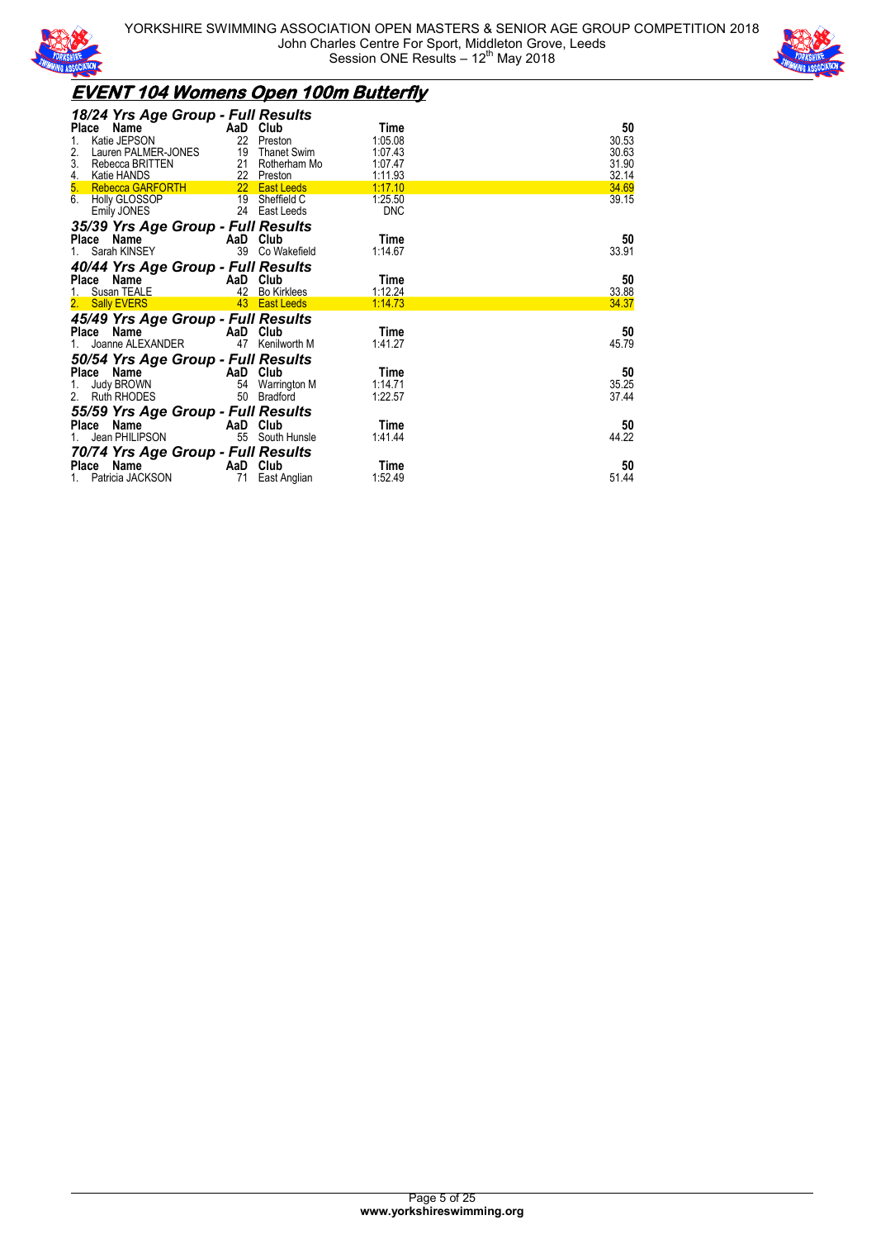



## **EVENT 104 Womens Open 100m Butterfly**

| Place          | 18/24 Yrs Age Group - Full Results<br>Name<br>Katie JEPSON           | 22                   | AaD Club<br>Preston                                 | Time<br>1:05.08                  | 50<br>30.53             |
|----------------|----------------------------------------------------------------------|----------------------|-----------------------------------------------------|----------------------------------|-------------------------|
| 2.<br>3.<br>4. | Lauren PALMER-JONES<br>Rebecca BRITTEN<br>Katie HANDS                | 19                   | <b>Thanet Swim</b><br>21 Rotherham Mo<br>22 Preston | 1:07.43<br>1:07.47<br>1:11.93    | 30.63<br>31.90<br>32.14 |
| 5.<br>6.       | <b>Rebecca GARFORTH</b><br>Holly GLOSSOP<br>Emily JONES              |                      | 22 East Leeds<br>19 Sheffield C<br>24 East Leeds    | 1:17.10<br>1:25.50<br><b>DNC</b> | 34.69<br>39.15          |
|                | 35/39 Yrs Age Group - Full Results<br>Place<br>Name                  | AaD                  | Club                                                | Time                             | 50                      |
|                | Sarah KINSEY<br>40/44 Yrs Age Group - Full Results                   | 39                   | Co Wakefield                                        | 1:14.67                          | 33.91                   |
|                | Place Name<br>Susan TEALE                                            | AaD<br>42            | Club<br><b>Bo Kirklees</b>                          | Time<br>1:12.24                  | 50<br>33.88             |
| 2.             | <b>Sally EVERS</b><br>45/49 Yrs Age Group - Full Results             | 43                   | <b>East Leeds</b>                                   | 1:14.73                          | 34.37                   |
|                | Place Name<br>Joanne ALEXANDER                                       | AaD Club<br>47       | Kenilworth M                                        | Time<br>1:41.27                  | 50<br>45.79             |
|                | 50/54 Yrs Age Group - Full Results                                   |                      |                                                     |                                  |                         |
|                | Place Name<br>Judy BROWN<br><b>Ruth RHODES</b>                       | AaD Club<br>54<br>50 | Warrington M<br><b>Bradford</b>                     | Time<br>1:14.71<br>1:22.57       | 50<br>35.25<br>37.44    |
| Place          | 55/59 Yrs Age Group - Full Results<br>Name<br>Jean PHILIPSON         | AaD Club<br>55       | South Hunsle                                        | Time<br>1:41.44                  | 50<br>44.22             |
|                | 70/74 Yrs Age Group - Full Results<br>Place Name<br>Patricia JACKSON | AaD Club<br>71       | East Anglian                                        | Time<br>1:52.49                  | 50<br>51.44             |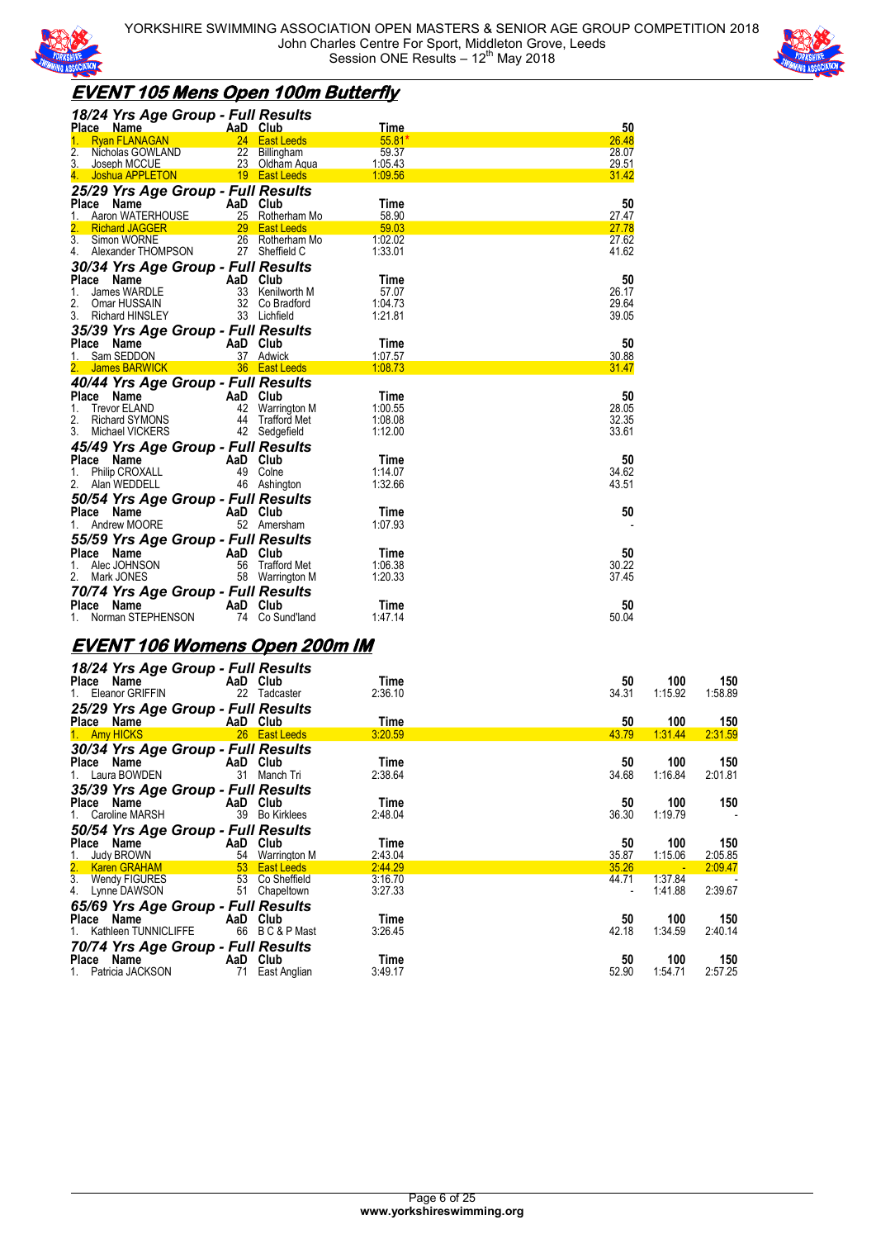



## **EVENT 105 Mens Open 100m Butterfly**

| 18/24 Yrs Age Group - Full Results                                                                                         |                |
|----------------------------------------------------------------------------------------------------------------------------|----------------|
| <b>Time</b><br>AaD Club<br><b>Place</b><br><b>Name</b><br>24 East Leeds<br><b>Ryan FLANAGAN</b><br>$55.81*$<br>$1_{-}$     | 50<br>26.48    |
| 22 Billingham<br>$\overline{2}$ .<br>59.37<br>Nicholas GOWLAND                                                             | 28.07          |
| 3.<br>23<br>1:05.43<br>Joseph MCCUE<br>Oldham Aqua                                                                         | 29.51          |
| 19 East Leeds<br>1:09.56<br>Joshua APPLETON<br>4.                                                                          | 31.42          |
| 25/29 Yrs Age Group - Full Results                                                                                         |                |
| AaD Club<br>Time<br><b>Place</b><br>Name                                                                                   | 50             |
| 25 Rotherham Mo<br>58.90<br>1.<br>Aaron WATERHOUSE                                                                         | 27.47          |
| 59.03<br>2.<br>29 East Leeds<br><b>Richard JAGGER</b>                                                                      | 27.78          |
| 26 Rotherham Mo<br>3 <sub>1</sub><br>1:02.02<br>Simon WORNE                                                                | 27.62          |
| 27 Sheffield C<br>Alexander THOMPSON<br>1:33.01<br>4.                                                                      | 41.62          |
| 30/34 Yrs Age Group - Full Results                                                                                         |                |
| AaD<br>Club<br>Place<br>Name<br>Time                                                                                       | 50             |
| 33<br>1.<br>James WARDLE<br>Kenilworth M<br>57.07                                                                          | 26.17          |
| 2.<br>32<br>1:04.73<br>Omar HUSSAIN<br>Co Bradford                                                                         | 29.64          |
| 3.<br>33<br>1:21.81<br><b>Richard HINSLEY</b><br>Lichfield                                                                 | 39.05          |
| 35/39 Yrs Age Group - Full Results                                                                                         |                |
| Place<br>Name<br>AaD Club<br>Time                                                                                          | 50             |
| 37 Adwick<br>1:07.57<br>Sam SEDDON                                                                                         | 30.88          |
| 36 East Leeds<br>1:08.73<br>2. James BARWICK                                                                               | 31.47          |
| 40/44 Yrs Age Group - Full Results                                                                                         |                |
| Place<br>Name<br>AaD Club<br>Time                                                                                          | 50             |
| <b>Trevor ELAND</b><br>42<br>Warrington M<br>1:00.55<br>1.<br>2.<br><b>Richard SYMONS</b><br>44<br>Trafford Met<br>1:08.08 | 28.05<br>32.35 |
| 42 Sedgefield<br>3.<br>Michael VICKERS<br>1:12.00                                                                          | 33.61          |
|                                                                                                                            |                |
| 45/49 Yrs Age Group - Full Results<br>AaD<br>Club<br>Place<br>Time                                                         | 50             |
| Name<br>Philip CROXALL<br>49<br>Colne<br>1:14.07<br>1.                                                                     | 34.62          |
| 2.<br>Alan WEDDELL<br>46 Ashington<br>1:32.66                                                                              | 43.51          |
| 50/54 Yrs Age Group - Full Results                                                                                         |                |
| Place Name<br>AaD Club<br>Time                                                                                             | 50             |
| 52 Amersham<br>1:07.93<br>Andrew MOORE<br>1.                                                                               |                |
|                                                                                                                            |                |
| 55/59 Yrs Age Group - Full Results<br>Place Name<br>AaD Club<br>Time                                                       | 50             |
| Alec JOHNSON<br>56<br><b>Trafford Met</b><br>1:06.38                                                                       | 30.22          |
| 2.<br>58 Warrington M<br>Mark JONES<br>1:20.33                                                                             | 37.45          |
|                                                                                                                            |                |
| 70/74 Yrs Age Group - Full Results<br><b>Place</b><br>Name<br>AaD Club<br>Time                                             | 50             |
| Norman STEPHENSON<br>Co Sund'land<br>74<br>1:47.14                                                                         | 50.04          |

### **EVENT 106 Womens Open 200m IM**

| Place Name                                                                                                    | 18/24 Yrs Age Group - Full Results<br>AaD Club                                                      | Time               | 50          | 100                | 150            |
|---------------------------------------------------------------------------------------------------------------|-----------------------------------------------------------------------------------------------------|--------------------|-------------|--------------------|----------------|
| 1. Eleanor GRIFFIN                                                                                            | 22 Tadcaster                                                                                        | 2:36.10            | 34.31       | 1:15.92            | 1:58.89        |
| Place Name                                                                                                    | 25/29 Yrs Age Group - Full Results<br>AaD Club                                                      | Time               | 50          | 100                | 150            |
| 1 Amy HICKS                                                                                                   | 26 East Leeds                                                                                       | 3:20.59            | 43.79       | 1 31 44            | 2:31.59        |
| Place Name<br>1. Laura BOWDEN                                                                                 | 30/34 Yrs Age Group - Full Results<br>AaD Club<br>31<br>Manch Tri                                   | Time<br>2:38.64    | 50<br>34.68 | 100<br>1:16.84     | 150<br>2:01.81 |
|                                                                                                               | 35/39 Yrs Age Group - Full Results                                                                  |                    |             |                    |                |
| Place Name                                                                                                    | AaD Club                                                                                            | Time               | 50          | 100                | 150            |
| 1. Caroline MARSH                                                                                             | 39 Bo Kirklees                                                                                      | 2:48.04            | 36.30       | 1:19.79            |                |
| 50/54 Yrs Age Group - Full Results                                                                            |                                                                                                     |                    |             |                    |                |
|                                                                                                               |                                                                                                     |                    |             |                    |                |
| Place Name and the place of the state of the state of the state of the state of the state of the state of the | AaD Club                                                                                            | Time               | 50          | 100                | 150            |
| <b>Judy BROWN</b><br>1.                                                                                       |                                                                                                     | 2:43.04            | 35.87       | 1:15.06            | 2:05.85        |
|                                                                                                               | Entertainment 1941 Warrington M<br>1941 - Tan Bast Leeds                                            | 2:44.29            | 35.26       |                    | 2:09.47        |
| 2. Karen GRAHAM<br>3. Wendy FIGURES<br>4. Lynne DAWSON                                                        | 53 Co Sheffield<br>51 Chapeltown                                                                    | 3:16.70<br>3:27.33 | 44.71       | 1:37.84<br>1:41.88 | 2:39.67        |
|                                                                                                               |                                                                                                     |                    |             |                    |                |
| Place Name<br>1. Kathleen TUNNICLIFFE                                                                         | 65/69 Yrs Age Group - Full Results<br>AaD Club<br>66 BC&PMast<br>70/74 Yrs Age Group - Full Results | Time<br>3:26.45    | 50<br>42.18 | 100<br>1:34.59     | 150<br>2:40.14 |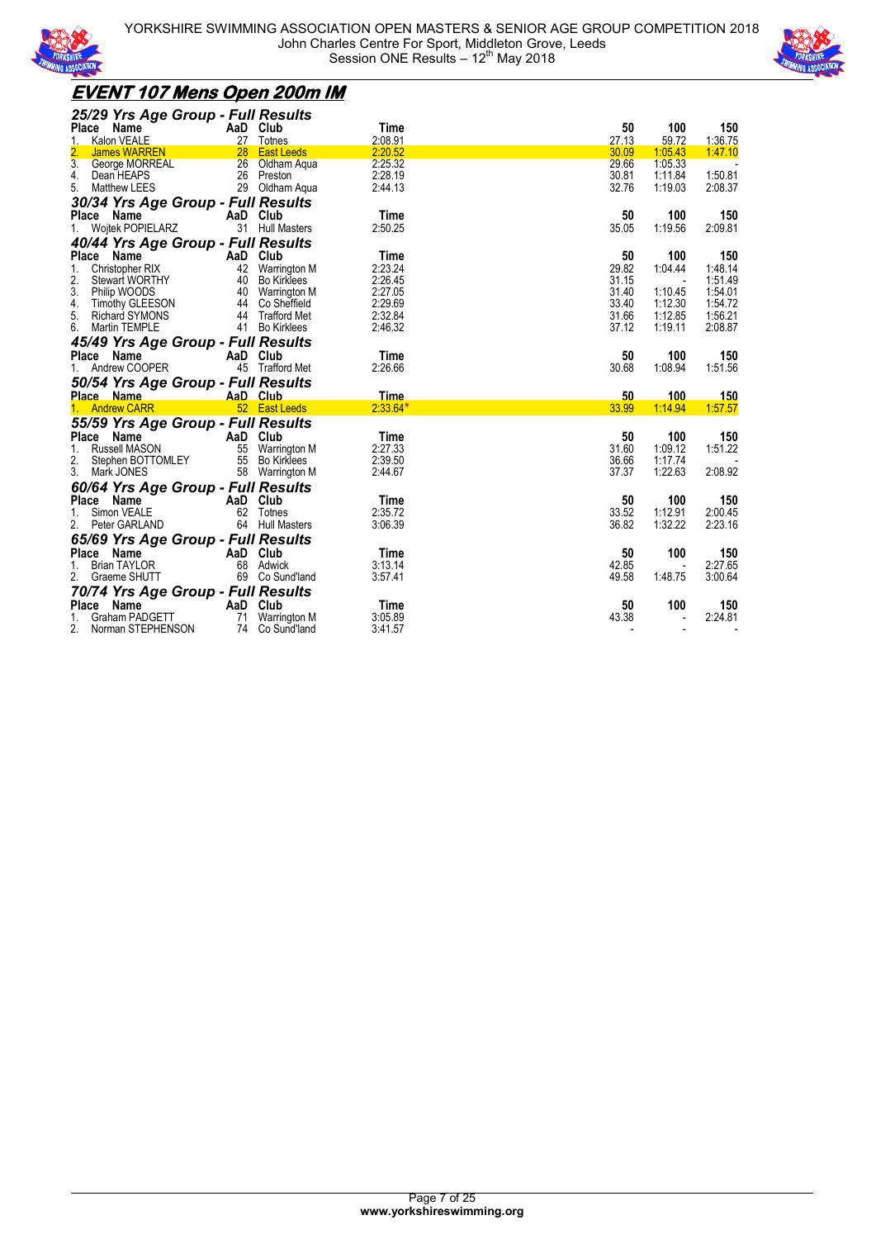



### **EVENT 107 Mens Open 200m IM**

| 25/29 Yrs Age Group - Full Results               |          |                                 |             |                          |                          |                          |
|--------------------------------------------------|----------|---------------------------------|-------------|--------------------------|--------------------------|--------------------------|
| Place Name                                       | AaD Club |                                 | Time        | 50                       | 100                      | 150                      |
| 1.<br>Kalon VEALE                                |          | 27 Totnes                       | 2:08.91     | 27.13                    | 59.72                    | 1:36.75                  |
| 2.<br><b>James WARREN</b>                        |          | 28 East Leeds                   | 2:20.52     | 30.09                    | 1:05.43                  | 1:47.10                  |
| 3 <sub>1</sub><br><b>George MORREAL</b>          |          | 26 Oldham Aqua                  | 2:25.32     | 29.66                    | 1:05.33                  |                          |
| 4.<br>Dean HEAPS                                 |          | 26 Preston                      | 2:28.19     | 30.81                    | 1:11.84                  | 1:50.81                  |
| 5.<br>Matthew LEES                               |          | 29 Oldham Aqua                  | 2:44.13     | 32.76                    | 1:19.03                  | 2:08.37                  |
| 30/34 Yrs Age Group - Full Results               |          |                                 |             |                          |                          |                          |
| Place Name                                       |          | AaD Club                        | Time        | 50                       | 100                      | 150                      |
| <b>Woitek POPIELARZ</b><br>1.                    |          | 31 Hull Masters                 | 2:50.25     | 35.05                    | 1:19.56                  | 2:09.81                  |
| 40/44 Yrs Age Group - Full Results               |          |                                 |             |                          |                          |                          |
| Place Name                                       | AaD Club |                                 | Time        | 50                       | 100                      | 150                      |
| 1.<br>Christopher RIX                            |          | 42 Warrington M                 | 2:23.24     | 29.82                    | 1.04.44                  | 1:48.14                  |
| 2.<br><b>Stewart WORTHY</b>                      |          | 40 Bo Kirklees                  | 2:26.45     | 31.15                    |                          | 1:51.49                  |
| 3.<br>Philip WOODS                               |          | 40 Warrington M                 | 2:27.05     | 31.40                    | 1:10.45                  | 1:54.01                  |
| 4.<br>Timothy GLEESON                            |          | 44 Co Sheffield                 | 2:29.69     | 33.40                    | 1:12.30                  | 1:54.72                  |
| 5.<br>Richard SYMONS                             |          | 44 Trafford Met                 | 2:32.84     | 31.66                    | 1:12.85                  | 1:56.21                  |
| 6.<br>Martin TEMPLE                              |          | 41 Bo Kirklees                  | 2:46.32     | 37.12                    | 1:19.11                  | 2:08.87                  |
| 45/49 Yrs Age Group - Full Results               |          |                                 |             |                          |                          |                          |
| Place<br>Name                                    | AaD Club |                                 | Time        | 50                       | 100                      | 150                      |
| 1. Andrew COOPER                                 |          | 45 Trafford Met                 | 2:26.66     | 30.68                    | 1:08.94                  | 1:51.56                  |
|                                                  |          |                                 |             |                          |                          |                          |
| 50/54 Yrs Age Group - Full Results               |          |                                 |             |                          |                          |                          |
| Place Name                                       |          | AaD Club                        | <b>Time</b> | 50                       | 100                      | 150                      |
| 1. Andrew CARR                                   |          | 52 East Leeds                   | $2:33.64*$  | 33.99                    | 1:14.94                  | 1:57.57                  |
| 55/59 Yrs Age Group - Full Results               |          |                                 |             |                          |                          |                          |
| Place Name                                       | AaD Club |                                 | Time        | 50                       | 100                      | 150                      |
| Russell MASON<br>1.                              |          | 55 Warrington M                 | 2:27.33     | 31.60                    | 1:09.12                  | 1:51.22                  |
| 2.<br>Stephen BOTTOMLEY                          |          | 55 Bo Kirklees                  | 2:39.50     | 36.66                    | 1:17.74                  |                          |
| 3. Mark JONES                                    |          | 58 Warrington M                 | 2:44.67     | 37.37                    | 1:22.63                  | 2:08.92                  |
| 60/64 Yrs Age Group - Full Results               |          |                                 |             |                          |                          |                          |
| Place Name                                       |          | AaD Club                        | Time        | 50                       | 100                      | 150                      |
| Simon VEALE<br>1.                                |          | 62 Totnes                       | 2:35.72     | 33.52                    | 1:12.91                  | 2:00.45                  |
| 2.<br>Peter GARLAND                              |          | 64 Hull Masters                 | 3:06.39     | 36.82                    | 1:32.22                  | 2:23.16                  |
| 65/69 Yrs Age Group - Full Results               |          |                                 |             |                          |                          |                          |
| Place Name                                       | AaD Club |                                 | Time        | 50                       | 100                      | 150                      |
| 1.<br><b>Brian TAYLOR</b>                        |          | 68 Adwick                       | 3:13.14     | 42.85                    | $\overline{\phantom{a}}$ | 2:27.65                  |
| 2. Graeme SHUTT                                  |          | 69 Co Sund'land                 | 3:57.41     | 49.58                    | 1:48.75                  | 3:00.64                  |
|                                                  |          |                                 |             |                          |                          |                          |
| 70/74 Yrs Age Group - Full Results<br>Place Name | AaD Club |                                 | Time        | 50                       | 100                      | 150                      |
| Graham PADGETT                                   | 71       |                                 | 3:05.89     | 43.38                    | $\overline{\phantom{a}}$ | 2:24.81                  |
| Norman STEPHENSON                                |          | Warrington M<br>74 Co Sund'land | 3:41.57     | $\overline{\phantom{a}}$ | $\overline{\phantom{a}}$ | $\overline{\phantom{a}}$ |
|                                                  |          |                                 |             |                          |                          |                          |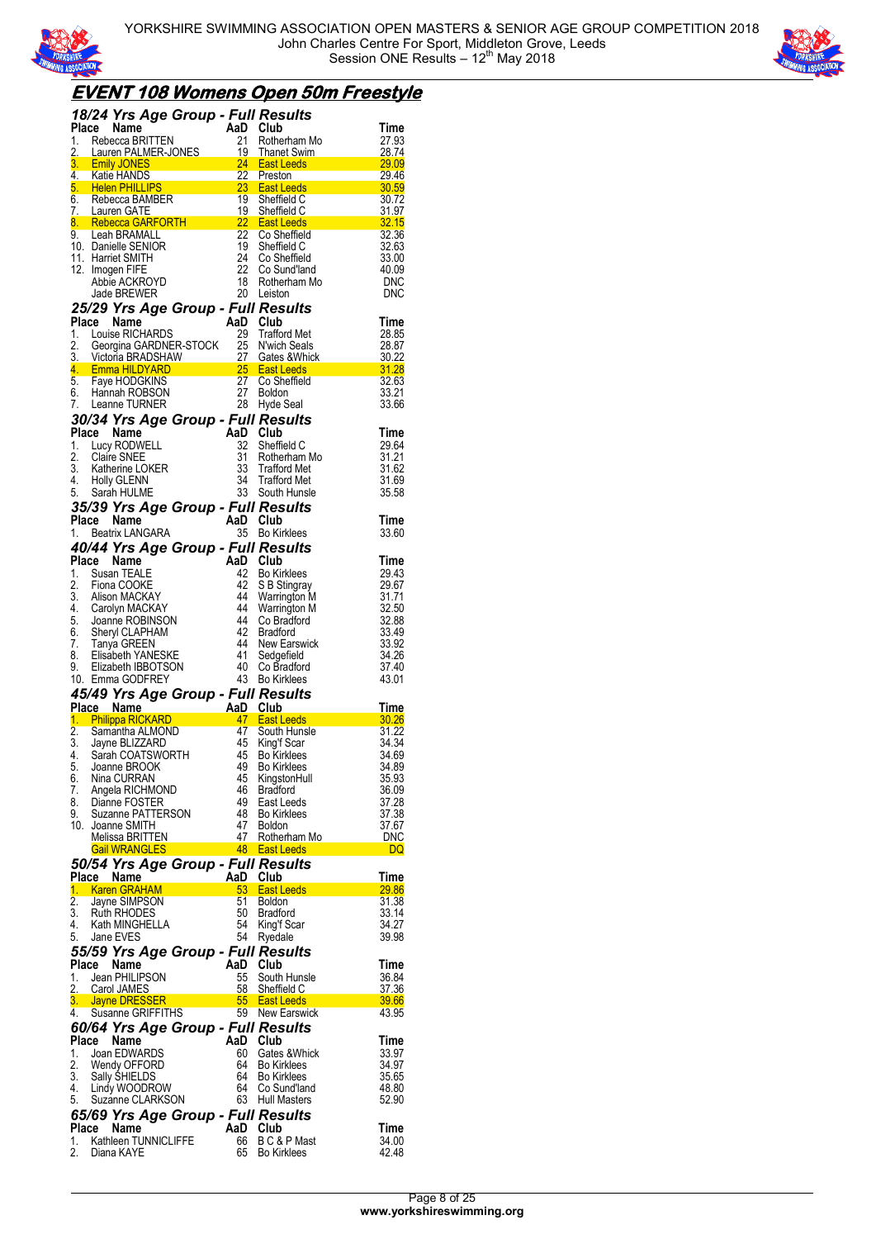



## **EVENT 108 Womens Open 50m Freestyle**

|                  | <b>18/24 Yrs Age Group - Full Results<br/>Place Name AaD Club<br/>1. Rebecca BRITTEN 21 Rotherham N</b>                                                                                                                                              |                       |                 |                                                                                                                                                                                                                                                        |                       |
|------------------|------------------------------------------------------------------------------------------------------------------------------------------------------------------------------------------------------------------------------------------------------|-----------------------|-----------------|--------------------------------------------------------------------------------------------------------------------------------------------------------------------------------------------------------------------------------------------------------|-----------------------|
|                  | Place Name                                                                                                                                                                                                                                           |                       |                 |                                                                                                                                                                                                                                                        | Time                  |
|                  | 1. Rebecca BRITTEN<br>2. Lauren PALMER-JONES<br>3. Lauren PALMER-JONES<br>3. Lauren PALMER-JONES<br>4. Katie HANDS<br>4. Katie HANDS<br>5. Helen PHILLIPS<br>5. Helen PHILLIPS<br>6. Rebecca BAMBER<br>7. Lauren GATE<br>7. Lauren GATE<br>7. Lauren |                       |                 | Rotherham Mo                                                                                                                                                                                                                                           | 27.93                 |
|                  |                                                                                                                                                                                                                                                      |                       |                 |                                                                                                                                                                                                                                                        | $\frac{28.74}{29.09}$ |
|                  |                                                                                                                                                                                                                                                      |                       |                 |                                                                                                                                                                                                                                                        |                       |
|                  |                                                                                                                                                                                                                                                      |                       |                 |                                                                                                                                                                                                                                                        | $\frac{29.40}{30.59}$ |
|                  |                                                                                                                                                                                                                                                      |                       |                 |                                                                                                                                                                                                                                                        |                       |
|                  |                                                                                                                                                                                                                                                      |                       |                 |                                                                                                                                                                                                                                                        | $\frac{31.97}{32.15}$ |
|                  |                                                                                                                                                                                                                                                      |                       |                 |                                                                                                                                                                                                                                                        | 32.36                 |
|                  | 10. Danielle SENIOR                                                                                                                                                                                                                                  |                       | $\frac{19}{24}$ | Sheffield C                                                                                                                                                                                                                                            | 32.63                 |
|                  | 11. Harriet SMITH                                                                                                                                                                                                                                    |                       | 24              | Co Sheffield                                                                                                                                                                                                                                           | 33.00                 |
|                  | 12. Imogen FIFE                                                                                                                                                                                                                                      |                       | 22              | Co Sund'land                                                                                                                                                                                                                                           | 40.09                 |
|                  | Abbie ACKROYD                                                                                                                                                                                                                                        |                       | 18              | Rotherham Mo<br>20 Leiston                                                                                                                                                                                                                             | <b>DNC</b>            |
|                  | Jade BREWER                                                                                                                                                                                                                                          |                       |                 |                                                                                                                                                                                                                                                        | <b>DNC</b>            |
|                  | <b>25/29 Yrs Age Group - Full Results<br/>Place Name AaD Club<br/>1. Louise RICHARDS 29 Trafford Met</b>                                                                                                                                             |                       |                 |                                                                                                                                                                                                                                                        |                       |
|                  |                                                                                                                                                                                                                                                      |                       |                 |                                                                                                                                                                                                                                                        | Time<br>28.85         |
|                  |                                                                                                                                                                                                                                                      |                       |                 |                                                                                                                                                                                                                                                        | 28.87                 |
|                  |                                                                                                                                                                                                                                                      |                       |                 |                                                                                                                                                                                                                                                        |                       |
|                  |                                                                                                                                                                                                                                                      |                       |                 | Place Name<br>1. Louise RICHARDS<br>2. Georgina GARDNER-STOCK<br>25 N'wich Seals<br>3. Victoria BRADSHAW<br>4. Emma HILDYARD<br>5. Faye HODGKINS<br>5. Faye HODGKINS<br>6. Hannah ROBSON<br>7. Leanne TURNER<br>27 Boldon<br>7. Leanne TURNER<br>27 Bo | $\frac{30.22}{31.28}$ |
|                  |                                                                                                                                                                                                                                                      |                       |                 |                                                                                                                                                                                                                                                        | 32.63                 |
|                  |                                                                                                                                                                                                                                                      |                       |                 |                                                                                                                                                                                                                                                        | 33.21<br>33.66        |
|                  |                                                                                                                                                                                                                                                      |                       |                 |                                                                                                                                                                                                                                                        |                       |
|                  | 30/34 Yrs Age Group - Full Results<br>Place Name                                                                                                                                                                                                     |                       | AaD Club        |                                                                                                                                                                                                                                                        | Time                  |
|                  | 1. Lucy RODWELL                                                                                                                                                                                                                                      |                       | 32              | Sheffield C                                                                                                                                                                                                                                            | 29.64                 |
|                  | 2. Claire SNEE                                                                                                                                                                                                                                       |                       | 31              | Rotherham Mo                                                                                                                                                                                                                                           |                       |
|                  | 3. Katherine LOKER<br>4. Holly GLENN                                                                                                                                                                                                                 |                       | 33              | Trafford Met                                                                                                                                                                                                                                           | 31.21<br>31.62        |
|                  |                                                                                                                                                                                                                                                      |                       | 34              | <b>Trafford Met</b>                                                                                                                                                                                                                                    | 31.69                 |
|                  | 5. Sarah HULME                                                                                                                                                                                                                                       |                       |                 | 33 South Hunsle                                                                                                                                                                                                                                        | 35.58                 |
|                  | <b>35/39 Yrs Age Group - Full Results<br/>Place Name AaD Club<br/>1. Beatrix LANGARA 1. 35 Bo Kirklees</b>                                                                                                                                           |                       |                 |                                                                                                                                                                                                                                                        |                       |
|                  |                                                                                                                                                                                                                                                      |                       |                 |                                                                                                                                                                                                                                                        | Time                  |
| 1.               | Beatrix LANGARA                                                                                                                                                                                                                                      |                       |                 | 35 Bo Kirklees                                                                                                                                                                                                                                         | 33.60                 |
|                  | 40/44 Yrs Age Group - Full Results                                                                                                                                                                                                                   |                       |                 |                                                                                                                                                                                                                                                        |                       |
|                  | Place Name<br>1. Susan TEALE                                                                                                                                                                                                                         |                       | AaD Club<br>42  |                                                                                                                                                                                                                                                        | Time<br>29.43         |
| 2.               | Fiona COOKE                                                                                                                                                                                                                                          |                       | 42              | <b>Bo Kirklees</b><br>S B Stingray                                                                                                                                                                                                                     | 29.67                 |
|                  |                                                                                                                                                                                                                                                      |                       | 44              | <b>Warrington M</b>                                                                                                                                                                                                                                    | 31.71                 |
|                  | 3. Alison MACKAY<br>4. Carolyn MACKAY                                                                                                                                                                                                                |                       | 44              | Warrington M                                                                                                                                                                                                                                           | 32.50                 |
|                  | 5. Joanne ROBINSON<br>6. Sheryl CLAPHAM<br>7. Tanya GREEN<br>8. Elisabeth YANESKE                                                                                                                                                                    |                       | -44             | Co Bradford                                                                                                                                                                                                                                            | 32.88                 |
|                  |                                                                                                                                                                                                                                                      |                       | -42<br>44       | <b>Bradford</b>                                                                                                                                                                                                                                        | 33.49                 |
|                  |                                                                                                                                                                                                                                                      | $\frac{41}{40}$<br>43 |                 | New Earswick<br>Sedgefield                                                                                                                                                                                                                             | 33.92<br>34.26        |
| 9.               | Elizabeth IBBOTSON                                                                                                                                                                                                                                   |                       |                 | Co Bradford                                                                                                                                                                                                                                            | 37.40                 |
|                  | 10. Emma GODFREY                                                                                                                                                                                                                                     |                       |                 | <b>Bo Kirklees</b>                                                                                                                                                                                                                                     | 43.01                 |
|                  | 45/49 Yrs Age Group - Full Results                                                                                                                                                                                                                   |                       |                 |                                                                                                                                                                                                                                                        |                       |
|                  | Trace <b>Name</b><br><b>1. Philippa RICKARD</b><br><b>2.</b> Samantha ALMOND<br><b>3.</b> Jayne BLIZZARD<br><b>4.</b> Sarah COATSWORTH<br><b>4.</b> Sarah COATSWORTH<br><b>5.</b> Joanne BROOK<br><b>5.</b> Joanne BROOK                             |                       |                 |                                                                                                                                                                                                                                                        | Time                  |
|                  |                                                                                                                                                                                                                                                      |                       |                 |                                                                                                                                                                                                                                                        | $\frac{30.26}{ }$     |
|                  |                                                                                                                                                                                                                                                      |                       |                 | South Hunsle                                                                                                                                                                                                                                           | 31.22                 |
|                  |                                                                                                                                                                                                                                                      |                       |                 |                                                                                                                                                                                                                                                        | 34.34<br>34.69        |
|                  |                                                                                                                                                                                                                                                      |                       |                 |                                                                                                                                                                                                                                                        | 34.89                 |
| 6.               | Nina CURRAN                                                                                                                                                                                                                                          |                       |                 |                                                                                                                                                                                                                                                        |                       |
| 7.               |                                                                                                                                                                                                                                                      |                       | 45              | KingstonHull                                                                                                                                                                                                                                           | 35.93                 |
| 8.               | Angela RICHMOND                                                                                                                                                                                                                                      |                       | 46              | <b>Bradford</b>                                                                                                                                                                                                                                        | 36.09                 |
| 9.               | Dianne FOSTER                                                                                                                                                                                                                                        |                       | 49              | East Leeds                                                                                                                                                                                                                                             | 37.28                 |
|                  | Suzanne PATTERSON                                                                                                                                                                                                                                    |                       | 48              | <b>Bo Kirklees</b>                                                                                                                                                                                                                                     | 37.38                 |
|                  | 10. Joanne SMITH                                                                                                                                                                                                                                     |                       | 47              | <b>Boldon</b>                                                                                                                                                                                                                                          | 37.67                 |
|                  | Melissa BRITTEN                                                                                                                                                                                                                                      |                       |                 | 47 Rotherham Mo                                                                                                                                                                                                                                        | <b>DNC</b><br>DQ      |
|                  | <b>Gail WRANGLES</b>                                                                                                                                                                                                                                 |                       |                 | سی سے ہوتا ہے ۔<br>48 East Leeds<br>-                                                                                                                                                                                                                  |                       |
|                  | 50/54 Yrs Age Group - Full Results<br>Place Name                                                                                                                                                                                                     |                       | AaD Club        |                                                                                                                                                                                                                                                        | Time                  |
| $\overline{1}$ . | <b>Karen GRAHAM</b>                                                                                                                                                                                                                                  |                       |                 | 53 East Leeds                                                                                                                                                                                                                                          | 29.86                 |
| $\overline{2}$ . | Jayne SIMPSON                                                                                                                                                                                                                                        |                       | 51              | <b>Boldon</b>                                                                                                                                                                                                                                          | 31.38                 |
| 3.               | Ruth RHODES                                                                                                                                                                                                                                          |                       | 50              | <b>Bradford</b>                                                                                                                                                                                                                                        | 33.14                 |
| 4.               | Kath MINGHELLA                                                                                                                                                                                                                                       |                       | 54              | King'f Scar                                                                                                                                                                                                                                            | 34.27                 |
| 5.               | Jane EVES                                                                                                                                                                                                                                            |                       | 54              | Ryedale                                                                                                                                                                                                                                                | 39.98                 |
|                  | 55/59 Yrs Age Group - Full Results                                                                                                                                                                                                                   |                       |                 |                                                                                                                                                                                                                                                        |                       |
|                  | Place Name                                                                                                                                                                                                                                           |                       | AaD Club        |                                                                                                                                                                                                                                                        | Time                  |
| 1.               | Jean PHILIPSON<br>2. Carol JAMES                                                                                                                                                                                                                     |                       | 55              | South Hunsle                                                                                                                                                                                                                                           | 36.84<br>37.36        |
| 3.               | Jayne DRESSER                                                                                                                                                                                                                                        |                       |                 | 58 Sheffield C                                                                                                                                                                                                                                         | 39.66                 |
| 4.               | Susanne GRIFFITHS                                                                                                                                                                                                                                    |                       |                 | Example 155 East Leeds<br>19 New Earswick                                                                                                                                                                                                              | 43.95                 |
|                  | 60/64 Yrs Age Group - Full Results                                                                                                                                                                                                                   |                       |                 |                                                                                                                                                                                                                                                        |                       |
| Place            | Name                                                                                                                                                                                                                                                 |                       | AaD Club        |                                                                                                                                                                                                                                                        | Time                  |
|                  | Joan EDWARDS                                                                                                                                                                                                                                         |                       | 60              | Gates & Whick                                                                                                                                                                                                                                          | 33.97                 |
|                  | Wendy OFFORD                                                                                                                                                                                                                                         |                       |                 | 64 Bo Kirklees                                                                                                                                                                                                                                         | 34.97                 |
| 3.               | Sally ŚHIELDS                                                                                                                                                                                                                                        |                       | 64              | 64 Bo Kirklees                                                                                                                                                                                                                                         | 35.65                 |
| 1.<br>2.<br>4.   | Lindy WOODROW<br>5. Suzanne CLARKSON                                                                                                                                                                                                                 |                       |                 | Co Sund'land<br>63 Hull Masters                                                                                                                                                                                                                        | 48.80<br>52.90        |
|                  |                                                                                                                                                                                                                                                      |                       |                 |                                                                                                                                                                                                                                                        |                       |
|                  | 65/69 Yrs Age Group - Full Results<br>Place Name                                                                                                                                                                                                     |                       | AaD Club        |                                                                                                                                                                                                                                                        | Time                  |
| 2.               | 1. Kathleen TUNNICLIFFE<br>Diana KAYE                                                                                                                                                                                                                |                       | 66<br>65        | B C & P Mast<br><b>Bo Kirklees</b>                                                                                                                                                                                                                     | 34.00<br>42.48        |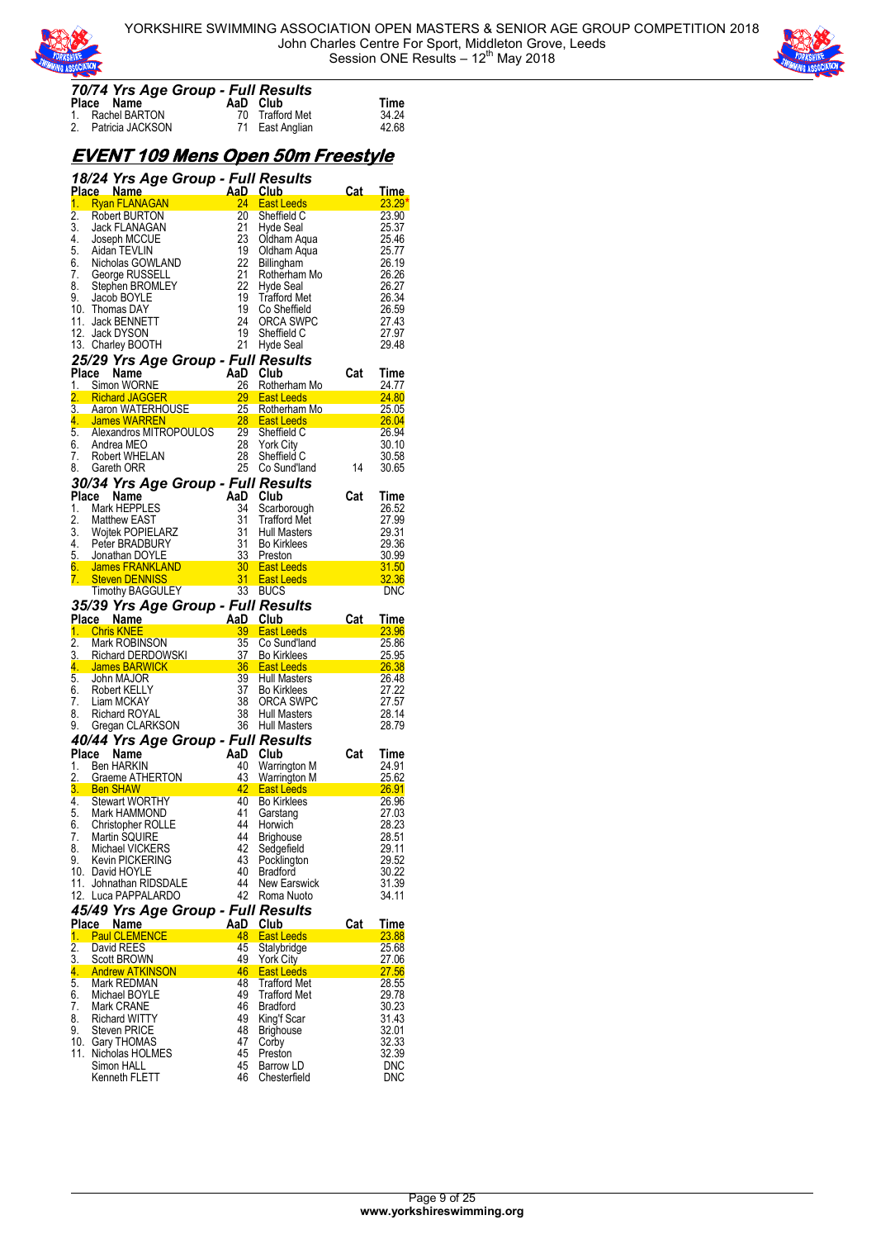



#### *70/74 Yrs Age Group - Full Results*

| $1917 + 1191198$ and $1997 + 19111$ |                     |                 |       |
|-------------------------------------|---------------------|-----------------|-------|
|                                     | Place Name          | AaD Club        | Time  |
|                                     | 1. Rachel BARTON    | 70 Trafford Met | 34.24 |
|                                     | 2. Patricia JACKSON | 71 East Anglian | 42.68 |

### **EVENT 109 Mens Open 50m Freestyle**

|          |                 |                                                                                                                                                                           |                                     |                 | 18/24 Yrs Age Group - Full Results         |                                                                                                                                                                                                                                  |                          |
|----------|-----------------|---------------------------------------------------------------------------------------------------------------------------------------------------------------------------|-------------------------------------|-----------------|--------------------------------------------|----------------------------------------------------------------------------------------------------------------------------------------------------------------------------------------------------------------------------------|--------------------------|
|          | Place Name      |                                                                                                                                                                           | AaD Club<br>24 East L<br>20 Sheffie |                 |                                            | Cat_                                                                                                                                                                                                                             | <u>Time</u>              |
| 1.       |                 | <b>Ryan FLANAGAN</b>                                                                                                                                                      |                                     |                 | East Leeds                                 |                                                                                                                                                                                                                                  | 23.29'                   |
| 2.       |                 | Robert BURTON                                                                                                                                                             |                                     |                 | Sheffield C                                |                                                                                                                                                                                                                                  | 23.90                    |
| 3.       |                 | Jack FLANAGAN                                                                                                                                                             |                                     | 21<br>23        | Hyde Seal                                  |                                                                                                                                                                                                                                  | 25.37                    |
| 4.<br>5. |                 | Joseph MCCUE<br>Aidan TEVLIN                                                                                                                                              |                                     | 19              | Oldham Aqua                                |                                                                                                                                                                                                                                  | 25.46<br>25.77           |
| 6.       |                 | Nicholas GOWLAND                                                                                                                                                          |                                     | 22              | Oldham Aqua<br>Billingham                  |                                                                                                                                                                                                                                  | 26.19                    |
| 7.       |                 | George RUSSELL                                                                                                                                                            |                                     | 21              | Rotherham Mo                               |                                                                                                                                                                                                                                  | 26.26                    |
| 8.       |                 | Stephen BROMLEY                                                                                                                                                           |                                     | 22              | Hyde Seal                                  |                                                                                                                                                                                                                                  | 26.27                    |
| 9.       |                 | Jacob BOYLE                                                                                                                                                               |                                     | 19              | <b>Trafford Met</b>                        |                                                                                                                                                                                                                                  | 26.34                    |
| 10.      |                 | Thomas DAY                                                                                                                                                                |                                     | 19              | Co Sheffield                               |                                                                                                                                                                                                                                  | 26.59                    |
|          |                 | 11. Jack BENNETT                                                                                                                                                          |                                     | 24              | ORCA SWPC                                  |                                                                                                                                                                                                                                  | 27.43                    |
|          |                 | 12. Jack DYSON                                                                                                                                                            |                                     | 19              | Sheffield C                                |                                                                                                                                                                                                                                  | 27.97                    |
|          |                 | 13. Charley BOOTH                                                                                                                                                         |                                     | 21              | Hyde Seal                                  |                                                                                                                                                                                                                                  | 29.48                    |
|          |                 |                                                                                                                                                                           |                                     |                 | 25/29 Yrs Age Group - Full Results         |                                                                                                                                                                                                                                  |                          |
| Place    |                 | Name                                                                                                                                                                      |                                     | AaD Club        |                                            | Cat                                                                                                                                                                                                                              | Time                     |
| 1.       |                 | Simon WORNE                                                                                                                                                               |                                     | 26              | Rotherham Mo                               |                                                                                                                                                                                                                                  | 24.77                    |
| 2.       |                 | Michard JAGGER<br>Aaron WATERHOUSE 25 Rothernam<br>Aaron WATERHOUSE 28 East Leeds                                                                                         |                                     |                 |                                            |                                                                                                                                                                                                                                  | 24.80                    |
| 3.       |                 |                                                                                                                                                                           |                                     |                 | 25 Rotherham Mo<br>28 East Leeds           |                                                                                                                                                                                                                                  | 25.05                    |
| 4.       |                 | James WARREN                                                                                                                                                              |                                     |                 |                                            |                                                                                                                                                                                                                                  | 26.04                    |
| 5.       |                 | Alexandros MITROPOULOS 29                                                                                                                                                 |                                     |                 | Sheffield C                                |                                                                                                                                                                                                                                  | 26.94                    |
| 6.       |                 | Andrea MEO                                                                                                                                                                |                                     | 28              | <b>York City</b>                           |                                                                                                                                                                                                                                  | 30.10                    |
| 7.       |                 | Robert WHELAN                                                                                                                                                             |                                     | 28              | Sheffield C                                |                                                                                                                                                                                                                                  | 30.58                    |
| 8.       |                 | Gareth ORR                                                                                                                                                                |                                     | 25              | Co Sund'land                               | 14                                                                                                                                                                                                                               | 30.65                    |
|          |                 |                                                                                                                                                                           |                                     |                 | 30/34 Yrs Age Group - Full Results         |                                                                                                                                                                                                                                  |                          |
|          | Place Name      |                                                                                                                                                                           |                                     | AaD Club        |                                            | Cat                                                                                                                                                                                                                              | Time                     |
| 1.       |                 | Mark HEPPLES                                                                                                                                                              |                                     | 34              | Scarborough                                |                                                                                                                                                                                                                                  | 26.52                    |
| 2.       |                 | <b>Matthew EAST</b>                                                                                                                                                       |                                     | 31              | <b>Trafford Met</b>                        |                                                                                                                                                                                                                                  | 27.99                    |
| 3.       |                 | <b>Woitek POPIELARZ</b>                                                                                                                                                   |                                     | 31              | Hull Masters                               |                                                                                                                                                                                                                                  | 29.31                    |
|          |                 | 4. Peter BRADBURY                                                                                                                                                         |                                     | 31              | <b>Bo Kirklees</b>                         |                                                                                                                                                                                                                                  | 29.36                    |
|          |                 | 5. Jonathan DOYLE                                                                                                                                                         |                                     |                 |                                            |                                                                                                                                                                                                                                  | 30.99                    |
| 6.       |                 |                                                                                                                                                                           |                                     |                 |                                            |                                                                                                                                                                                                                                  | 31.50                    |
| 7.       |                 |                                                                                                                                                                           |                                     |                 |                                            |                                                                                                                                                                                                                                  | 32.36                    |
|          |                 |                                                                                                                                                                           |                                     |                 |                                            |                                                                                                                                                                                                                                  | <b>DNC</b>               |
|          |                 |                                                                                                                                                                           |                                     |                 | 35/39 Yrs Age Group - Full Results         |                                                                                                                                                                                                                                  |                          |
|          |                 | Place Name AaD Club<br>1. Chris KNEE AaD Club<br>2. Mark ROBINSON 35 Co Sund'lar<br>3. Richard DERDOWSKI<br>4. James BARWICK 36 East Leeds<br>5. John MAJOR 3. Hull Moder |                                     |                 |                                            | Cat                                                                                                                                                                                                                              | Time                     |
|          |                 |                                                                                                                                                                           |                                     |                 |                                            |                                                                                                                                                                                                                                  | 23.96                    |
|          |                 |                                                                                                                                                                           |                                     |                 | Co Sund'land                               |                                                                                                                                                                                                                                  | 25.86                    |
|          |                 |                                                                                                                                                                           |                                     |                 |                                            |                                                                                                                                                                                                                                  | <u>25.95</u>             |
|          |                 |                                                                                                                                                                           |                                     |                 |                                            | a provincia de la provincia de la provincia de la provincia de la provincia de la provincia de la provincia de<br>En 1910, establecer de la provincia de la provincia de la provincia de la provincia de la provincia de la prov | 26.38                    |
| 5.       |                 | John MAJOR                                                                                                                                                                |                                     | 39 <sup>7</sup> | <b>Hull Masters</b>                        |                                                                                                                                                                                                                                  | 26.48                    |
| 6.       |                 | Robert KELLY                                                                                                                                                              |                                     | 37              | <b>Bo Kirklees</b>                         |                                                                                                                                                                                                                                  | 27.22                    |
| 7.       |                 | Liam MCKAY                                                                                                                                                                |                                     | 38              | ORCA SWPC                                  |                                                                                                                                                                                                                                  | 27.57                    |
| 8.<br>9. |                 | <b>Richard ROYAL</b><br>Gregan CLARKSON                                                                                                                                   |                                     | 38<br>36        | <b>Hull Masters</b><br><b>Hull Masters</b> |                                                                                                                                                                                                                                  | 28.14<br>28.79           |
|          |                 |                                                                                                                                                                           |                                     |                 |                                            |                                                                                                                                                                                                                                  |                          |
|          |                 |                                                                                                                                                                           |                                     |                 | 40/44 Yrs Age Group - Full Results         |                                                                                                                                                                                                                                  |                          |
|          | Place           | Name                                                                                                                                                                      |                                     | AaD             | Club                                       | Cat                                                                                                                                                                                                                              | Time                     |
| 1.       |                 | <b>Ben HARKIN</b>                                                                                                                                                         |                                     | 40<br>43        | Warrington M                               |                                                                                                                                                                                                                                  | 24.91                    |
| 2.<br>3. |                 | Graeme ATHERTON                                                                                                                                                           |                                     | 42 <sup>2</sup> | <b>Warrington M</b><br>East Leeds          |                                                                                                                                                                                                                                  | 25.62<br>26.91           |
| 4.       | <b>Ben SHAW</b> | Stewart WORTHY                                                                                                                                                            |                                     | 40              | <b>Bo Kirklees</b>                         |                                                                                                                                                                                                                                  | 26.96                    |
|          |                 | 5. Mark HAMMOND                                                                                                                                                           |                                     | 41              | Garstang                                   |                                                                                                                                                                                                                                  | 27.03                    |
| 6.       |                 | Christopher ROLLE                                                                                                                                                         |                                     | 44              | Horwich                                    |                                                                                                                                                                                                                                  | 28.23                    |
| 7.       |                 | Martin SQUIRE                                                                                                                                                             |                                     | 44              | Brighouse                                  |                                                                                                                                                                                                                                  | 28.51                    |
| 8.       |                 | Michael VICKERS                                                                                                                                                           |                                     | 42              | Sedgefield                                 |                                                                                                                                                                                                                                  | 29.11                    |
| 9.       |                 | <b>Kevin PICKERING</b>                                                                                                                                                    |                                     | 43              | Pocklington                                |                                                                                                                                                                                                                                  | 29.52                    |
| 10.      |                 | David HOYLE                                                                                                                                                               |                                     | 40              | Bradford                                   |                                                                                                                                                                                                                                  | 30.22                    |
| 11.      |                 | Johnathan RIDSDALE                                                                                                                                                        |                                     | 44              | New Earswick                               |                                                                                                                                                                                                                                  | 31.39                    |
|          |                 |                                                                                                                                                                           |                                     |                 |                                            |                                                                                                                                                                                                                                  | 34.11                    |
|          |                 | 12. Luca PAPPALARDO                                                                                                                                                       |                                     | 42              | Roma Nuoto                                 |                                                                                                                                                                                                                                  |                          |
| Place    |                 |                                                                                                                                                                           |                                     |                 |                                            |                                                                                                                                                                                                                                  |                          |
|          |                 |                                                                                                                                                                           |                                     |                 | 45/49 Yrs Age Group - Full Results         |                                                                                                                                                                                                                                  |                          |
|          |                 | Name                                                                                                                                                                      |                                     | AaD             | Club                                       | Cat                                                                                                                                                                                                                              | Time                     |
| 1.<br>2. |                 | <b>Paul CLEMENCE</b><br>David REES                                                                                                                                        |                                     | 48<br>45        | East Leeds<br>Stalybridge                  |                                                                                                                                                                                                                                  | 23.88<br>25.68           |
| 3.       |                 | <b>Scott BROWN</b>                                                                                                                                                        |                                     | 49              | York City                                  |                                                                                                                                                                                                                                  | <u>27.06</u>             |
| 4.       |                 | <b>Andrew ATKINSON</b>                                                                                                                                                    |                                     | 46              | <b>East Leeds</b>                          |                                                                                                                                                                                                                                  | <u>27.56</u>             |
| 5.       |                 | Mark REDMAN                                                                                                                                                               |                                     | 48              | <b>Trafford Met</b>                        |                                                                                                                                                                                                                                  | 28.55                    |
| 6.       |                 | Michael BOYLE                                                                                                                                                             |                                     | 49              | <b>Trafford Met</b>                        |                                                                                                                                                                                                                                  | 29.78                    |
| 7.       |                 | Mark CRANE                                                                                                                                                                |                                     | 46              | Bradford                                   |                                                                                                                                                                                                                                  | 30.23                    |
| 8.       |                 | <b>Richard WITTY</b>                                                                                                                                                      |                                     | 49              | King'f Scar                                |                                                                                                                                                                                                                                  | 31.43                    |
| 9.       |                 | <b>Steven PRICE</b>                                                                                                                                                       |                                     | 48              | Brighouse                                  |                                                                                                                                                                                                                                  | 32.01                    |
| 10.      |                 | Gary THOMAS                                                                                                                                                               |                                     | 47              | Corby                                      |                                                                                                                                                                                                                                  | 32.33                    |
| 11.      |                 | Nicholas HOLMES                                                                                                                                                           |                                     | 45              | Preston                                    |                                                                                                                                                                                                                                  | 32.39                    |
|          |                 | Simon HALL<br>Kenneth FLETT                                                                                                                                               |                                     | 45<br>46        | Barrow LD<br>Chesterfield                  |                                                                                                                                                                                                                                  | <b>DNC</b><br><b>DNC</b> |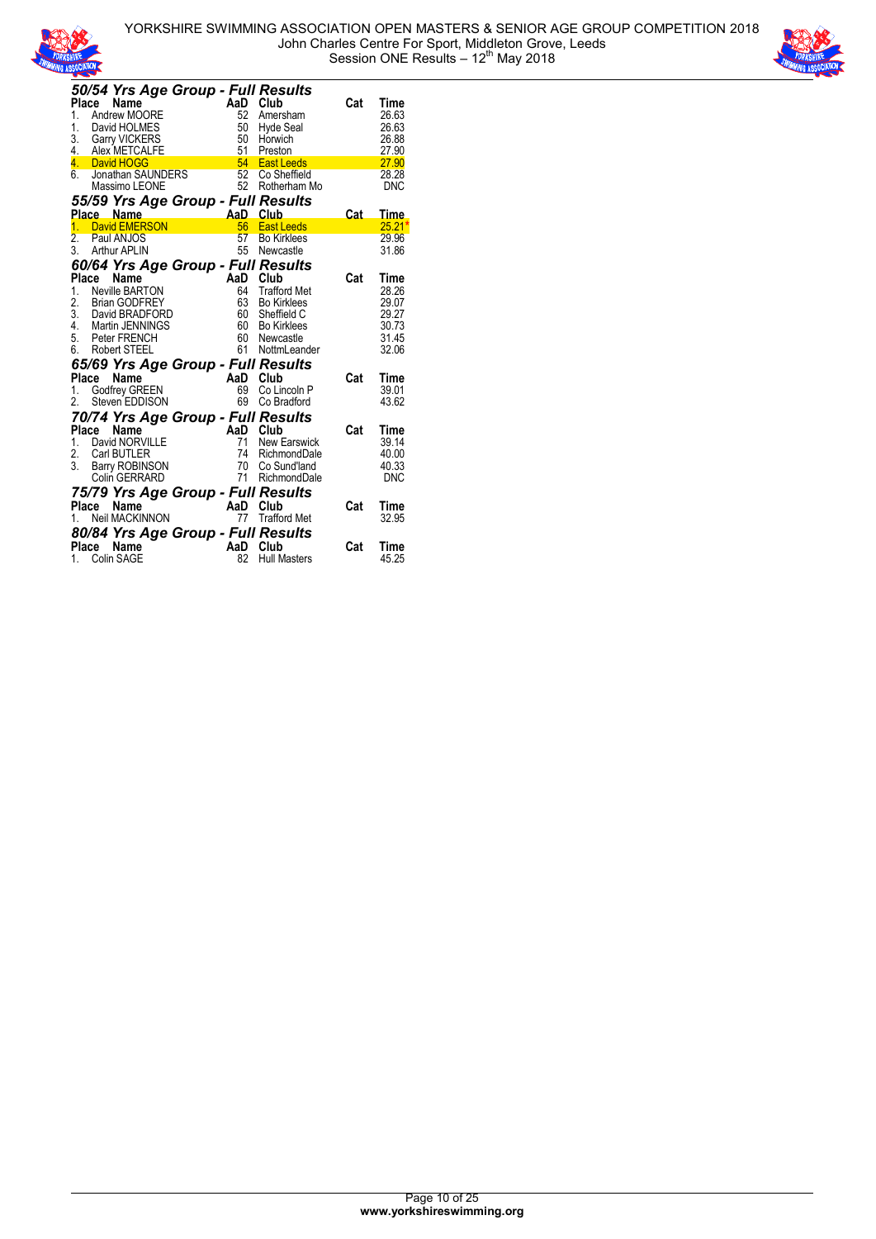



|                  |       | 50/54 Yrs Age Group - Full Results                           |                       |                |                                 |     |                     |
|------------------|-------|--------------------------------------------------------------|-----------------------|----------------|---------------------------------|-----|---------------------|
| <b>Place</b>     |       | Name                                                         |                       | AaD            | Club                            | Cat | Time                |
| 1.               |       | Andrew MOORE                                                 |                       | 52             | Amersham                        |     | 26.63               |
| 1.               |       | David HOLMES                                                 |                       | 50             | Hyde Seal                       |     | 26.63               |
| 3.               |       | <b>Garry VICKERS</b>                                         |                       | 50             | Horwich                         |     | 26.88               |
|                  |       | 4. Alex METCALFE                                             |                       | 51             | Preston                         |     | 27.90               |
|                  |       | 4 David HOGG                                                 |                       | 54             | <b>East Leeds</b>               |     | 27.90               |
|                  |       | 6. Jonathan SAUNDERS<br>Massimo LEONE                        |                       | 52             | Co Sheffield                    |     | 28.28               |
|                  |       | Massimo LEONE                                                |                       | 52             | Rotherham Mo                    |     | <b>DNC</b>          |
|                  |       | 55/59 Yrs Age Group - Full Results                           |                       |                |                                 |     |                     |
|                  |       | Place Name                                                   | AaD Club<br>56 East L |                |                                 | Cat | Time                |
| 1.               |       | David EMERSON                                                |                       |                | <b>East Leeds</b>               |     | $25.21*$            |
| $\overline{2}$ . |       | Paul ANJOS                                                   |                       | 57             | <b>Bo Kirklees</b>              |     | 29.96               |
| 3.               |       | <b>Arthur APLIN</b>                                          |                       |                | 55 Newcastle                    |     | 31.86               |
|                  |       | 60/64 Yrs Age Group - Full Results                           |                       |                |                                 |     |                     |
| <b>Place</b>     |       | Name                                                         |                       | AaD Club       |                                 | Cat | Time                |
| 1.               |       | Neville BARTON                                               |                       | 64             | Trafford Met                    |     | 28.26               |
| 2.               |       | Brian GODFREY                                                |                       | 63             | <b>Bo Kirklees</b>              |     | 29.07               |
| $\overline{3}$ . |       | David BRADFORD                                               |                       | 60             | Sheffield C                     |     | 29.27               |
|                  |       | 4. Martin JENNINGS                                           |                       | 60             | Bo Kirklees                     |     | 30.73               |
|                  |       | 5. Peter FRENCH                                              |                       | 60             | Newcastle                       |     | 31.45               |
|                  |       | 6. Robert STEEL                                              |                       | 61             | NottmLeander                    |     | 32.06               |
|                  |       | 65/69 Yrs Age Group - Full Results                           |                       |                |                                 |     |                     |
| Place            |       |                                                              |                       |                | Club                            | Cat | Time                |
| 1.               |       |                                                              |                       |                | Co Lincoln P                    |     | 39.01               |
| 2.               |       | Control Countries<br>Control Godfrey GREEN<br>Steven EDDISON |                       | 69             | Co Bradford                     |     | 43.62               |
|                  |       |                                                              |                       |                |                                 |     |                     |
|                  |       | 70/74 Yrs Age Group - Full Results                           |                       |                |                                 |     |                     |
| 1.               | Place | Name                                                         |                       | AaD Club<br>71 |                                 | Cat | Time                |
|                  |       | David NORVILLE                                               |                       |                | <b>New Earswick</b>             |     | 39.14               |
| 2.<br>3.         |       | Carl BUTLER                                                  |                       | 74<br>70       | RichmondDale                    |     | 40.00               |
|                  |       | Carl BUTLER<br>Barry ROBINSON<br>Colin GERRARD               |                       |                | Co Sund'land<br>71 RichmondDale |     | 40.33<br><b>DNC</b> |
|                  |       |                                                              |                       |                |                                 |     |                     |
|                  |       | 75/79 Yrs Age Group - Full Results                           |                       |                |                                 |     |                     |
| Place            |       | Name                                                         |                       |                | Club                            | Cat | Time                |
| 1.               |       | <b>Neil MACKINNON</b>                                        | AaD                   | 77             | <b>Trafford Met</b>             |     | 32.95               |
|                  |       | 80/84 Yrs Age Group - Full Results                           |                       |                |                                 |     |                     |
|                  | Place | Name                                                         |                       | AaD Club       |                                 | Cat | Time                |
|                  |       | 1. Colin SAGE                                                |                       | 82             | <b>Hull Masters</b>             |     | 45.25               |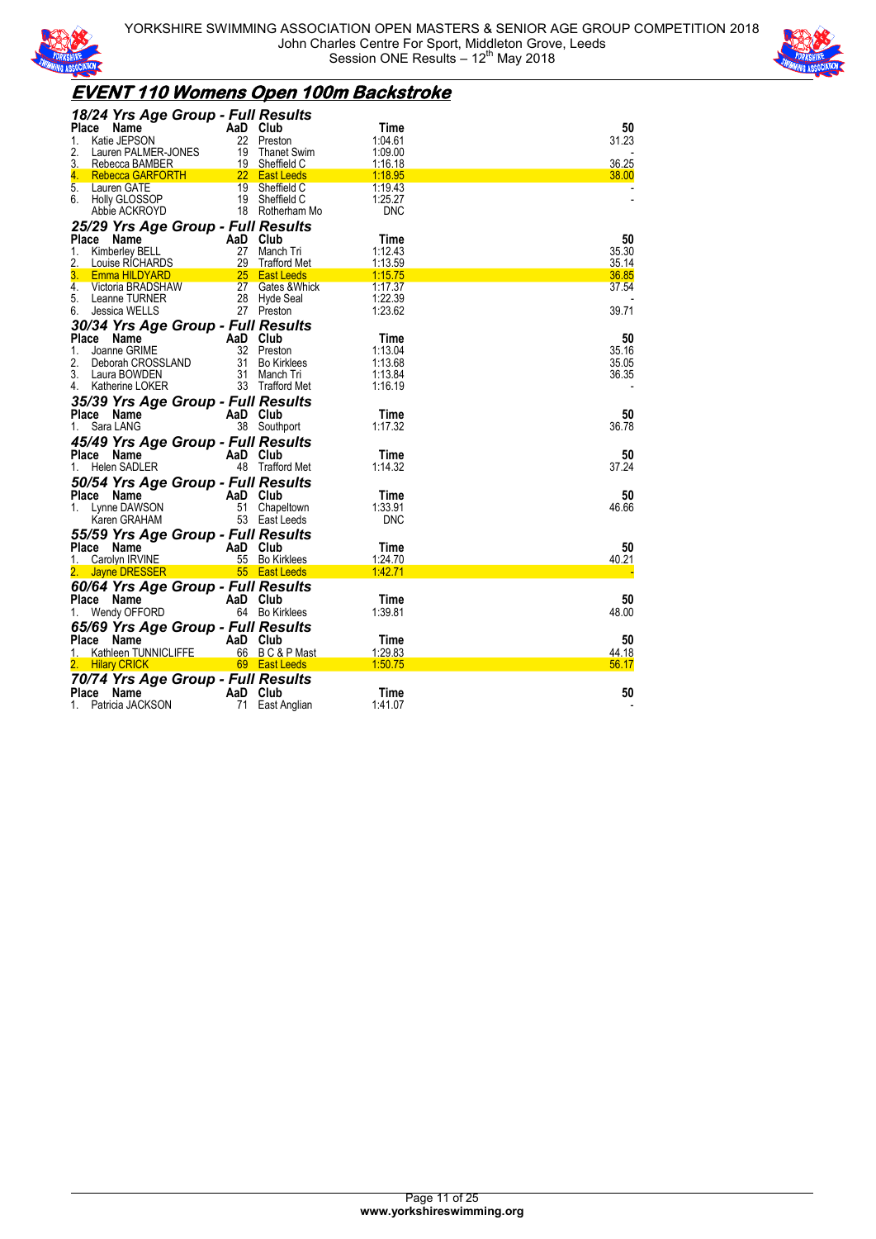



## **EVENT 110 Womens Open 100m Backstroke**

| 18/24 Yrs Age Group - Full Results                 |                |                                 |                    |                |
|----------------------------------------------------|----------------|---------------------------------|--------------------|----------------|
| <b>Place</b><br>Name                               | AaD Club       |                                 | Time               | 50             |
| Katie JEPSON<br>1.                                 |                | 22 Preston                      | 1:04.61            | 31.23          |
| 2.<br>Lauren PALMER-JONES                          | 19             | Thanet Swim                     | 1:09.00            |                |
| 3.<br>Rebecca BAMBER                               |                | 19 Sheffield C<br>22 East Leeds | 1:16.18<br>1:18.95 | 36.25<br>38.00 |
| <b>Rebecca GARFORTH</b><br>4.<br>5.<br>Lauren GATE |                | 19 Sheffield C                  | 1:19.43            |                |
| 6. Holly GLOSSOP                                   |                | 19 Sheffield C                  | 1:25.27            |                |
| Abbie ACKROYD                                      |                | 18 Rotherham Mo                 | <b>DNC</b>         |                |
|                                                    |                |                                 |                    |                |
| 25/29 Yrs Age Group - Full Results                 |                |                                 |                    |                |
| Place Name                                         | AaD Club       |                                 | Time               | 50             |
| 1.<br>Kimberley BELL                               |                | 27 Manch Tri                    | 1:12.43            | 35.30          |
| 2.<br>Louise RICHARDS                              |                | 29 Trafford Met                 | 1:13.59            | 35.14          |
| 3.<br>Emma HILDYARD                                |                | 25 East Leeds                   | 1:15.75            | 36.85          |
| 4.<br>Victoria BRADSHAW                            | 27             | Gates & Whick                   | 1:17.37            | 37.54          |
| 5.<br>Leanne TURNER                                |                | 28 Hyde Seal                    | 1:22.39            |                |
| 6.<br>Jessica WELLS                                |                | 27 Preston                      | 1:23.62            | 39.71          |
| 30/34 Yrs Age Group - Full Results                 |                |                                 |                    |                |
| Place Name                                         | AaD Club       |                                 | Time               | 50             |
| 1.<br>Joanne GRIME                                 |                | 32 Preston                      | 1:13.04            | 35.16          |
| 2.<br>Deborah CROSSLAND                            |                | 31 Bo Kirklees                  | 1:13.68            | 35.05          |
| 3.<br>Laura BOWDEN                                 |                | 31 Manch Tri                    | 1:13.84            | 36.35          |
| 4. Katherine LOKER                                 |                | 33 Trafford Met                 | 1:16.19            |                |
| 35/39 Yrs Age Group - Full Results                 |                |                                 |                    |                |
| Place Name                                         | AaD Club       |                                 | Time               | 50             |
| Sara LANG<br>1.                                    |                | 38 Southport                    | 1:17.32            | 36.78          |
| 45/49 Yrs Age Group - Full Results                 |                |                                 |                    |                |
| Place Name                                         | AaD Club       |                                 | Time               | 50             |
| Helen SADLER<br>1.                                 |                | 48 Trafford Met                 | 1:14.32            | 37.24          |
|                                                    |                |                                 |                    |                |
| 50/54 Yrs Age Group - Full Results                 |                |                                 |                    |                |
| Place Name                                         | AaD Club       |                                 | Time               | 50             |
| Lynne DAWSON<br>1.                                 |                | 51 Chapeltown                   | 1:33.91            | 46.66          |
| Karen GRAHAM                                       |                | 53 East Leeds                   | <b>DNC</b>         |                |
| 55/59 Yrs Age Group - Full Results                 |                |                                 |                    |                |
| Place Name                                         | AaD Club       |                                 | Time               | 50             |
| Carolyn IRVINE<br>1.                               |                | 55 Bo Kirklees                  | 1:24.70            | 40.21          |
| 2. Jayne DRESSER                                   |                | 55 East Leeds                   | 1:42.71            |                |
| 60/64 Yrs Age Group - Full Results                 |                |                                 |                    |                |
| Place Name                                         | AaD Club       |                                 | Time               | 50             |
| Wendy OFFORD<br>1.                                 |                | 64 Bo Kirklees                  | 1:39.81            | 48.00          |
| 65/69 Yrs Age Group - Full Results                 |                |                                 |                    |                |
|                                                    |                |                                 |                    |                |
|                                                    |                |                                 |                    |                |
| Place Name                                         | AaD Club       |                                 | Time               | 50             |
| Kathleen TUNNICLIFFE                               |                | 66 BC&PMast                     | 1:29.83            | 44.18          |
| 2. Hilary CRICK                                    |                | 69 East Leeds                   | 1:50.75            | 56.17          |
| 70/74 Yrs Age Group - Full Results                 |                |                                 |                    |                |
| Place Name<br>Patricia JACKSON<br>1.               | AaD Club<br>71 | East Anglian                    | Time<br>1:41.07    | 50             |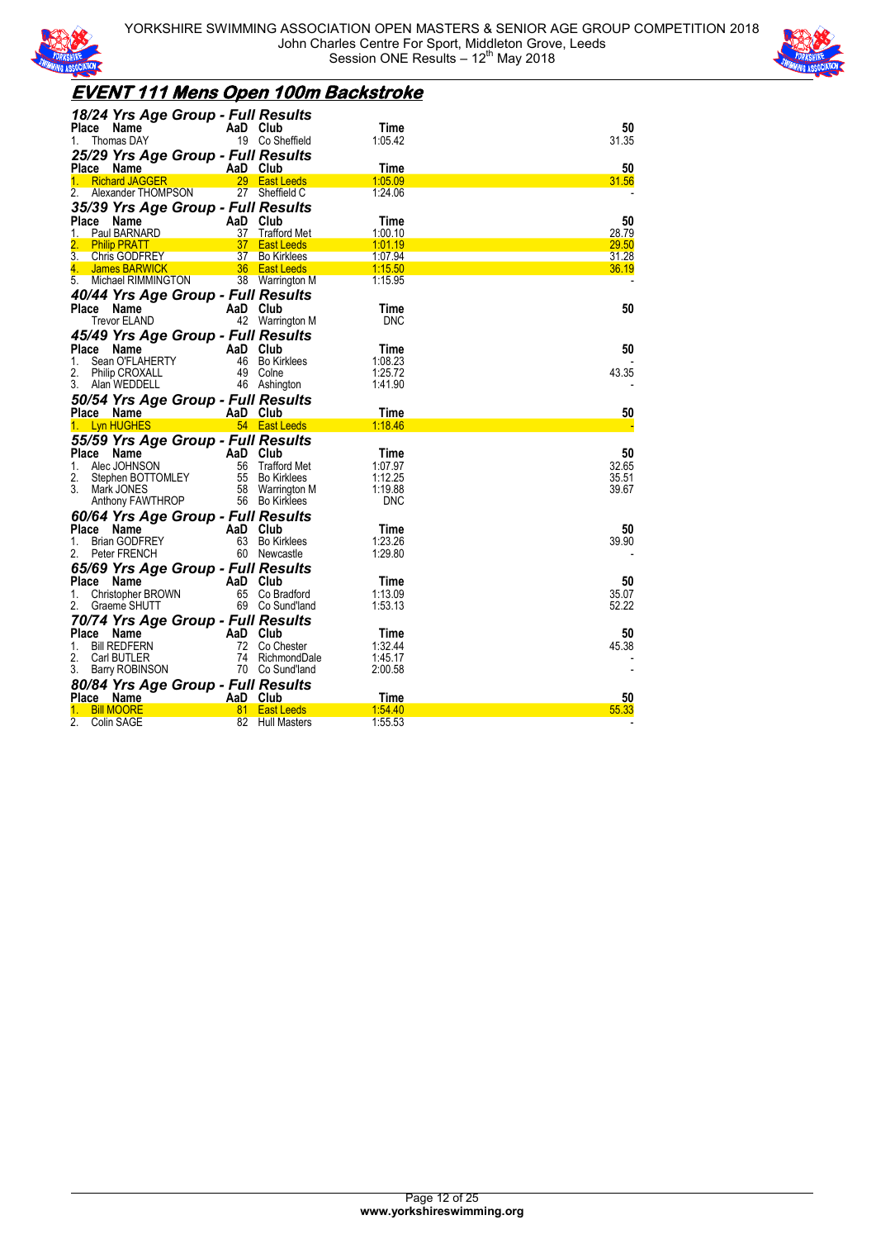



## **EVENT 111 Mens Open 100m Backstroke**

| 18/24 Yrs Age Group - Full Results               |          |                                |                       |             |
|--------------------------------------------------|----------|--------------------------------|-----------------------|-------------|
| Place Name                                       | AaD Club |                                | <b>Time</b>           | 50          |
| Thomas DAY<br>1.                                 |          | 19 Co Sheffield                | 1:05.42               | 31.35       |
| 25/29 Yrs Age Group - Full Results               |          |                                |                       |             |
| Place Name                                       | AaD Club |                                | Time                  | 50          |
| <b>Richard JAGGER</b>                            |          | 29 East Leeds                  | 1:05.09               | 31.56       |
| 2.<br>Alexander THOMPSON                         | 27       | Sheffield C                    | 1:24.06               |             |
| 35/39 Yrs Age Group - Full Results               |          |                                |                       |             |
| Place Name                                       | AaD Club |                                | Time                  | 50          |
| Paul BARNARD<br>1.                               |          | 37 Trafford Met                | 1:00.10               | 28.79       |
| <b>Philip PRATT</b>                              |          | 37 East Leeds                  | 1:01.19               | 29.50       |
| 3.<br><b>Chris GODFREY</b>                       |          | 37 Bo Kirklees                 | 1:07.94               | 31.28       |
| 4.<br>James BARWICK                              |          | 36 East Leeds                  | 1:15.50               | 36.19       |
| 5. Michael RIMMINGTON                            |          | 38 Warrington M                | 1:15.95               |             |
| 40/44 Yrs Age Group - Full Results               |          |                                |                       |             |
| Place Name                                       | AaD Club |                                | Time                  | 50          |
| Trevor ELAND                                     |          | 42 Warrington M                | <b>DNC</b>            |             |
| 45/49 Yrs Age Group - Full Results               |          |                                |                       |             |
| Place<br>Name                                    | AaD Club |                                | Time                  | 50          |
| Sean O'FLAHERTY<br>1.                            |          | 46 Bo Kirklees                 | 1:08.23               |             |
| 2.<br><b>Philip CROXALL</b>                      |          | 49 Colne                       | 1:25.72               | 43.35       |
| 3.<br>Alan WEDDELL                               |          | 46 Ashington                   | 1:41.90               |             |
| 50/54 Yrs Age Group - Full Results               |          |                                |                       |             |
| Place Name                                       |          | AaD Club                       | Time                  | 50          |
|                                                  |          |                                |                       |             |
|                                                  |          |                                | 1:18.46               |             |
| <b>Lyn HUGHES</b><br>1.                          |          | 54 East Leeds                  |                       |             |
| 55/59 Yrs Age Group - Full Results               |          |                                |                       |             |
| Place<br>Name                                    | AaD Club |                                | Time                  | 50          |
| Alec JOHNSON<br>1.                               |          | 56 Trafford Met                | 1:07.97               | 32.65       |
| 2.<br>Stephen BOTTOMLEY                          |          | 55 Bo Kirklees                 | 1:12.25               | 35.51       |
| 3. Mark JONES                                    | 58       | Warrington M<br>56 Bo Kirklees | 1:19.88<br><b>DNC</b> | 39.67       |
| Anthony FAWTHROP                                 |          |                                |                       |             |
| 60/64 Yrs Age Group - Full Results               |          |                                |                       |             |
| Place<br>Name                                    | AaD Club |                                | Time                  | 50          |
| <b>Brian GODFREY</b><br>1.<br>Peter FRENCH<br>2. |          | 63 Bo Kirklees                 | 1:23.26<br>1:29.80    | 39.90       |
|                                                  |          | 60 Newcastle                   |                       |             |
| 65/69 Yrs Age Group - Full Results               |          |                                |                       |             |
| Place<br>Name                                    | AaD      | Club                           | Time                  | 50          |
| Christopher BROWN<br>1.                          |          | 65 Co Bradford                 | 1:13.09               | 35.07       |
| 2.<br>Graeme SHUTT                               |          | 69 Co Sund'land                | 1:53.13               | 52.22       |
| 70/74 Yrs Age Group - Full Results               |          |                                |                       |             |
| Place Name                                       | AaD Club |                                | Time                  | 50          |
| <b>BIII REDFERN</b><br>1.                        |          | 72 Co Chester                  | 1:32.44               | 45.38       |
| 2.<br>Carl BUTLER                                |          | 74 RichmondDale                | 1:45.17               |             |
| 3.<br>Barry ROBINSON                             |          | 70 Co Sund'land                | 2:00.58               |             |
| 80/84 Yrs Age Group - Full Results               |          |                                |                       |             |
| Place Name<br><b>Bill MOORE</b><br>1.            | AaD Club | 81 East Leeds                  | Time<br>1:54.40       | 50<br>55.33 |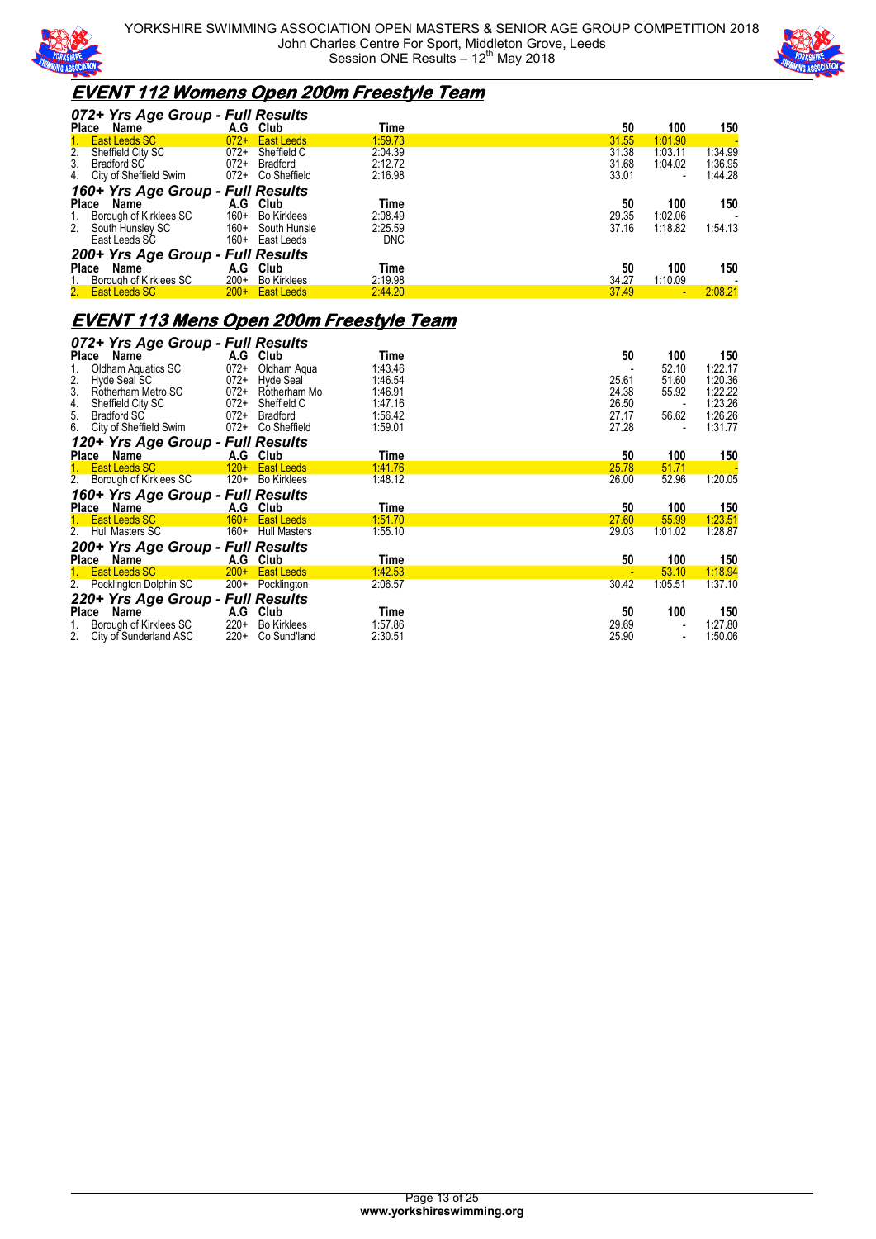



### **EVENT 112 Womens Open 200m Freestyle Team**

| 072+ Yrs Age Group - Full Results |        |                    |            |       |                          |         |
|-----------------------------------|--------|--------------------|------------|-------|--------------------------|---------|
| Place<br>Name                     |        | A.G Club           | Time       | 50    | 100                      | 150     |
| East Leeds SC                     | $072+$ | <b>East Leeds</b>  | 1.59.73    | 31.55 | 1:01.90                  |         |
| Sheffield City SC<br>2.           | $072+$ | Sheffield C        | 2:04.39    | 31.38 | 1:03.11                  | 1:34.99 |
| Bradford SC<br>3.                 | $072+$ | Bradford           | 2:12.72    | 31.68 | 1:04.02                  | 1:36.95 |
| City of Sheffield Swim<br>4.      | 072+   | Co Sheffield       | 2:16.98    | 33.01 | $\overline{\phantom{0}}$ | 1:44.28 |
| 160+ Yrs Age Group - Full Results |        |                    |            |       |                          |         |
| Place<br>Name                     |        | A.G Club           | Time       | 50    | 100                      | 150     |
| Borough of Kirklees SC            | $160+$ | <b>Bo Kirklees</b> | 2:08.49    | 29.35 | 1:02.06                  |         |
| 2.<br>South Hunsley SC            | $160+$ | South Hunsle       | 2:25.59    | 37.16 | 1:18.82                  | 1:54.13 |
| East Leeds SC                     | 160+   | East Leeds         | <b>DNC</b> |       |                          |         |
| 200+ Yrs Age Group - Full Results |        |                    |            |       |                          |         |
| <b>Place</b><br>Name              | A.G    | Club               | Time       | 50    | 100                      | 150     |
| Borough of Kirklees SC            | $200+$ | <b>Bo Kirklees</b> | 2:19.98    | 34.27 | 1:10.09                  |         |
| 2.<br><b>East Leeds SC</b>        |        | $200 +$ East Leeds | 2:44.20    | 37.49 |                          | 2:08.21 |

### **EVENT 113 Mens Open 200m Freestyle Team**

|                   | 072+ Yrs Age Group - Full Results         |                    |                            |                 |             |                                 |                |
|-------------------|-------------------------------------------|--------------------|----------------------------|-----------------|-------------|---------------------------------|----------------|
| Place             | Name                                      |                    | A.G Club                   | Time            | 50          | 100                             | 150            |
| 1.                | Oldham Aquatics SC                        | $072+$             | Oldham Agua                | 1:43.46         |             | 52.10                           | 1:22.17        |
| $\frac{2}{3}$     | Hyde Seal SC                              | $072+$             | Hyde Seal                  | 1:46.54         | 25.61       | 51.60                           | 1:20.36        |
|                   | Rotherham Metro SC                        | $072+$             | Rotherham Mo               | 1:46.91         | 24.38       | 55.92                           | 1:22.22        |
| $rac{4}{5}$ .     | Sheffield City SC                         | $072+$             | Sheffield C                | 1:47.16         | 26.50       |                                 | 1:23.26        |
|                   | <b>Bradford SC</b>                        | $072+$             | <b>Bradford</b>            | 1:56.42         | 27.17       | 56.62                           | 1:26.26        |
| 6.                | City of Sheffield Swim                    | $072+$             | Co Sheffield               | 1:59.01         | 27.28       | $\overline{\phantom{a}}$        | 1:31.77        |
|                   | 120+ Yrs Age Group - Full Results         |                    |                            |                 |             |                                 |                |
| Place             | Name                                      | A.G                | Club                       | Time            | 50          | 100                             | 150            |
| 1.                | East Leeds SC                             | $120+$             | <b>East Leeds</b>          | 1:41.76         | 25.78       | 51.71                           |                |
|                   | 2. Borough of Kirklees SC                 | $120+$             | <b>Bo Kirklees</b>         | 1:48.12         | 26.00       | 52.96                           | 1:20.05        |
|                   | 160+ Yrs Age Group - Full Results         |                    |                            |                 |             |                                 |                |
|                   |                                           |                    |                            |                 |             |                                 |                |
|                   |                                           |                    |                            |                 |             |                                 |                |
| <b>Place</b>      | Name<br><b>East Leeds SC</b>              | A.G Club<br>$160+$ | <b>East Leeds</b>          | Time<br>1:51.70 | 50<br>27.60 | 100<br>55.99                    | 150<br>1:23.51 |
| 2.                | <b>Hull Masters SC</b>                    | 160+               | <b>Hull Masters</b>        | 1:55.10         | 29.03       | 1:01.02                         | 1:28.87        |
|                   |                                           |                    |                            |                 |             |                                 |                |
|                   | 200+ Yrs Age Group - Full Results         | A.G                | <b>Club</b>                | Time            | 50          | 100                             |                |
| Place Name<br>1.  | <b>East Leeds SC</b>                      | $200+$             | <b>East Leeds</b>          | 1:42.53         |             | 53.10                           | 150<br>1:18.94 |
| 2.                | Pocklington Dolphin SC                    | $200+$             | Pocklington                | 2:06.57         | 30.42       | 1:05.51                         | 1:37.10        |
|                   |                                           |                    |                            |                 |             |                                 |                |
|                   | 220+ Yrs Age Group - Full Results<br>Name |                    |                            |                 | 50          |                                 |                |
| Place<br>1.<br>2. | Borough of Kirklees SC                    | A.G<br>$220+$      | Club<br><b>Bo Kirklees</b> | Time<br>1:57.86 | 29.69       | 100<br>$\overline{\phantom{a}}$ | 150<br>1:27.80 |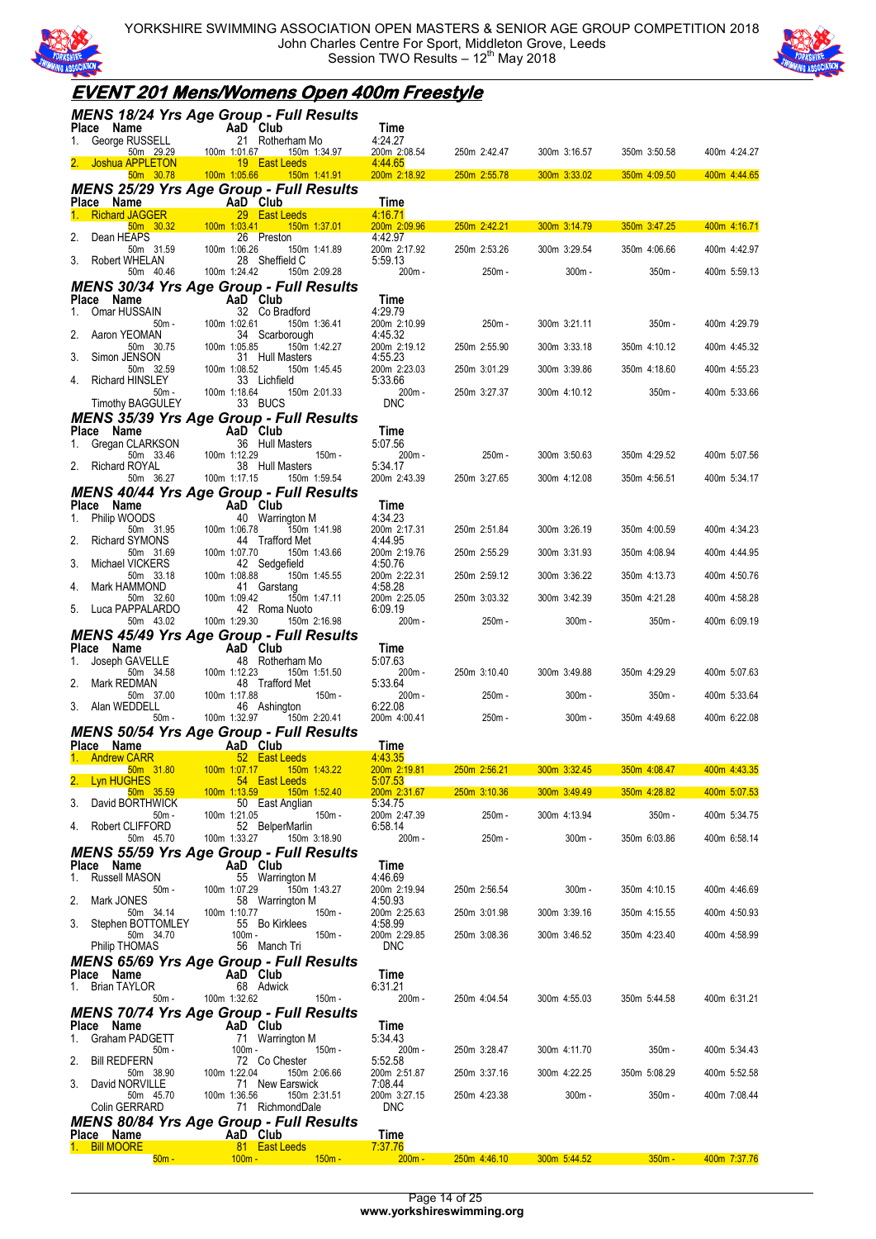

YORKSHIRE SWIMMING ASSOCIATION OPEN MASTERS & SENIOR AGE GROUP COMPETITION 2018 John Charles Centre For Sport, Middleton Grove, Leeds Session TWO Results - 12<sup>th</sup> May 2018



# **EVENT 201 Mens/Womens Open 400m Freestyle**

|                                         | MENS 18/24 Yrs Age Group - Full Results                           |                            |                |              |              |              |
|-----------------------------------------|-------------------------------------------------------------------|----------------------------|----------------|--------------|--------------|--------------|
| Place Name<br>George RUSSELL<br>1.      | AaD Club<br>21 Rotherham Mo                                       | Time<br>4:24.27            |                |              |              |              |
| 50m 29.29<br>2. Joshua APPLETON         | $\frac{21}{100m}$ 1:01.67<br>150m 1:34.97<br>19 East Leeds        | 200m 2:08.54<br>4:44.65    | 250m 2:42.47   | 300m 3:16.57 | 350m 3:50.58 | 400m 4:24.27 |
| 50m 30.78                               | 100m 1:05.66<br><u>150m 1:41.91</u>                               | 200m 2:18.92               | 250m 2:55.78   | 300m 3:33.02 | 350m 4:09.50 | 400m 4:44.65 |
| Place Name                              | <b>MENS 25/29 Yrs Age Group - Full Results</b><br>AaD Club        | <b>Time</b>                |                |              |              |              |
| 1. Richard JAGGER<br>50m 30.32          | 29 East Leeds<br>100m 1:03.41<br>150m 1:37.01                     | 4:16.71<br>200m 2:09.96    | 250m 2:42.21   | 300m 3:14.79 | 350m 3:47.25 | 400m 4:16.71 |
| 2.<br>Dean HEAPS<br>50m 31.59           | 26 Preston<br>100m 1:06.26<br>150m 1:41.89                        | 4:42.97<br>200m 2:17.92    | 250m 2:53.26   | 300m 3:29.54 | 350m 4:06.66 | 400m 4:42.97 |
| 3.<br>Robert WHELAN<br>50m 40.46        | 28 Sheffield C<br>100m 1:24.42<br>150m 2:09.28                    | 5:59.13<br>$200m -$        | 250m -         | $300m -$     | $350m -$     | 400m 5:59.13 |
|                                         | <b>MENS 30/34 Yrs Age Group - Full Results</b>                    |                            |                |              |              |              |
| Place Name<br>Omar HUSSAIN<br>1.        | AaD Club<br>32 Co Bradford                                        | Time<br>4:29.79            |                |              |              |              |
| 50m -<br>2.<br>Aaron YEOMAN             | 100m 1:02.61<br>150m 1:36.41<br>34 Scarborough                    | 200m 2:10.99<br>4:45.32    | 250m -         | 300m 3:21.11 | 350m -       | 400m 4:29.79 |
| 50m 30.75<br>3.<br>Simon JENSON         | 100m 1:05.85<br>150m 1:42.27<br>31 Hull Masters                   | 200m 2:19.12<br>4:55.23    | 250m 2:55.90   | 300m 3:33.18 | 350m 4:10.12 | 400m 4:45.32 |
| 50m 32.59                               | 100m 1:08.52<br>150m 1:45.45                                      | 200m 2:23.03               | 250m 3:01.29   | 300m 3:39.86 | 350m 4:18.60 | 400m 4:55.23 |
| <b>Richard HINSLEY</b><br>4.<br>$50m -$ | 33 Lichfield<br>100m 1:18.64<br>150m 2:01.33                      | 5:33.66<br>200m -          | 250m 3:27.37   | 300m 4:10.12 | $350m -$     | 400m 5:33.66 |
| <b>Timothy BAGGULEY</b>                 | 33 BUCS<br><b>MENS 35/39 Yrs Age Group - Full Results</b>         | <b>DNC</b>                 |                |              |              |              |
| Place Name<br>Gregan CLARKSON           | AaD Club                                                          | Time                       |                |              |              |              |
| 1.<br>50m 33.46                         | 36 Hull Masters<br>100m 1:12.29<br>150m -                         | 5:07.56<br>200m -          | 250m -         | 300m 3:50.63 | 350m 4:29.52 | 400m 5:07.56 |
| 2. Richard ROYAL<br>50m 36.27           | 38 Hull Masters<br>100m 1:17.15<br>150m 1:59.54                   | 5:34.17<br>200m 2:43.39    | 250m 3:27.65   | 300m 4:12.08 | 350m 4:56.51 | 400m 5:34.17 |
| Place Name                              | <b>MENS 40/44 Yrs Age Group - Full Results</b><br>AaD Club        | Time                       |                |              |              |              |
| Philip WOODS<br>1.                      | 40 Warrington M                                                   | 4:34.23                    |                |              |              |              |
| 50m 31.95<br>2.<br>Richard SYMONS       | 100m 1:06.78<br>150m 1:41.98<br>44 Trafford Met                   | 200m 2:17.31<br>4:44.95    | 250m 2:51.84   | 300m 3:26.19 | 350m 4:00.59 | 400m 4:34.23 |
| 50m 31.69<br>3.<br>Michael VICKERS      | 100m 1:07.70<br>150m 1:43.66<br>42 Sedgefield                     | 200m 2:19.76<br>4:50.76    | 250m 2:55.29   | 300m 3:31.93 | 350m 4:08.94 | 400m 4:44.95 |
| 50m 33.18<br>Mark HAMMOND<br>4.         | 100m 1:08.88<br>150m 1:45.55<br>41 Garstang                       | 200m 2:22.31<br>4:58.28    | 250m 2:59.12   | 300m 3:36.22 | 350m 4:13.73 | 400m 4:50.76 |
| 50m 32.60<br>5.<br>Luca PAPPALARDO      | 100m 1:09.42<br>150m 1:47.11<br>42 Roma Nuoto                     | 200m 2:25.05<br>6:09.19    | 250m 3:03.32   | 300m 3:42.39 | 350m 4:21.28 | 400m 4:58.28 |
| 50m 43.02                               | 100m 1:29.30<br>150m 2:16.98                                      | 200m-                      | 250m -         | $300m -$     | $350m -$     | 400m 6:09.19 |
| Place Name                              | MENS 45/49 Yrs Age Group - Full Results<br>AaD Club               | Time                       |                |              |              |              |
| Joseph GAVELLE<br>1.<br>50m 34.58       | 48 Rotherham Mo<br>100m 1:12.23<br>150m 1:51.50                   | 5:07.63<br>200m -          | 250m 3:10.40   | 300m 3:49.88 | 350m 4:29.29 | 400m 5:07.63 |
| 2.<br>Mark REDMAN<br>50m 37.00          | 48 Trafford Met<br>100m 1:17.88<br>150m -                         | 5:33.64<br>200m -          | 250m -         | $300m -$     | $350m -$     | 400m 5:33.64 |
| 3.<br>Alan WEDDELL<br>$50m -$           | 46 Ashington<br>100m 1:32.97<br>150m 2:20.41                      | 6:22.08<br>200m 4:00.41    | 250m -         | $300m -$     | 350m 4:49.68 | 400m 6:22.08 |
|                                         | MENS 50/54 Yrs Age Group - Full Results                           |                            |                |              |              |              |
| Place Name<br>1. Andrew CARR            | AaD Club<br>52 East Leeds                                         | Time<br>4:43.35            |                |              |              |              |
| 50m 31.80<br>Lyn HUGHES                 | 150m 1:43.22<br>100m 1:07.17<br>54 East Leeds                     | 200m 2:19.81<br>5:07.53    | 250m 2:56.21   | 300m 3:32.45 | 350m 4:08.47 | 400m 4:43.35 |
| 50m 35.59<br>David BORTHWICK<br>3.      | 100m 1:13.59<br>150m 1:52.40<br>50 East Anglian                   | 200m 2:31.67<br>5:34.75    | 250m 3:10.36   | 300m 3:49.49 | 350m 4:28.82 | 400m 5:07.53 |
| $50m -$<br>4. Robert CLIFFORD           | 100m 1:21.05<br>150m -<br>52 BelperMarlin                         | 200m 2:47.39<br>6:58.14    | 250m -         | 300m 4:13.94 | 350m -       | 400m 5:34.75 |
| 50m 45.70                               | 100m 1:33.27<br>150m 3:18.90                                      | 200m -                     | 250m -         | $300m -$     | 350m 6:03.86 | 400m 6:58.14 |
| Place Name                              | <b>MENS 55/59 Yrs Age Group - Full Results</b><br>AaD Club        | Time                       |                |              |              |              |
| Russell MASON<br>1.<br>$50m -$          | 55 Warrington M<br>100m 1:07.29<br>150m 1:43.27                   | 4:46.69<br>200m 2:19.94    | 250m 2:56.54   | $300m -$     | 350m 4:10.15 | 400m 4:46.69 |
| 2.<br>Mark JONES<br>50m 34.14           | 58 Warrington M<br>100m 1:10.77<br>150m -                         | 4:50.93<br>200m 2:25.63    | 250m 3:01.98   | 300m 3:39.16 | 350m 4:15.55 | 400m 4:50.93 |
| 3.<br>Stephen BOTTOMLEY                 | 55 Bo Kirklees                                                    | 4:58.99                    |                |              |              |              |
| 50m 34.70<br><b>Philip THOMAS</b>       | 150m -<br>100m -<br>56 Manch Tri                                  | 200m 2:29.85<br><b>DNC</b> | 250m 3:08.36   | 300m 3:46.52 | 350m 4:23.40 | 400m 4:58.99 |
| Place Name                              | <b>MENS 65/69 Yrs Age Group - Full Results</b><br>AaD Club        | Time                       |                |              |              |              |
| <b>Brian TAYLOR</b><br>1.<br>$50m -$    | 68 Adwick<br>100m 1:32.62<br>150m -                               | 6:31.21<br>200m -          | 250m 4:04.54   | 300m 4:55.03 | 350m 5:44.58 | 400m 6:31.21 |
|                                         | <b>MENS 70/74 Yrs Age Group - Full Results</b>                    |                            |                |              |              |              |
| Place Name<br>Graham PADGETT<br>1.      | AaD Club<br>71 Warrington M                                       | Time<br>5:34:43            |                |              |              |              |
| $50m -$<br><b>Bill REDFERN</b><br>2.    | 100m -<br>$150m -$<br>72 Co Chester                               | 200m -<br>5:52.58          | 250m 3:28.47   | 300m 4:11.70 | $350m -$     | 400m 5:34.43 |
| 50m 38.90<br>3.                         | 100m 1:22.04<br>150m 2:06.66                                      | 200m 2:51.87               | 250m 3:37.16   | 300m 4:22.25 | 350m 5:08.29 | 400m 5:52.58 |
| David NORVILLE<br>50m 45.70             | 71 New Earswick<br>100m 1:36.56<br>150m 2:31.51                   | 7:08.44<br>200m 3:27.15    | 250m 4:23.38   | $300m -$     | $350m -$     | 400m 7:08.44 |
| Colin GERRARD                           | 71 RichmondDale<br><b>MENS 80/84 Yrs Age Group - Full Results</b> | <b>DNC</b>                 |                |              |              |              |
| Place Name<br>1. Bill MOORE             | AaD Club                                                          | Time<br>7:37.76            |                |              |              |              |
| $50m -$                                 | 81 East Leeds<br>$100m -$<br>$150m -$                             | $200m -$                   | $250m$ 4:46.10 | 300m 5:44.52 | $350m -$     | 400m 7:37.76 |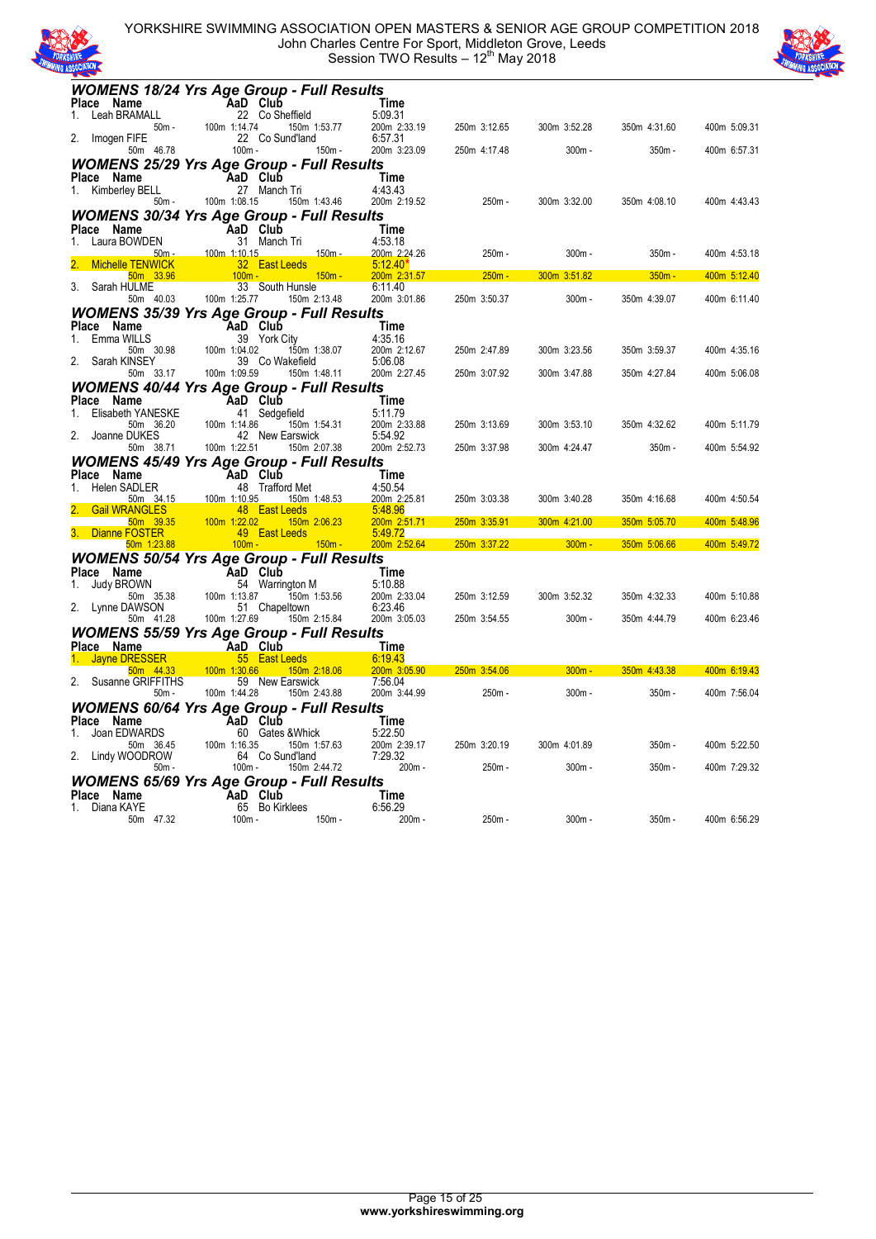

YORKSHIRE SWIMMING ASSOCIATION OPEN MASTERS & SENIOR AGE GROUP COMPETITION 2018 John Charles Centre For Sport, Middleton Grove, Leeds Session TWO Results - 12<sup>th</sup> May 2018



| <b>WOMENS 18/24 Yrs Age Group - Full Results</b>               |              |                                  |                          |              |              |              |              |
|----------------------------------------------------------------|--------------|----------------------------------|--------------------------|--------------|--------------|--------------|--------------|
| Place Name                                                     |              | AaD Club                         | Time                     |              |              |              |              |
| Leah BRAMALL<br>1.<br>50m -                                    | 100m 1:14.74 | 22 Co Sheffield<br>150m 1:53.77  | 5:09.31<br>200m 2:33.19  | 250m 3:12.65 | 300m 3:52.28 | 350m 4:31.60 | 400m 5:09.31 |
| Imogen FIFE<br>2.                                              |              | 22 Co Sund'land                  | 6:57.31                  |              |              |              |              |
| 50m 46.78                                                      | $100m -$     | $150m -$                         | 200m 3:23.09             | 250m 4:17.48 | $300m -$     | $350m -$     | 400m 6:57.31 |
| <b>WOMENS 25/29 Yrs Age Group - Full Results</b>               |              |                                  |                          |              |              |              |              |
| Place Name                                                     |              | AaD Club                         | Time                     |              |              |              |              |
| 1. Kimberley BELL<br>$50m -$                                   | 100m 1:08.15 | 27 Manch Tri<br>150m 1:43.46     | 4:43.43<br>200m 2:19.52  | $250m -$     | 300m 3:32.00 | 350m 4:08.10 | 400m 4:43.43 |
| <b>WOMENS 30/34 Yrs Age Group - Full Results</b>               |              |                                  |                          |              |              |              |              |
| Place Name                                                     |              | AaD Club                         | Time                     |              |              |              |              |
| Laura BOWDEN<br>1.                                             |              | 31 Manch Tri                     | 4:53.18                  |              |              |              |              |
| $50m -$<br><b>Michelle TENWICK</b>                             | 100m 1:10.15 | <u> 150m - </u><br>32 East Leeds | 200m 2:24.26<br>5:12.40" | 250m -       | $300m -$     | 350m -       | 400m 4:53.18 |
| 50m 33.96                                                      | $100m -$     | $150m -$                         | 200m 2:31.57             | $250m -$     | 300m 3:51.82 | $350m -$     | 400m 5:12.40 |
| Sarah HULME<br>3.                                              |              | 33 South Hunsle                  | 6:11.40                  |              |              |              |              |
| 50m 40.03                                                      | 100m 1:25.77 | 150m 2:13.48                     | 200m 3:01.86             | 250m 3:50.37 | $300m -$     | 350m 4:39.07 | 400m 6:11.40 |
| <b>WOMENS 35/39 Yrs Age Group - Full Results</b><br>Place Name |              | AaD Club                         | Time                     |              |              |              |              |
| Emma WILLS<br>1.                                               |              | 39 York City                     | 4:35.16                  |              |              |              |              |
| 50m 30.98                                                      | 100m 1:04.02 | 150m 1:38.07                     | 200m 2:12.67             | 250m 2:47.89 | 300m 3:23.56 | 350m 3:59.37 | 400m 4:35.16 |
| Sarah KINSEY<br>2.<br>50m 33.17                                | 100m 1:09.59 | 39 Co Wakefield<br>150m 1:48.11  | 5:06.08<br>200m 2:27.45  | 250m 3:07.92 | 300m 3:47.88 | 350m 4:27.84 | 400m 5:06.08 |
| <b>WOMENS 40/44 Yrs Age Group - Full Results</b>               |              |                                  |                          |              |              |              |              |
| Place<br>Name                                                  |              | AaD Club                         | Time                     |              |              |              |              |
| <b>Elisabeth YANESKE</b><br>1.                                 |              | 41 Sedgefield                    | 5:11.79                  |              |              |              |              |
| 50m 36.20                                                      | 100m 1:14.86 | 150m 1:54.31                     | 200m 2:33.88             | 250m 3:13.69 | 300m 3:53.10 | 350m 4:32.62 | 400m 5:11.79 |
| 2.<br>Joanne DUKES<br>50m 38.71                                | 100m 1:22.51 | 42 New Earswick<br>150m 2:07.38  | 5:54.92<br>200m 2:52.73  | 250m 3:37.98 | 300m 4:24.47 | 350m -       | 400m 5:54.92 |
| <b>WOMENS 45/49 Yrs Age Group - Full Results</b>               |              |                                  |                          |              |              |              |              |
| Place Name                                                     |              | AaD Club                         | Time                     |              |              |              |              |
| <b>Helen SADLER</b><br>1.                                      |              | 48 Trafford Met                  | 4:50.54                  |              |              |              |              |
| 50m 34.15<br><b>Gail WRANGLES</b>                              | 100m 1:10.95 | 150m 1:48.53<br>48 East Leeds    | 200m 2:25.81<br>5:48.96  | 250m 3:03.38 | 300m 3:40.28 | 350m 4:16.68 | 400m 4:50.54 |
| 50m 39.35                                                      | 100m 1:22.02 | 150m 2:06.23                     | 200m 2:51.71             | 250m 3:35.91 | 300m 4:21.00 | 350m 5:05.70 | 400m 5:48.96 |
| Dianne FOSTER<br>50m 1:23.88                                   | $100m -$     | 49 East Leeds<br>$150m -$        | 5:49.72<br>200m 2:52.64  | 250m 3:37.22 | $300m -$     | 350m 5:06.66 | 400m 5:49.72 |
| <b>WOMENS 50/54 Yrs Age Group - Full Results</b>               |              |                                  |                          |              |              |              |              |
| Place Name                                                     |              | AaD Club                         | Time                     |              |              |              |              |
| <b>Judy BROWN</b><br>1.                                        |              | 54 Warrington M                  | 5:10.88                  |              |              |              |              |
| 50m 35.38<br>2.<br>Lynne DAWSON                                | 100m 1:13.87 | 150m 1:53.56<br>51 Chapeltown    | 200m 2:33.04<br>6:23.46  | 250m 3:12.59 | 300m 3:52.32 | 350m 4:32.33 | 400m 5:10.88 |
| 50m 41.28                                                      | 100m 1:27.69 | 150m 2:15.84                     | 200m 3:05.03             | 250m 3:54.55 | $300m -$     | 350m 4:44.79 | 400m 6:23.46 |
| <b>WOMENS 55/59 Yrs Age Group - Full Results</b>               |              |                                  |                          |              |              |              |              |
| Place Name                                                     |              | AaD Club                         | Time                     |              |              |              |              |
| <b>Jayne DRESSER</b><br>50m 44.33                              | 100m 1:30.66 | 55 East Leeds<br>150m 2:18.06    | 6:19.43<br>200m 3:05.90  | 250m 3:54.06 | $300m -$     | 350m 4:43.38 | 400m 6:19.43 |
| Susanne GRIFFITHS<br>2.                                        |              | 59 New Earswick                  | 7:56.04                  |              |              |              |              |
| $50m -$                                                        | 100m 1:44.28 | 150m 2:43.88                     | 200m 3:44.99             | 250m -       | 300m -       | 350m -       | 400m 7:56.04 |
| <b>WOMENS 60/64 Yrs Age Group - Full Results</b>               |              |                                  |                          |              |              |              |              |
| Place Name<br>Joan EDWARDS<br>1.                               |              | AaD Club<br>60 Gates & Whick     | Time<br>5:22.50          |              |              |              |              |
| 50m 36.45                                                      | 100m 1:16.35 | 150m 1:57.63                     | 200m 2:39.17             | 250m 3:20.19 | 300m 4:01.89 | 350m -       | 400m 5:22.50 |
| 2.<br>Lindy WOODROW                                            |              | 64 Co Sund'land                  | 7:29.32                  |              |              |              |              |
| $50m -$                                                        | $100m -$     | 150m 2:44.72                     | 200m-                    | $250m -$     | $300m -$     | 350m -       | 400m 7:29.32 |
| <b>WOMENS 65/69 Yrs Age Group - Full Results</b><br>Place Name |              | AaD Club                         | Time                     |              |              |              |              |
| Diana KAYE<br>1.                                               |              | 65 Bo Kirklees                   | 6:56.29                  |              |              |              |              |
| 50m 47.32                                                      | $100m -$     | $150m -$                         | 200m -                   | 250m -       | $300m -$     | 350m -       | 400m 6:56.29 |
|                                                                |              |                                  |                          |              |              |              |              |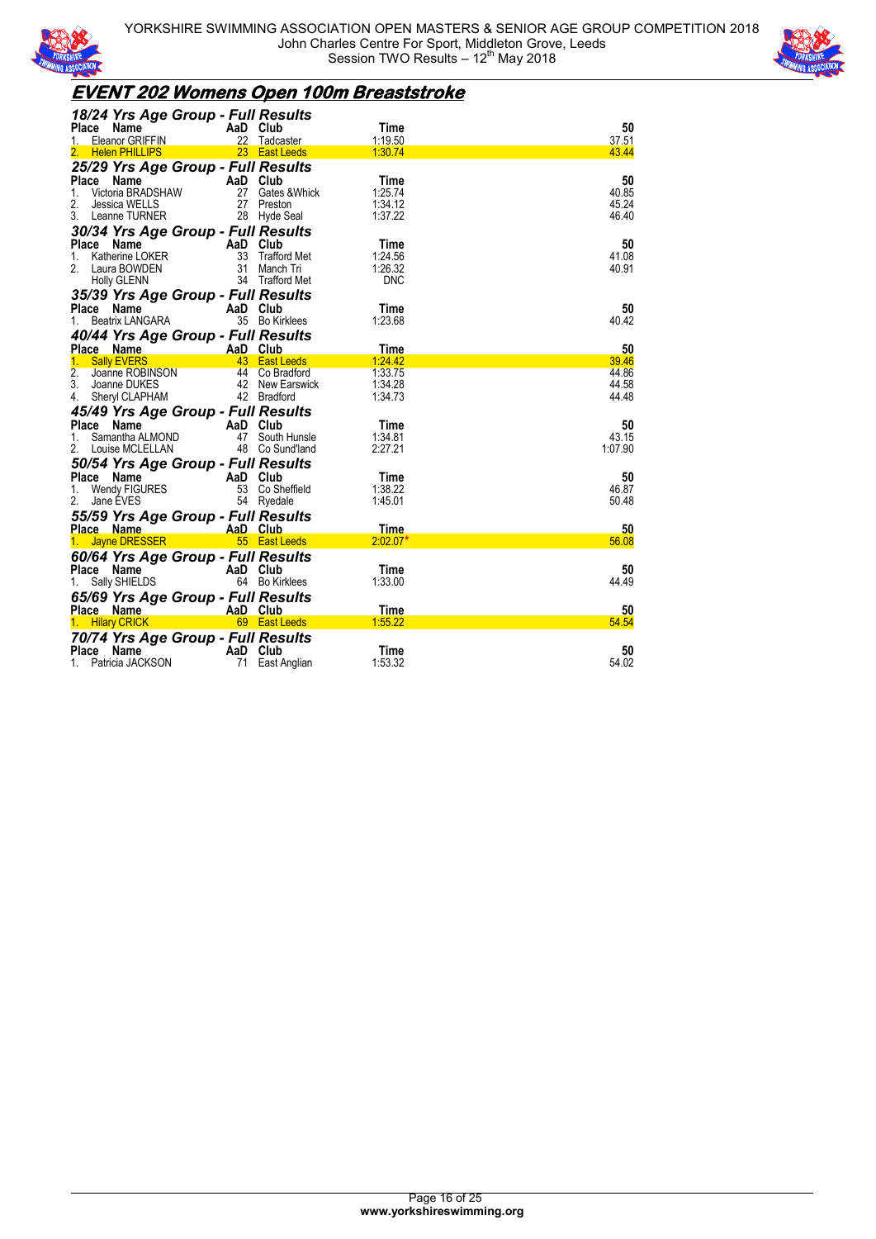



## **EVENT 202 Womens Open 100m Breaststroke**

| 18/24 Yrs Age Group - Full Results            |          |                   |                 |             |
|-----------------------------------------------|----------|-------------------|-----------------|-------------|
| Place<br>Name<br><b>Eleanor GRIFFIN</b><br>1. | AaD Club | 22 Tadcaster      | Time<br>1:19.50 | 50<br>37.51 |
| 2. Helen PHILLIPS                             |          | 23 East Leeds     | 1:30.74         | 43.44       |
| 25/29 Yrs Age Group - Full Results            |          |                   |                 |             |
| Place<br>Name $\overline{\phantom{a}}$        | AaD Club |                   | Time            | 50          |
| 1.<br>Victoria BRADSHAW                       |          | 27 Gates & Whick  | 1:25.74         | 40.85       |
| 2.<br>Jessica WELLS                           |          | 27 Preston        | 1:34.12         | 45.24       |
| 3. Leanne TURNER                              |          | 28 Hyde Seal      | 1:37.22         | 46.40       |
| 30/34 Yrs Age Group - Full Results            |          |                   |                 |             |
| Place Name                                    | AaD Club |                   | Time            | 50          |
| Katherine LOKER<br>1.                         |          | 33 Trafford Met   | 1:24.56         | 41.08       |
| 2. Laura BOWDEN                               |          | 31 Manch Tri      | 1:26.32         | 40.91       |
| Holly GLENN                                   |          | 34 Trafford Met   | <b>DNC</b>      |             |
| 35/39 Yrs Age Group - Full Results            |          |                   |                 |             |
| Place<br>Name                                 | AaD Club |                   | Time            | 50          |
| Beatrix LANGARA<br>1.                         |          | 35 Bo Kirklees    | 1:23.68         | 40.42       |
| 40/44 Yrs Age Group - Full Results            |          |                   |                 |             |
| Place Name<br><u> Liberatura de la c</u>      | AaD Club | <b>East Leeds</b> | Time<br>1:24.42 | 50<br>39.46 |
| <b>Sally EVERS</b><br>2.<br>Joanne ROBINSON   |          | 44 Co Bradford    | 1:33.75         | 44.86       |
| 3. Joanne DUKES                               |          | 42 New Earswick   | 1:34.28         | 44.58       |
| 4. Sheryl CLAPHAM                             |          | 42 Bradford       | 1:34.73         | 44.48       |
| 45/49 Yrs Age Group - Full Results            |          |                   |                 |             |
| Place Name                                    | AaD Club |                   | Time            | 50          |
| Samantha ALMOND<br>1.                         |          | 47 South Hunsle   | 1:34.81         | 43.15       |
| 2.<br>Louise MCLELLAN                         |          | 48 Co Sund'land   | 2:27.21         | 1:07.90     |
| 50/54 Yrs Age Group - Full Results            |          |                   |                 |             |
| Place<br>Name                                 | AaD Club |                   | Time            | 50          |
| Wendy FIGURES<br>1.                           |          | 53 Co Sheffield   | 1:38.22         | 46.87       |
| 2.<br>Jane EVES                               |          | 54 Ryedale        | 1:45.01         | 50.48       |
| 55/59 Yrs Age Group - Full Results            |          |                   |                 |             |
| Place Name                                    | AaD Club |                   | <b>Time</b>     | 50          |
| 1. Jayne DRESSER                              |          | 55 East Leeds     | $2:02.07*$      | 56.08       |
| 60/64 Yrs Age Group - Full Results            |          |                   |                 |             |
| Place Name                                    | AaD Club |                   | Time            | 50          |
| 1.<br>Sally SHIELDS                           |          | 64 Bo Kirklees    | 1:33.00         | 44.49       |
| 65/69 Yrs Age Group - Full Results            |          |                   |                 |             |
| Place Name                                    | AaD Club |                   | Time            | 50          |
| 1. Hilary CRICK                               |          | 69 East Leeds     | 1:55.22         | 54.54       |
| 70/74 Yrs Age Group - Full Results            |          |                   |                 |             |
| Place<br>Name                                 | AaD Club |                   | Time            | 50          |
| Patricia JACKSON<br>1.                        |          | 71 East Anglian   | 1:53.32         | 54.02       |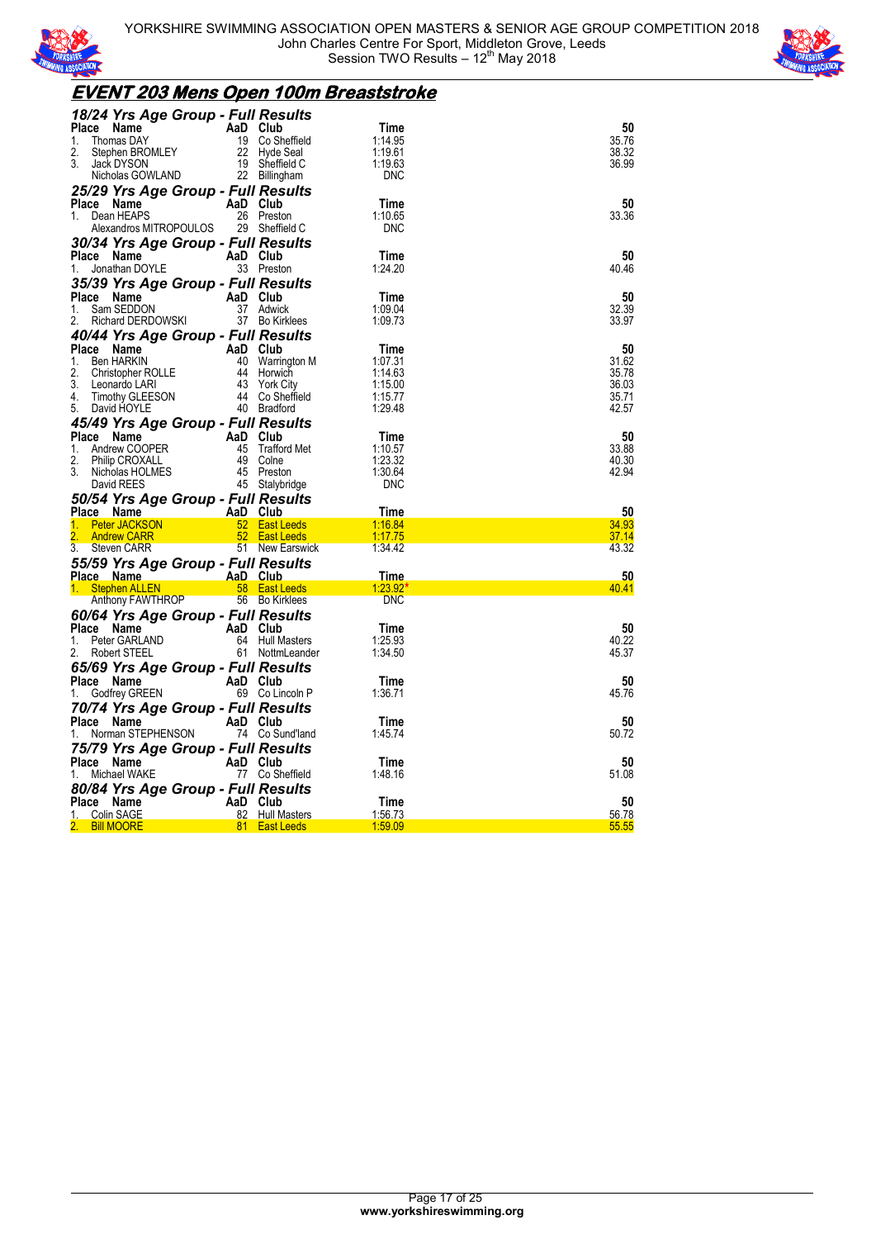



### **EVENT 203 Mens Open 100m Breaststroke**

| 18/24 Yrs Age Group - Full Results                                                                             |          |                                  |                    |                |
|----------------------------------------------------------------------------------------------------------------|----------|----------------------------------|--------------------|----------------|
| Place Name<br>AaD Club<br>19 Co She<br>1.<br>Thomas DAY                                                        |          | 19 Co Sheffield                  | Time<br>1:14.95    | 50<br>35.76    |
| 2.<br>Stephen BROMLEY                                                                                          |          | 22 Hyde Seal                     | 1:19.61            | 38.32          |
| 3.<br>Jack DYSON                                                                                               |          | 19 Sheffield C                   | 1:19.63            | 36.99          |
| Nicholas GOWLAND                                                                                               |          | 22 Billingham                    | <b>DNC</b>         |                |
| 25/29 Yrs Age Group - Full Results                                                                             |          |                                  |                    |                |
| Place Name                                                                                                     | AaD Club |                                  | Time               | 50             |
| Dean HEAPS<br>1.                                                                                               |          | 26 Preston                       | 1:10.65            | 33.36          |
| Alexandros MITROPOULOS                                                                                         |          | 29 Sheffield C                   | <b>DNC</b>         |                |
| 30/34 Yrs Age Group - Full Results                                                                             |          |                                  |                    |                |
| Place Name                                                                                                     | AaD Club |                                  | Time               | 50             |
| Jonathan DOYLE<br>1.                                                                                           |          | 33 Preston                       | 1:24.20            | 40.46          |
| 35/39 Yrs Age Group - Full Results                                                                             |          |                                  |                    |                |
| Place Name                                                                                                     | AaD Club |                                  | Time               | 50             |
| 1.<br>Sam SEDDON                                                                                               |          | 37 Adwick                        | 1:09.04            | 32.39          |
| Richard DERDOWSKI<br>2.                                                                                        |          | 37 Bo Kirklees                   | 1:09.73            | 33.97          |
| 40/44 Yrs Age Group - Full Results                                                                             |          |                                  |                    |                |
| Place Name<br>Ce Name AaD Club<br>Ben HARKIN 40 Warrin<br>Christopher ROLLE 44 Horwid<br>Leonardo LARI 43 York |          |                                  | Time               | 50             |
| 1.                                                                                                             |          | 40 Warrington M                  | 1:07.31            | 31.62          |
| 2.                                                                                                             |          | 44 Horwich                       | 1.14.63            | 35.78          |
| 3.                                                                                                             |          | 43 York City                     | 1:15.00            | 36.03          |
| 4.<br>Timothy GLEESON                                                                                          |          | 44 Co Sheffield                  | 1:15.77            | 35.71          |
| 5. David HOYLE                                                                                                 |          | 40 Bradford                      | 1:29.48            | 42.57          |
| 45/49 Yrs Age Group - Full Results                                                                             |          |                                  |                    |                |
| Place Name<br>PER<br>PER 45 Traffor                                                                            |          |                                  | Time               | 50             |
| Andrew COOPER<br>1.                                                                                            |          | 45 Trafford Met                  | 1:10.57            | 33.88          |
| 2.<br>Philip CROXALL<br>3.<br>Nicholas HOLMES                                                                  |          | 49 Colne<br>45 Preston           | 1:23.32<br>1:30.64 | 40.30<br>42.94 |
|                                                                                                                |          |                                  |                    |                |
|                                                                                                                |          |                                  |                    |                |
| David REES                                                                                                     |          | 45 Stalybridge                   | <b>DNC</b>         |                |
| 50/54 Yrs Age Group - Full Results                                                                             |          |                                  |                    |                |
| - AaD Club<br>Place Name                                                                                       |          |                                  | Time               | 50             |
| <b>Peter JACKSON</b><br>1.<br><b>Andrew CARR</b>                                                               |          | 52 East Leeds<br>52 East Leeds   | 1:16.84<br>1:17.75 | 34.93<br>37.14 |
| 3.<br>Steven CARR                                                                                              |          | 51 New Earswick                  | 1:34.42            | 43.32          |
|                                                                                                                |          |                                  |                    |                |
| 55/59 Yrs Age Group - Full Results<br>Place Name                                                               |          |                                  | <u>Time</u>        | 50             |
|                                                                                                                |          |                                  | $1:23.92*$         | 40.41          |
| ce Name (Capacal AaD Club)<br>Stephen ALLEN (Stephen ALLEN<br>Anthony FAWTHROP                                 |          | 56 Bo Kirklees                   | <b>DNC</b>         |                |
|                                                                                                                |          |                                  |                    |                |
| 60/64 Yrs Age Group - Full Results<br>Place Name                                                               | AaD Club |                                  | Time               | 50             |
| Peter GARLAND<br>1.                                                                                            |          | 64 Hull Masters                  | 1:25.93            | 40.22          |
| 2.<br>Robert STEEL                                                                                             |          | 61 NottmLeander                  | 1:34.50            | 45.37          |
|                                                                                                                |          |                                  |                    |                |
| 65/69 Yrs Age Group - Full Results<br>Place Name                                                               | AaD Club |                                  | Time               | 50             |
| 1.                                                                                                             |          | 69 Co Lincoln P                  | 1:36.71            | 45.76          |
| <b>E Name</b><br>Godfrey GREEN                                                                                 |          |                                  |                    |                |
| 70/74 Yrs Age Group - Full Results<br>Place Name                                                               | AaD Club |                                  | Time               | 50             |
| Norman STEPHENSON                                                                                              |          | 74 Co Sund'land                  | 1:45.74            | 50.72          |
|                                                                                                                |          |                                  |                    |                |
| 75/79 Yrs Age Group - Full Results<br>Place Name                                                               | AaD Club |                                  | Time               | 50             |
| Michael WAKE<br>1.                                                                                             |          | 77 Co Sheffield                  | 1:48.16            | 51.08          |
|                                                                                                                |          |                                  |                    |                |
| 80/84 Yrs Age Group - Full Results<br>Place Name                                                               | AaD Club |                                  | Time               | 50             |
| Colin SAGE<br>1.                                                                                               |          | 82 Hull Masters<br>81 East Leeds | 1:56.73<br>1:59.09 | 56.78<br>55.55 |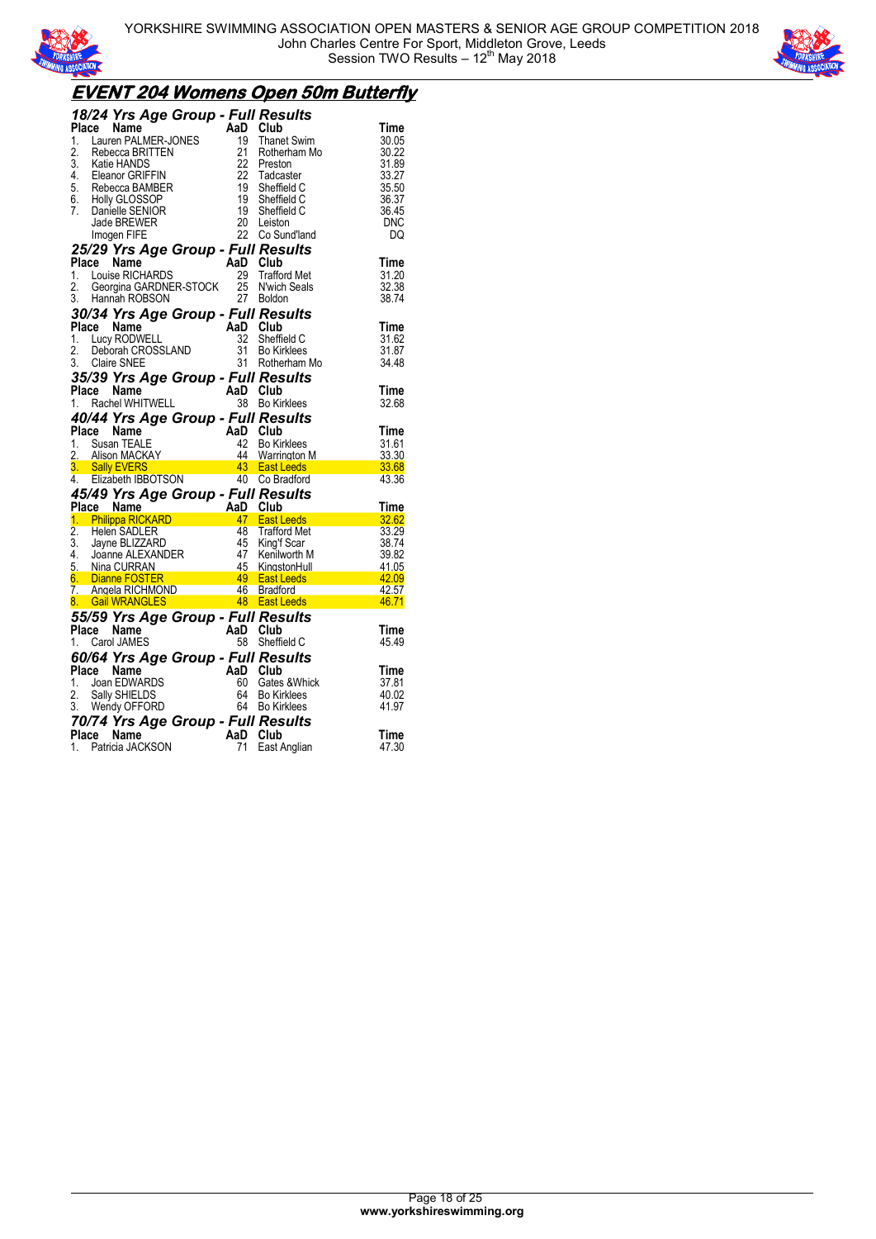



## **EVENT 204 Womens Open 50m Butterfly**

|       |       | 18/24 Yrs Age Group - Full Results                                                                                                 |                                                      |                                                                           |                       |
|-------|-------|------------------------------------------------------------------------------------------------------------------------------------|------------------------------------------------------|---------------------------------------------------------------------------|-----------------------|
| Place |       | Name                                                                                                                               | AaD Club                                             |                                                                           | Time                  |
| 1.    |       | Lauren PALMER-JONES<br>Rebecca BRITTEN<br>Katie HANDS<br>Eleanor GRIFFIN                                                           | 19                                                   | <b>Thanet Swim</b>                                                        | 30.05                 |
| 2.    |       |                                                                                                                                    | 21                                                   | Rotherham Mo                                                              | 30.22                 |
|       |       |                                                                                                                                    | 22                                                   | Preston                                                                   | 31.89                 |
|       |       |                                                                                                                                    | -22                                                  | Tadcaster                                                                 | 33.27                 |
|       |       |                                                                                                                                    | $\frac{19}{19}$                                      | Sheffield C                                                               | 35.50                 |
|       |       |                                                                                                                                    |                                                      |                                                                           |                       |
|       |       | 2.<br>S. Katie HANDS<br>4. Eleanor GRIFFIN<br>5. Rebecca BAMBER<br>6. Holly GLOSSOP<br>7. Danielle SEMIOR                          | 19                                                   | Sheffield C                                                               | 36.37                 |
|       |       |                                                                                                                                    | 20                                                   | Sheffield C                                                               | 36.45                 |
|       |       | Jade BREWER                                                                                                                        |                                                      | Leiston                                                                   | <b>DNC</b>            |
|       |       | Imogen FIFE                                                                                                                        | 22                                                   | Co Sund'land                                                              | DQ                    |
|       |       | 25/29 Yrs Age Group - Full Results                                                                                                 |                                                      |                                                                           |                       |
|       |       | Place Name                                                                                                                         | AaD Club                                             |                                                                           | Time                  |
| 1.    |       | Louise RICHARDS                                                                                                                    | 29                                                   | <b>Trafford Met</b>                                                       | 31.20                 |
| 2.    |       | Georgina GARDNER-STOCK                                                                                                             | 25                                                   | N'wich Seals                                                              | 32.38                 |
|       |       | 3. Hannah ROBSON                                                                                                                   |                                                      | 27 Boldon                                                                 | 38.74                 |
|       |       | 30/34 Yrs Age Group - Full Results                                                                                                 |                                                      |                                                                           |                       |
|       |       | Place Name                                                                                                                         | AaD Club                                             |                                                                           | Time                  |
| 1.    |       | Lucy RODWELL                                                                                                                       | 32                                                   | Sheffield C                                                               | 31.62                 |
| 2.    |       | Deborah CROSSLAND                                                                                                                  | 31                                                   | <b>Bo Kirklees</b>                                                        | 31.87                 |
|       |       | 3. Claire SNEE                                                                                                                     |                                                      | 31 Rotherham Mo                                                           | 34.48                 |
|       |       |                                                                                                                                    |                                                      |                                                                           |                       |
|       |       | 35/39 Yrs Age Group - Full Results                                                                                                 |                                                      |                                                                           |                       |
|       |       |                                                                                                                                    |                                                      |                                                                           | Time                  |
|       |       |                                                                                                                                    |                                                      |                                                                           | 32.68                 |
|       |       | Place Name<br>1. Rachel WHITWELL<br><b>40/44 Yrs Age Group - Full Results</b>                                                      |                                                      |                                                                           |                       |
|       |       | Name                                                                                                                               |                                                      |                                                                           |                       |
| Place |       |                                                                                                                                    |                                                      |                                                                           | Time                  |
|       |       | Susan TEALE                                                                                                                        | AaD Club<br>42                                       | <b>Bo Kirklees</b>                                                        | 31.61                 |
| 1.    |       |                                                                                                                                    |                                                      |                                                                           | 33.30                 |
|       |       |                                                                                                                                    |                                                      | 44 Warrington M                                                           |                       |
|       |       |                                                                                                                                    |                                                      |                                                                           | 33.68<br>43.36        |
|       |       | 1. Susan IEALE<br>2. Alison MACKAY 44 Warrington NG<br><b>3. Sally EVERS 43 East Leeds</b><br>4. Elizabeth IBBOTSON 40 Co Bradford |                                                      |                                                                           |                       |
|       |       | 45/49 Yrs Age Group - Full Results                                                                                                 |                                                      |                                                                           |                       |
|       |       |                                                                                                                                    |                                                      |                                                                           | Time                  |
|       |       | Place Name (1995)<br><u>1. Philippa RICKARD (1995)</u><br>1. Philippa RICKARD (1996)                                               |                                                      | 47 East Leeds                                                             | 32.62                 |
|       |       |                                                                                                                                    |                                                      | <b>Trafford Met</b>                                                       | 38.74                 |
|       |       |                                                                                                                                    |                                                      | King'f Scar                                                               | $\frac{33.29}{32.29}$ |
|       |       |                                                                                                                                    |                                                      | Kenilworth M                                                              | 39.82                 |
|       |       |                                                                                                                                    |                                                      | KingstonHull                                                              |                       |
|       |       | 2. Helen SADLER<br>3. Jayne BLIZZARD<br>4. Joanne ALEXANDER<br>5. Nina CURRAN<br>5. Dianne FOSTER<br>6. Dianne FOSTER<br>45        |                                                      |                                                                           | $\frac{41.05}{42.09}$ |
|       |       | 7. Angela RICHMOND                                                                                                                 |                                                      |                                                                           | 42.57                 |
|       |       | 8. Gail WRANGLES                                                                                                                   |                                                      | Erven a 45 KingstonHul<br>19 East Leeds<br>D 46 Bradford<br>18 East Leeds |                       |
|       |       |                                                                                                                                    |                                                      |                                                                           |                       |
|       | Place | 55/59 Yrs Age Group - Full Results<br>Place Name - AaD Club<br>1 Cerel LAMES                                                       |                                                      |                                                                           | Time                  |
|       |       | 1. Carol JAMES                                                                                                                     | 58                                                   | Sheffield C                                                               | 45.49                 |
|       |       | 60/64 Yrs Age Group - Full Results                                                                                                 |                                                      |                                                                           |                       |
|       |       | Place Name                                                                                                                         |                                                      |                                                                           | Time                  |
| 1.    |       | Joan EDWARDS                                                                                                                       |                                                      | Gates & Whick                                                             | 37.81                 |
| 2.    |       | Sally SHIELDS                                                                                                                      |                                                      | <b>Bo Kirklees</b>                                                        | 40.02                 |
|       |       |                                                                                                                                    | AaD Club<br>60 Gates<br>64 Bo Kir<br>64 Bo Kir<br>64 | <b>Bo Kirklees</b>                                                        | 41.97                 |
|       |       | 3. Wendy OFFORD                                                                                                                    |                                                      |                                                                           |                       |
|       |       | 70/74 Yrs Age Group - Full Results                                                                                                 |                                                      |                                                                           |                       |
|       | Place | Name<br>1. Patricia JACKSON                                                                                                        | AaD Club<br>71                                       | East Anglian                                                              | Time<br>47.30         |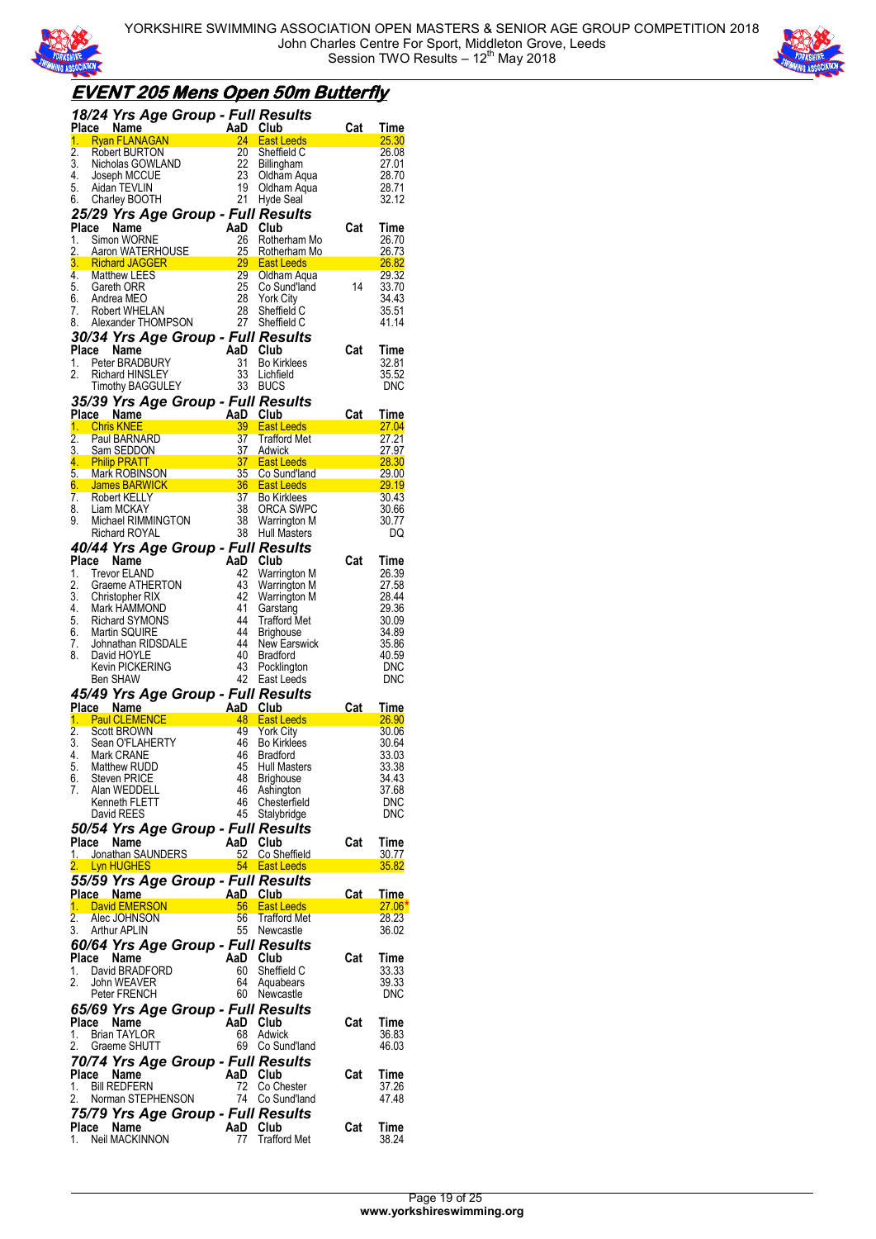



## **EVENT 205 Mens Open 50m Butterfly**

|                  | 18/24 Yrs Age Group - Full Results                                                                                                                                          |                                                 |                |                                                                                                                                                                                                                                                            |                 |                       |
|------------------|-----------------------------------------------------------------------------------------------------------------------------------------------------------------------------|-------------------------------------------------|----------------|------------------------------------------------------------------------------------------------------------------------------------------------------------------------------------------------------------------------------------------------------------|-----------------|-----------------------|
|                  |                                                                                                                                                                             |                                                 |                | Place Name<br>1. Ryan FLANAGAN<br>2. Robert BURTON<br>2. Robert BURTON<br>3. Nicholas GOWLAND<br>4. Joseph MCCUE<br>5. Aidan TEVLIN<br>6. Charley BOOTH<br>21 Hyde Seal                                                                                    | Cat             | Time                  |
|                  |                                                                                                                                                                             |                                                 |                |                                                                                                                                                                                                                                                            |                 | 25.30<br>26.08        |
|                  |                                                                                                                                                                             |                                                 |                |                                                                                                                                                                                                                                                            |                 | 27.01                 |
|                  |                                                                                                                                                                             |                                                 |                |                                                                                                                                                                                                                                                            |                 | 28.70                 |
|                  |                                                                                                                                                                             |                                                 |                |                                                                                                                                                                                                                                                            |                 | 28.71                 |
|                  |                                                                                                                                                                             |                                                 |                |                                                                                                                                                                                                                                                            |                 | 32.12                 |
|                  | 25/29 Yrs Age Group - Full Results                                                                                                                                          |                                                 |                |                                                                                                                                                                                                                                                            |                 |                       |
|                  |                                                                                                                                                                             |                                                 | AaD Club       |                                                                                                                                                                                                                                                            |                 | Time                  |
|                  |                                                                                                                                                                             |                                                 |                |                                                                                                                                                                                                                                                            |                 | 26.70                 |
|                  |                                                                                                                                                                             |                                                 |                | <b>Place Name</b><br>1. Simon WORNE<br>2. Aaron WATERHOUSE<br>2. Richard JAGGER<br>3. Richard JAGGER<br>29 East Leeds<br>2. Matthew LEES<br>25 Co Sund'land<br>25 Co Sund'land<br>2. Matthew LEES<br>2. Co Sund'land<br>2. Co Sund'land<br>2. Co Sund'land |                 | 26.73<br><b>26.82</b> |
|                  |                                                                                                                                                                             |                                                 |                |                                                                                                                                                                                                                                                            | <u> a san a</u> | 29.32                 |
|                  |                                                                                                                                                                             |                                                 |                |                                                                                                                                                                                                                                                            |                 | 33.70                 |
|                  |                                                                                                                                                                             |                                                 |                |                                                                                                                                                                                                                                                            |                 | 34.43                 |
| 7.               | Robert WHELAN<br>7. Robert WHELAN 28 Sheffield C<br>8. Alexander THOMPSON 27 Sheffield C                                                                                    |                                                 | 28             | Sheffield C                                                                                                                                                                                                                                                |                 | 35.51                 |
|                  |                                                                                                                                                                             |                                                 |                |                                                                                                                                                                                                                                                            |                 | 41.14                 |
|                  |                                                                                                                                                                             |                                                 |                |                                                                                                                                                                                                                                                            |                 |                       |
|                  |                                                                                                                                                                             |                                                 |                |                                                                                                                                                                                                                                                            | Cat             | Time<br>32.81         |
|                  |                                                                                                                                                                             |                                                 |                |                                                                                                                                                                                                                                                            |                 | 35.52                 |
|                  | <b>30/34 Yrs Age Group - Full Results<br/> Place Name AaD Club<br/> 1. Peter BRADBURY 31 Bo Kirklees<br/> 2. Richard HINSLEY 33 Lichfield<br/> Timothy BAGGULEY 33 BUCS</b> |                                                 |                |                                                                                                                                                                                                                                                            |                 | DNC                   |
|                  | 35/39 Yrs Age Group - Full Results                                                                                                                                          |                                                 |                |                                                                                                                                                                                                                                                            |                 |                       |
|                  |                                                                                                                                                                             |                                                 |                | Place Name Car Time<br>2. Paul BARNARD 37 Trafford Met<br>1. Chris KNEE 3.3 Trafford Met<br>2. Paul BARNARD 37 Trafford Met<br>3. Sam SEDDON 37 Adwick 27.97<br>4. Philip PRATT 37 East Leeds 28.30<br>5. Mark ROBINSON 35 Co Sund'land 29                 |                 |                       |
|                  |                                                                                                                                                                             |                                                 |                |                                                                                                                                                                                                                                                            |                 |                       |
|                  |                                                                                                                                                                             |                                                 |                |                                                                                                                                                                                                                                                            |                 |                       |
|                  |                                                                                                                                                                             |                                                 |                |                                                                                                                                                                                                                                                            |                 |                       |
|                  |                                                                                                                                                                             |                                                 |                |                                                                                                                                                                                                                                                            |                 |                       |
|                  |                                                                                                                                                                             |                                                 |                |                                                                                                                                                                                                                                                            |                 |                       |
|                  |                                                                                                                                                                             |                                                 |                |                                                                                                                                                                                                                                                            |                 |                       |
|                  | 8. Liam MCKAY<br>9. Michael RIMMINGTON<br>Richard ROYAL                                                                                                                     |                                                 |                | 38 ORCA SWPC<br>38 Warrington M<br>38 Hull Masters                                                                                                                                                                                                         |                 | 30.66                 |
|                  |                                                                                                                                                                             |                                                 |                |                                                                                                                                                                                                                                                            |                 | 30.77                 |
|                  | Richard ROYAL                                                                                                                                                               |                                                 |                |                                                                                                                                                                                                                                                            |                 | DQ                    |
|                  | 40/44 Yrs Age Group - Full Results                                                                                                                                          |                                                 |                |                                                                                                                                                                                                                                                            |                 |                       |
| Place<br>1.      | Name<br>Trevor ELAND                                                                                                                                                        |                                                 | AaD Club<br>42 | Warrington M                                                                                                                                                                                                                                               | Cat             | Time<br>26.39         |
| 2.               | Graeme ATHERTON                                                                                                                                                             |                                                 |                | 43 Warrington M                                                                                                                                                                                                                                            |                 | 27.58                 |
|                  | 3. Christopher RIX                                                                                                                                                          |                                                 |                | 42 Warrington M                                                                                                                                                                                                                                            |                 | 28.44                 |
|                  | 4. Mark HAMMOND<br>5. Richard SYMONS                                                                                                                                        |                                                 | 41             | Garstang                                                                                                                                                                                                                                                   |                 | 29.36                 |
|                  |                                                                                                                                                                             |                                                 | 44             | <b>Trafford Met</b>                                                                                                                                                                                                                                        |                 | 30.09                 |
| 7.               | 6. Martin SQUIRE                                                                                                                                                            |                                                 | 44<br>44       | <b>Brighouse</b><br>New Earswick                                                                                                                                                                                                                           |                 | 34.89<br>35.86        |
| 8.               | Johnathan RIDSDALE<br>David HOYLE<br>Kevin PICKERING                                                                                                                        |                                                 | 40             | <b>Bradford</b>                                                                                                                                                                                                                                            |                 | 40.59                 |
|                  |                                                                                                                                                                             |                                                 | 43             | Pocklington                                                                                                                                                                                                                                                |                 | DNC                   |
|                  | Ben SHAW                                                                                                                                                                    |                                                 |                | 42 East Leeds                                                                                                                                                                                                                                              |                 | <b>DNC</b>            |
|                  | 45/49 Yrs Age Group - Full Results                                                                                                                                          |                                                 |                |                                                                                                                                                                                                                                                            |                 |                       |
|                  | Place Name                                                                                                                                                                  | an Res<br>AaD Club<br>A8 East <sup>1</sup><br>Y |                |                                                                                                                                                                                                                                                            | Cat             | Time                  |
|                  | 1. Paul CLEMENCE                                                                                                                                                            |                                                 |                | 48 East Leeds<br>49 York City                                                                                                                                                                                                                              |                 | <u>26.90</u>          |
| $\overline{2}$ . | <b>Scott BROWN</b><br>3. Sean O'FLAHERTY                                                                                                                                    |                                                 |                | 46 Bo Kirklees                                                                                                                                                                                                                                             |                 | 30.06<br>30.64        |
|                  | 4. Mark CRANE                                                                                                                                                               |                                                 | 46             | <b>Bradford</b>                                                                                                                                                                                                                                            |                 | 33.03                 |
|                  | 5 Matthew RUDD                                                                                                                                                              |                                                 |                | 45 Hull Masters                                                                                                                                                                                                                                            |                 | 33.38                 |
| 6.               | <b>Steven PRICE</b>                                                                                                                                                         |                                                 | 48             | Brighouse                                                                                                                                                                                                                                                  |                 | 34.43                 |
| 7.               | Alan WEDDELL                                                                                                                                                                |                                                 | 46             | Ashington                                                                                                                                                                                                                                                  |                 | 37.68                 |
|                  | Kenneth FLETT<br>David REES                                                                                                                                                 |                                                 | 46<br>45       | Chesterfield<br>Stalybridge                                                                                                                                                                                                                                |                 | <b>DNC</b><br>DNC     |
|                  |                                                                                                                                                                             |                                                 |                |                                                                                                                                                                                                                                                            |                 |                       |
| Place            | 50/54 Yrs Age Group - Full Results<br>Name                                                                                                                                  |                                                 | AaD            | Club                                                                                                                                                                                                                                                       | Cat             | Time                  |
|                  | 1. Jonathan SAUNDERS                                                                                                                                                        |                                                 | 52             | Co Sheffield                                                                                                                                                                                                                                               |                 | 30.77                 |
| 2.1              | Lyn HUGHES                                                                                                                                                                  |                                                 |                | 54 East Leeds                                                                                                                                                                                                                                              |                 | 35.82                 |
|                  | 55/59 Yrs Age Group - Full Results                                                                                                                                          |                                                 |                |                                                                                                                                                                                                                                                            |                 |                       |
|                  | Place Name                                                                                                                                                                  |                                                 | AaD            | <b>Club</b>                                                                                                                                                                                                                                                | <u>Cat</u>      | <u>Time</u>           |
| 1.               | David EMERSON                                                                                                                                                               |                                                 | 56             | <b>East Leeds</b>                                                                                                                                                                                                                                          |                 | $27.06*$              |
| 2.               | Alec JOHNSON                                                                                                                                                                |                                                 | 56             | <b>Trafford Met</b>                                                                                                                                                                                                                                        |                 | 28.23                 |
| 3.               | <b>Arthur APLIN</b>                                                                                                                                                         |                                                 |                | 55 Newcastle                                                                                                                                                                                                                                               |                 | 36.02                 |
|                  | 60/64 Yrs Age Group - Full Results                                                                                                                                          |                                                 |                |                                                                                                                                                                                                                                                            |                 |                       |
| Place            | Name                                                                                                                                                                        |                                                 | AaD            | Club                                                                                                                                                                                                                                                       | Cat             | Time                  |
| 1.<br>2.         | David BRADFORD<br>John WEAVER                                                                                                                                               |                                                 | 60<br>64       | Sheffield C<br>Aquabears                                                                                                                                                                                                                                   |                 | 33.33<br>39.33        |
|                  | Peter FRENCH                                                                                                                                                                |                                                 | 60             | Newcastle                                                                                                                                                                                                                                                  |                 | DNC                   |
|                  | 65/69 Yrs Age Group - Full Results                                                                                                                                          |                                                 |                |                                                                                                                                                                                                                                                            |                 |                       |
| Place            | Name                                                                                                                                                                        |                                                 | AaD            | Club                                                                                                                                                                                                                                                       | Cat             | Time                  |
| 1.               | <b>Brian TAYLOR</b>                                                                                                                                                         |                                                 | 68             | Adwick                                                                                                                                                                                                                                                     |                 | 36.83                 |
| 2.               | Graeme SHUTT                                                                                                                                                                |                                                 | 69             | Co Sund'land                                                                                                                                                                                                                                               |                 | 46.03                 |
|                  | 70/74 Yrs Age Group - Full Results                                                                                                                                          |                                                 |                |                                                                                                                                                                                                                                                            |                 |                       |
| Place            | Name                                                                                                                                                                        |                                                 | AaD            | Club                                                                                                                                                                                                                                                       | Cat             | Time                  |
| 1.               | <b>Bill REDFERN</b>                                                                                                                                                         |                                                 | 72             | Co Chester                                                                                                                                                                                                                                                 |                 | 37.26                 |
| 2.               | Norman STEPHENSON                                                                                                                                                           |                                                 | 74             | Co Sund'land                                                                                                                                                                                                                                               |                 | 47.48                 |
|                  | 75/79 Yrs Age Group - Full Results                                                                                                                                          |                                                 |                |                                                                                                                                                                                                                                                            |                 |                       |
| Place            | Name                                                                                                                                                                        |                                                 | AaD            | Club                                                                                                                                                                                                                                                       | Cat             | Time                  |
| 1.               | Neil MACKINNON                                                                                                                                                              |                                                 | 77             | <b>Trafford Met</b>                                                                                                                                                                                                                                        |                 | 38.24                 |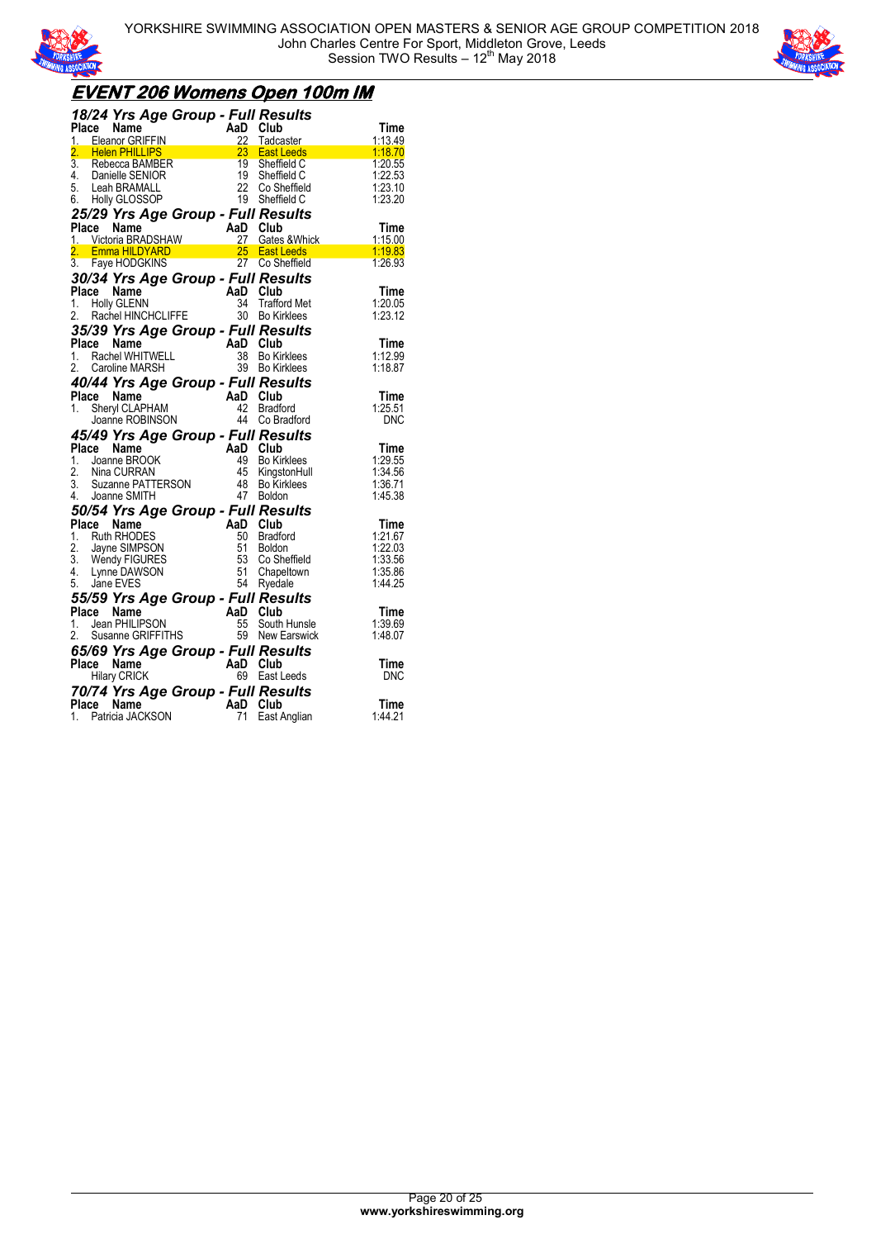



## **EVENT 206 Womens Open 100m IM**

|              | 18/24 Yrs Age Group - Full Results                                                                                                                                                         |          |                 |                                                                                                                                                                                                                                                                |                                                                                                                                                                                                |
|--------------|--------------------------------------------------------------------------------------------------------------------------------------------------------------------------------------------|----------|-----------------|----------------------------------------------------------------------------------------------------------------------------------------------------------------------------------------------------------------------------------------------------------------|------------------------------------------------------------------------------------------------------------------------------------------------------------------------------------------------|
|              | $\frac{1}{2}$ Protocol CRIFFIN And $\frac{1}{2}$ Protocol CRIFFIN $\frac{2}{2}$ Protocol Club                                                                                              |          |                 | ace Name<br>Eleanor GRIFFIN<br>Helen PHILLIPS<br>Rebecca BAMBER<br>Danielle SENIOR<br>Lean BRAMALL<br>Lean BRAMALL<br>Lean BRAMALL<br>CLOSSOP<br>19 Sheffield C<br>CLOSSOP<br>19 Sheffield C<br>CLOSSOP<br>19 Sheffield C<br>CLOSSOP<br>19 Sheffield C<br>CLOS | Time                                                                                                                                                                                           |
|              |                                                                                                                                                                                            |          |                 |                                                                                                                                                                                                                                                                | 1:13.49<br>$\begin{array}{llll}\n & & 1:13.49 \\ \text{East Leeds} & & 1:18.70 \\ \text{Sheffield C} & & 1:20.55 \\ \text{Sheffield} & & 1:22.53 \\ \text{Sheffield} & & 1:23.10\n\end{array}$ |
|              | 2. Helen PHILLIPS                                                                                                                                                                          |          |                 |                                                                                                                                                                                                                                                                |                                                                                                                                                                                                |
| 3.<br>4.     |                                                                                                                                                                                            |          |                 |                                                                                                                                                                                                                                                                |                                                                                                                                                                                                |
| 5.           |                                                                                                                                                                                            |          |                 |                                                                                                                                                                                                                                                                |                                                                                                                                                                                                |
|              | 6. Holly GLOSSOP                                                                                                                                                                           |          |                 |                                                                                                                                                                                                                                                                | 1:23.20                                                                                                                                                                                        |
|              |                                                                                                                                                                                            |          |                 | 25/29 Yrs Age Group - Full Results                                                                                                                                                                                                                             |                                                                                                                                                                                                |
|              |                                                                                                                                                                                            |          |                 |                                                                                                                                                                                                                                                                | Time                                                                                                                                                                                           |
|              |                                                                                                                                                                                            |          |                 |                                                                                                                                                                                                                                                                |                                                                                                                                                                                                |
|              |                                                                                                                                                                                            |          |                 |                                                                                                                                                                                                                                                                |                                                                                                                                                                                                |
|              |                                                                                                                                                                                            |          |                 | 23/23 The Age of Contract Contract Contract Contract Contract Contract Contract Contract Contract Contract Contract Contract Contract Contract Contract Contract Contract Contract Contract Contract Contract Contract Contrac                                 | $\begin{array}{r} \n 115.00 \\  \hline\n 119.83 \\  \hline\n 1:26.93\n \end{array}$                                                                                                            |
|              | 30/34 Yrs Age Group - Full Results                                                                                                                                                         |          |                 |                                                                                                                                                                                                                                                                |                                                                                                                                                                                                |
| Place Name   |                                                                                                                                                                                            | AaD Club |                 |                                                                                                                                                                                                                                                                | Time                                                                                                                                                                                           |
|              | 1. Holly GLENN                                                                                                                                                                             |          |                 | 34 Trafford Met                                                                                                                                                                                                                                                | 1:20.05                                                                                                                                                                                        |
|              | 2. Rachel HINCHCLIFFE                                                                                                                                                                      |          | 30 <sup>2</sup> | <b>Bo Kirklees</b>                                                                                                                                                                                                                                             | 1:23.12                                                                                                                                                                                        |
|              | 35/39 Yrs Age Group - Full Results                                                                                                                                                         |          |                 |                                                                                                                                                                                                                                                                |                                                                                                                                                                                                |
|              |                                                                                                                                                                                            |          | AaD Club        |                                                                                                                                                                                                                                                                | Time                                                                                                                                                                                           |
|              |                                                                                                                                                                                            |          | 38              | <b>Bo Kirklees</b>                                                                                                                                                                                                                                             | 1:12.99                                                                                                                                                                                        |
|              | <b>Place Name (2008)</b><br>1. Rachel WHITWELL<br>2. Caroline MARSH<br>2. Caroline MARSH                                                                                                   |          |                 | 39 Bo Kirklees                                                                                                                                                                                                                                                 | 1:18.87                                                                                                                                                                                        |
|              | 40/44 Yrs Age Group - Full Results                                                                                                                                                         |          |                 |                                                                                                                                                                                                                                                                |                                                                                                                                                                                                |
|              |                                                                                                                                                                                            |          |                 |                                                                                                                                                                                                                                                                | Time                                                                                                                                                                                           |
|              |                                                                                                                                                                                            |          |                 | <b>Bradford</b>                                                                                                                                                                                                                                                | 1:25.51                                                                                                                                                                                        |
|              | Prace Name<br>1. Sheryl CLAPHAM<br>Joanne ROBINSON<br>44 Co Br<br>15/10 Y                                                                                                                  |          |                 | 44 Co Bradford                                                                                                                                                                                                                                                 | <b>DNC</b>                                                                                                                                                                                     |
|              | 45/49 Yrs Age Group - Full Results                                                                                                                                                         |          |                 |                                                                                                                                                                                                                                                                |                                                                                                                                                                                                |
|              | <b>457/45 TTS Age Street And Club</b><br><b>Place Name BROOK</b><br>1. Joanne BROOK 49 Bo Kings<br>2. Nina CURRAN 45 Kings<br>3. Suzanne PATTERSON 48 Bo Kings<br>4. Joanne SMITH 47 Boldo |          |                 |                                                                                                                                                                                                                                                                | Time                                                                                                                                                                                           |
|              |                                                                                                                                                                                            |          |                 | <b>Bo Kirklees</b>                                                                                                                                                                                                                                             | 1:29.55                                                                                                                                                                                        |
|              |                                                                                                                                                                                            |          |                 | KingstonHull                                                                                                                                                                                                                                                   | 1:34.56                                                                                                                                                                                        |
|              |                                                                                                                                                                                            |          |                 | Bo Kirklees                                                                                                                                                                                                                                                    | 1:36.71                                                                                                                                                                                        |
|              | 4. Joanne SMITH                                                                                                                                                                            |          |                 | 47 Boldon                                                                                                                                                                                                                                                      | 1:45.38                                                                                                                                                                                        |
|              |                                                                                                                                                                                            |          |                 | 50/54 Yrs Age Group - Full Results                                                                                                                                                                                                                             |                                                                                                                                                                                                |
| Place Name   |                                                                                                                                                                                            |          |                 | AaD Club<br>50 Bradford<br>51 Boldon<br>53 Co Sheff<br>54 Ryedale                                                                                                                                                                                              | Time                                                                                                                                                                                           |
|              | 1. Ruth RHODES                                                                                                                                                                             |          |                 | <b>Bradford</b>                                                                                                                                                                                                                                                | 1:21.67                                                                                                                                                                                        |
|              |                                                                                                                                                                                            |          |                 |                                                                                                                                                                                                                                                                | 1:22.03                                                                                                                                                                                        |
|              | 1. Null NHODES<br>2. Jayne SIMPSON<br>3. Wendy FIGURES<br>4. Lynne DAWSON                                                                                                                  |          |                 |                                                                                                                                                                                                                                                                | 1:33.56                                                                                                                                                                                        |
|              |                                                                                                                                                                                            |          |                 | Boldon<br>Co Sheffield<br>Chanaltown                                                                                                                                                                                                                           | 1:35.86                                                                                                                                                                                        |
| 5. Jane EVES |                                                                                                                                                                                            |          |                 |                                                                                                                                                                                                                                                                | 1:44.25                                                                                                                                                                                        |
|              | 55/59 Yrs Age Group - Full Results                                                                                                                                                         |          |                 |                                                                                                                                                                                                                                                                |                                                                                                                                                                                                |
|              | riace Name<br>1. Jean PHILIPSON 55 South<br>2. Susanne GRIFFITHS 59 New B                                                                                                                  |          |                 |                                                                                                                                                                                                                                                                | Time                                                                                                                                                                                           |
|              |                                                                                                                                                                                            |          |                 | 55 South Hunsle                                                                                                                                                                                                                                                | 1:39.69                                                                                                                                                                                        |
|              |                                                                                                                                                                                            |          |                 | 59 New Earswick                                                                                                                                                                                                                                                | 1:48.07                                                                                                                                                                                        |
|              | <b>65/69 Yrs Age Group - Full Results<br/>Place Name AaD Club<br/>Hilary CRICK 69 Fast Leeds</b>                                                                                           |          |                 |                                                                                                                                                                                                                                                                |                                                                                                                                                                                                |
|              |                                                                                                                                                                                            |          |                 |                                                                                                                                                                                                                                                                | Time                                                                                                                                                                                           |
|              | <b>Hilary CRICK</b>                                                                                                                                                                        |          |                 | 69 East Leeds                                                                                                                                                                                                                                                  | DNC                                                                                                                                                                                            |
|              | 70/74 Yrs Age Group - Full Results                                                                                                                                                         |          |                 |                                                                                                                                                                                                                                                                |                                                                                                                                                                                                |
| Place Name   |                                                                                                                                                                                            |          | AaD Club        |                                                                                                                                                                                                                                                                | Time                                                                                                                                                                                           |
| 1.           | Patricia JACKSON                                                                                                                                                                           |          | 71              | East Anglian                                                                                                                                                                                                                                                   | 1:44.21                                                                                                                                                                                        |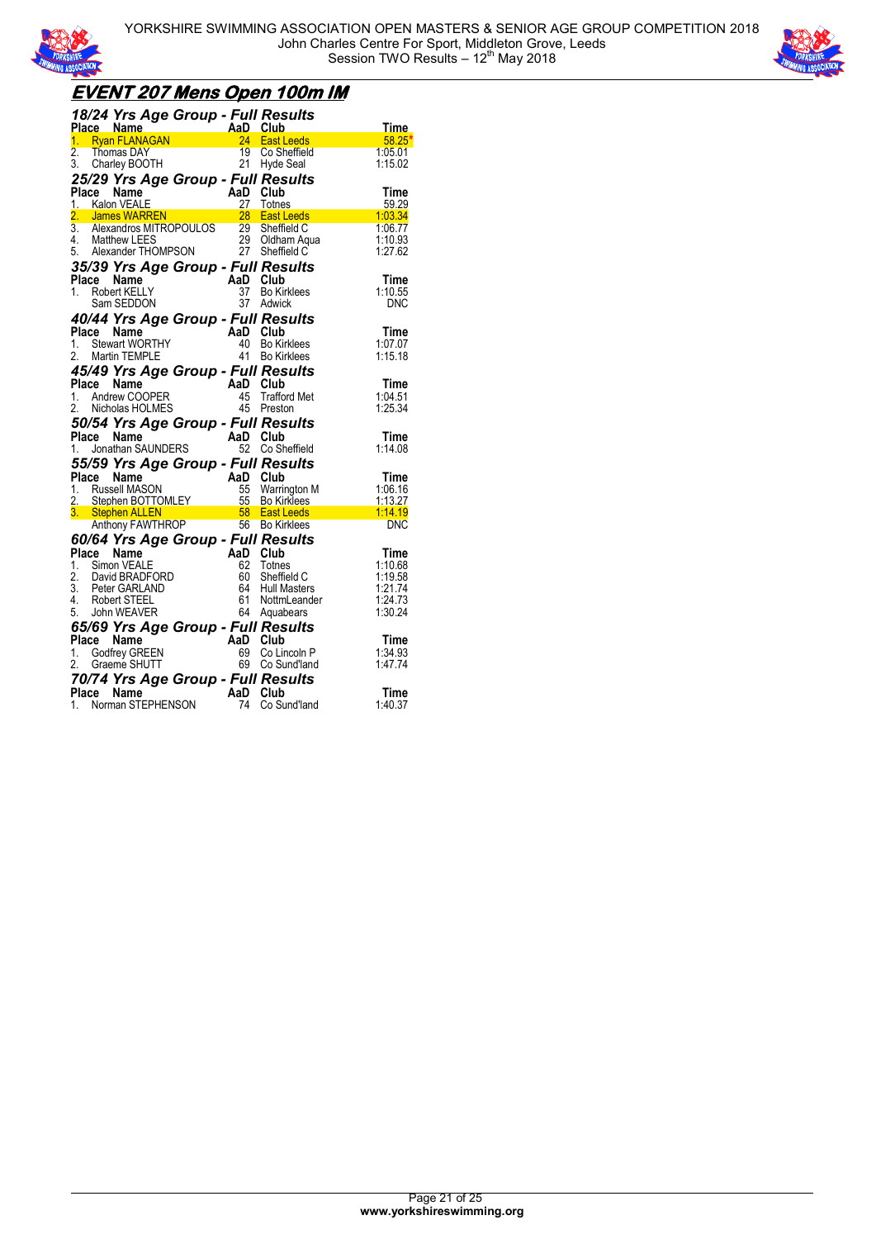



## **EVENT 207 Mens Open 100m IM**

|                  | <b>18/24 Yrs Age Group - Full Results<br/> Place Name AaD Club<br/> 1. Ryan FLANAGAN 24 East Leeds</b>                                                                                                                                         |                                    |            |                                                                                                                                                                            | <u>Time</u>           |
|------------------|------------------------------------------------------------------------------------------------------------------------------------------------------------------------------------------------------------------------------------------------|------------------------------------|------------|----------------------------------------------------------------------------------------------------------------------------------------------------------------------------|-----------------------|
|                  |                                                                                                                                                                                                                                                |                                    |            | an <b>Suuv</b><br><mark>24 East Leeds</mark><br>19 Co.Sheffert                                                                                                             | 58.25                 |
| $\overline{2}$ . | Thomas DAY                                                                                                                                                                                                                                     |                                    | 19         | Co Sheffield                                                                                                                                                               | 1:05.01               |
|                  | 3. Charley BOOTH                                                                                                                                                                                                                               | 21 Hyde Seal                       |            |                                                                                                                                                                            | 1:15.02               |
|                  | 25/29 Yrs Age Group - Full Results                                                                                                                                                                                                             |                                    |            |                                                                                                                                                                            |                       |
| Place            |                                                                                                                                                                                                                                                |                                    | AaD Club   |                                                                                                                                                                            |                       |
|                  | Name                                                                                                                                                                                                                                           |                                    |            |                                                                                                                                                                            | Time<br>59.29         |
|                  | 1. Kalon VEALE<br>2. James WARREN<br>2. James WARREN<br>3. Alexandros MITROPOULOS<br>4. Matthew LEES<br>5. Alexander THOMPSON<br>25/20 Varia Arra Cureage 2. The Thomas<br>25/20 Varia Arra Cureage 2. The Thomas<br>25/20 Varia Cureage 2. Th |                                    |            | <b>East Leeds</b>                                                                                                                                                          | $\frac{1}{2}$ 1:03.34 |
|                  |                                                                                                                                                                                                                                                |                                    |            |                                                                                                                                                                            | 1.06.77               |
|                  |                                                                                                                                                                                                                                                |                                    |            | Oldham Aqua                                                                                                                                                                | 1:10.93               |
|                  |                                                                                                                                                                                                                                                |                                    |            |                                                                                                                                                                            | 1:27.62               |
|                  | 35/39 Yrs Age Group - Full Results                                                                                                                                                                                                             |                                    |            |                                                                                                                                                                            |                       |
|                  | Place Name                                                                                                                                                                                                                                     | AaD Club<br>$\frac{37}{37}$ Bo Kir |            |                                                                                                                                                                            | Time                  |
|                  | 1. Robert KELLY                                                                                                                                                                                                                                |                                    |            | <b>Bo Kirklees</b>                                                                                                                                                         | 1:10.55               |
|                  | Sam SEDDON                                                                                                                                                                                                                                     |                                    |            | 37 Adwick                                                                                                                                                                  | <b>DNC</b>            |
|                  |                                                                                                                                                                                                                                                |                                    |            |                                                                                                                                                                            |                       |
|                  | 40/44 Yrs Age Group - Full Results<br>Place Name                                                                                                                                                                                               |                                    |            |                                                                                                                                                                            |                       |
|                  | 1. Stewart WORTHY                                                                                                                                                                                                                              | AaD Club<br>40 Bo Kin<br>41 Bo Kin |            | <b>Bo Kirklees</b>                                                                                                                                                         | Time<br>1:07.07       |
|                  | 2. Martin TEMPLE                                                                                                                                                                                                                               |                                    |            | <b>Bo Kirklees</b>                                                                                                                                                         | 1:15.18               |
|                  |                                                                                                                                                                                                                                                |                                    |            |                                                                                                                                                                            |                       |
|                  | 45/49 Yrs Age Group - Full Results                                                                                                                                                                                                             |                                    |            |                                                                                                                                                                            |                       |
| Place            | Name                                                                                                                                                                                                                                           | ina.<br>Kabupatèn                  | AaD Club   |                                                                                                                                                                            | Time                  |
|                  | 1. Andrew COOPER                                                                                                                                                                                                                               |                                    | 45         | <b>Trafford Met</b>                                                                                                                                                        | 1:04.51               |
|                  | 2. Nicholas HOLMES                                                                                                                                                                                                                             |                                    |            | 45 Preston                                                                                                                                                                 | 1:25.34               |
|                  | 50/54 Yrs Age Group - Full Results<br>Place Name - AaD Club                                                                                                                                                                                    |                                    |            |                                                                                                                                                                            |                       |
|                  | Place Name                                                                                                                                                                                                                                     |                                    | AaD Club   |                                                                                                                                                                            | Time                  |
| 1.               | Jonathan SAUNDERS                                                                                                                                                                                                                              |                                    |            | 52 Co Sheffield                                                                                                                                                            | 1:14.08               |
|                  | 55/59 Yrs Age Group - Full Results                                                                                                                                                                                                             |                                    |            |                                                                                                                                                                            |                       |
|                  |                                                                                                                                                                                                                                                |                                    |            | Place Name<br>1. Russell MASON<br>1. Russell MASON<br>2. Stephen BOTTOMLEY<br>3. Stephen ALLEN<br>Anthony FAWTHROP<br>56 Bo Kirklees<br>Anthony FAWTHROP<br>56 Bo Kirklees | Time                  |
|                  |                                                                                                                                                                                                                                                |                                    |            |                                                                                                                                                                            | 1:06.16               |
|                  |                                                                                                                                                                                                                                                |                                    |            |                                                                                                                                                                            | 1:13.27               |
|                  |                                                                                                                                                                                                                                                |                                    |            |                                                                                                                                                                            | 1:14.19               |
|                  |                                                                                                                                                                                                                                                |                                    |            |                                                                                                                                                                            | <b>DNC</b>            |
|                  | 60/64 Yrs Age Group - Full Results                                                                                                                                                                                                             |                                    |            |                                                                                                                                                                            |                       |
|                  | Place Name                                                                                                                                                                                                                                     |                                    | AaD Club   |                                                                                                                                                                            | Time                  |
|                  | 1. Simon VEALE                                                                                                                                                                                                                                 |                                    | 62         | Totnes                                                                                                                                                                     | 1:10.68               |
| 2.               | David BRADFORD                                                                                                                                                                                                                                 |                                    | 60         | Sheffield C                                                                                                                                                                | 1:19.58               |
|                  | 3. Peter GARLAND                                                                                                                                                                                                                               |                                    | 64         | <b>Hull Masters</b>                                                                                                                                                        | 1:21.74               |
|                  | 4. Robert STEEL                                                                                                                                                                                                                                |                                    | 61         | NottmLeander<br>Agusboare                                                                                                                                                  | 1:24.73               |
|                  | 5. John WEAVER                                                                                                                                                                                                                                 |                                    | 64         | Aquabears                                                                                                                                                                  | 1:30.24               |
|                  | 65/69 Yrs Age Group - Full Results                                                                                                                                                                                                             |                                    |            |                                                                                                                                                                            |                       |
|                  | riace <b>Name</b><br>1. Godfrey GREEN 69 Colub<br>2. Graeme SHUTT 60 Colum                                                                                                                                                                     |                                    |            |                                                                                                                                                                            | Time                  |
|                  |                                                                                                                                                                                                                                                |                                    |            | Co Lincoln P                                                                                                                                                               | 1:34.93               |
|                  |                                                                                                                                                                                                                                                |                                    |            | Co Sund'land                                                                                                                                                               | 1:47.74               |
|                  | 70/74 Yrs Age Group - Full Results                                                                                                                                                                                                             |                                    |            |                                                                                                                                                                            |                       |
|                  | Place Name                                                                                                                                                                                                                                     |                                    |            |                                                                                                                                                                            | Time                  |
|                  | 1. Norman STEPHENSON                                                                                                                                                                                                                           |                                    | $AaD$ Club | Co Sund'land                                                                                                                                                               | 1:40.37               |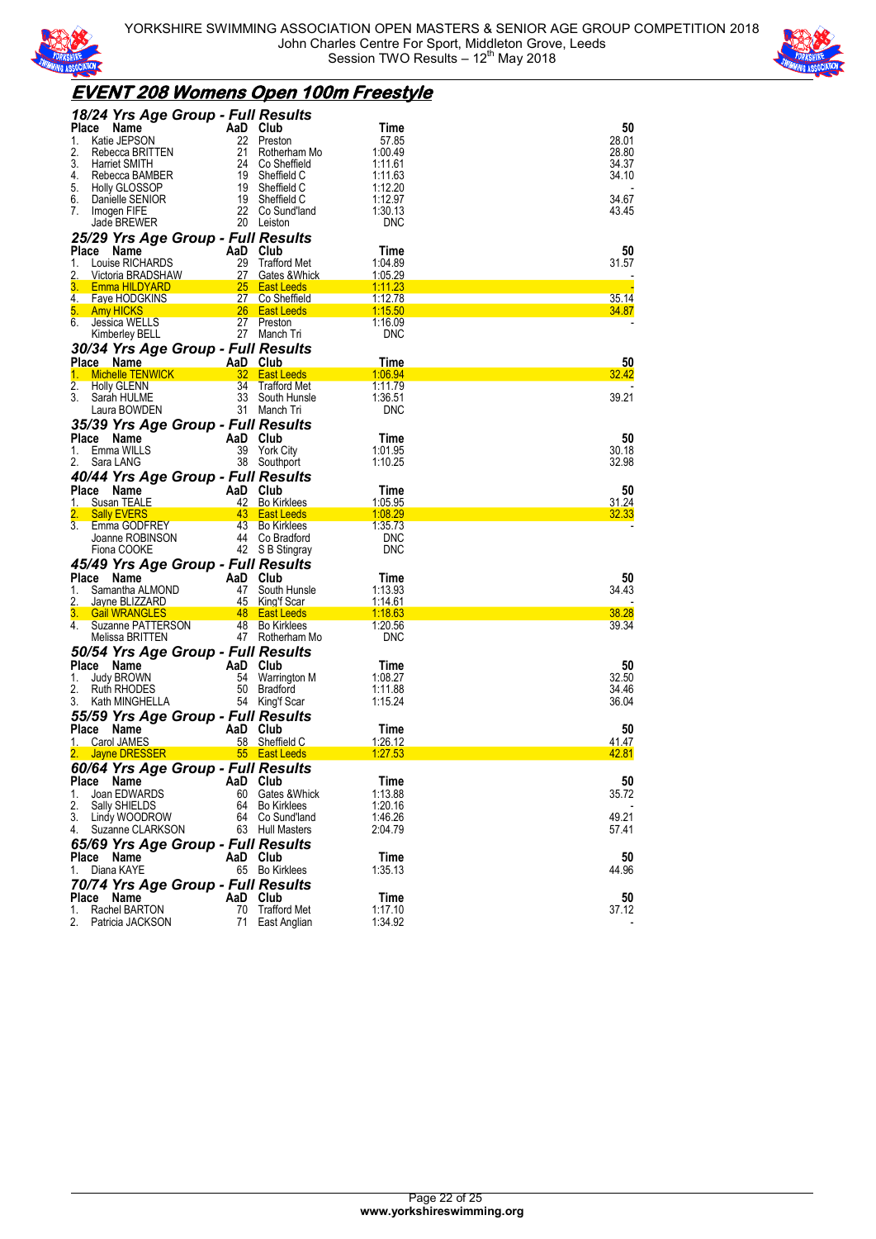



### **EVENT 208 Womens Open 100m Freestyle**

| 18/24 Yrs Age Group - Full Results                  |                 |                                      |                           |                |
|-----------------------------------------------------|-----------------|--------------------------------------|---------------------------|----------------|
| Place<br>Name                                       | AaD Club        |                                      | Time                      | 50             |
| Katie JEPSON<br>1.                                  | 22              | Preston                              | 57.85                     | 28.01          |
| 2.<br>Rebecca BRITTEN                               | 21              | Rotherham Mo                         | 1:00.49                   | 28.80          |
| 3.<br>Harriet SMITH                                 | 24              | Co Sheffield                         | 1:11.61                   | 34.37          |
| 4.<br>Rebecca BAMBER                                | 19              | Sheffield C                          | 1:11.63                   | 34.10          |
| 5.<br><b>Holly GLOSSOP</b>                          | 19              | Sheffield C                          | 1:12.20                   |                |
| 6.<br>Danielle SENIOR                               | 19              | Sheffield C                          | 1:12.97                   | 34.67          |
| 7.<br>Imogen FIFE                                   | 22              | Co Sund'land<br>20 Leiston           | 1:30.13<br><b>DNC</b>     | 43.45          |
| Jade BREWER                                         |                 |                                      |                           |                |
| 25/29 Yrs Age Group - Full Results                  |                 |                                      |                           |                |
| Place<br>Name                                       | AaD<br>29       | Club                                 | Time                      | 50             |
| Louise RICHARDS<br>1.<br>2.<br>Victoria BRADSHAW    | 27              | <b>Trafford Met</b><br>Gates & Whick | 1:04.89<br>1:05.29        | 31.57          |
| 3.<br>Emma HILDYARD                                 | 25              | <b>East Leeds</b>                    | 1:11.23                   |                |
| 4.<br><b>Faye HODGKINS</b>                          | 27              | Co Sheffield                         | 1:12.78                   | 35.14          |
| 5.<br><b>Amy HICKS</b>                              | 26 <sup>2</sup> | <b>East Leeds</b>                    | 1:15.50                   | 34.87          |
| 6.<br>Jessica WELLS                                 | 27              | Preston                              | 1:16.09                   |                |
| Kimberley BELL                                      | 27              | Manch Tri                            | <b>DNC</b>                |                |
| 30/34 Yrs Age Group - Full Results                  |                 |                                      |                           |                |
| Place Name                                          | AaD Club        |                                      | Time                      | 50             |
| 1.<br><b>Michelle TENWICK</b>                       | 32              | <b>East Leeds</b>                    | 1:06.94                   | 32.42          |
| 2.<br><b>Holly GLENN</b>                            | 34              | <b>Trafford Met</b>                  | 1:11.79                   |                |
| 3.<br>Sarah HULME                                   | 33              | South Hunsle                         | 1:36.51                   | 39.21          |
| Laura BOWDEN                                        |                 | 31 Manch Tri                         | <b>DNC</b>                |                |
| 35/39 Yrs Age Group - Full Results                  |                 |                                      |                           |                |
| Place<br>Name                                       | AaD Club        |                                      | Time                      | 50             |
| Emma WILLS<br>1.                                    | 39              | York City                            | 1:01.95                   | 30.18          |
| 2.<br>Sara LANG                                     |                 | 38 Southport                         | 1:10.25                   | 32.98          |
| 40/44 Yrs Age Group - Full Results                  |                 |                                      |                           |                |
| Place<br>Name                                       | AaD Club        |                                      | Time                      | 50             |
| Susan TEALE<br>1.                                   | 42              | <b>Bo Kirklees</b>                   | 1:05.95                   | 31.24          |
| 2.<br><b>Sally EVERS</b>                            | 43              | <b>East Leeds</b>                    | 1:08.29                   | 32.33          |
| 3.<br>Emma GODFREY                                  |                 | 43 Bo Kirklees                       | 1:35.73                   |                |
| Joanne ROBINSON                                     |                 | 44 Co Bradford                       | <b>DNC</b>                |                |
| Fiona COOKE                                         |                 | 42 S B Stingray                      | <b>DNC</b>                |                |
| 45/49 Yrs Age Group - Full Results                  |                 |                                      |                           |                |
| Place<br>Name                                       | AaD Club        |                                      | Time                      | 50             |
| Samantha ALMOND<br>1.<br>2.<br>Jayne BLIZZARD       | 47<br>45        | South Hunsle<br><b>King't Scar</b>   | 1:13.93<br><u>1:14.61</u> | 34.43          |
| 3.<br><b>Gail WRANGLES</b>                          |                 | 48 East Leeds                        | 1:18.63                   | 38.28          |
| 4.<br>Suzanne PATTERSON                             |                 | 48 Bo Kirklees                       | 1:20.56                   | 39.34          |
| Melissa BRITTEN                                     |                 | 47 Rotherham Mo                      | <b>DNC</b>                |                |
| 50/54 Yrs Age Group - Full Results                  |                 |                                      |                           |                |
|                                                     |                 |                                      |                           |                |
|                                                     |                 |                                      |                           |                |
| Place<br>Name<br>1.                                 | AaD<br>54       | Club                                 | Time                      | 50<br>32.50    |
| Judy BROWN<br>2.<br>Ruth RHODES                     | 50              | Warrington M                         | 1:08.27                   |                |
| 3.<br>Kath MINGHELLA                                |                 | Bradford<br>54 King'f Scar           | 1:11.88<br>1:15.24        | 34.46<br>36.04 |
|                                                     |                 |                                      |                           |                |
| 55/59 Yrs Age Group - Full Results                  |                 |                                      |                           |                |
| Place<br>Name<br><b>Carol JAMES</b><br>1.           | AaD Club<br>58  | Sheffield C                          | Time<br>1:26.12           | 50<br>41.47    |
| <b>Jayne DRESSER</b>                                |                 | 55 East Leeds                        | 1:27.53                   | 42.81          |
|                                                     |                 |                                      |                           |                |
| 60/64 Yrs Age Group - Full Results<br>Place<br>Name | AaD Club        |                                      | Time                      | 50             |
| Joan EDWARDS<br>1.                                  | 60              | Gates &Whick                         | 1:13.88                   | 35.72          |
| 2.<br>Sally SHIELDS                                 |                 | 64 Bo Kirklees                       | 1:20.16                   |                |
| 3.<br>Lindy WOODROW                                 |                 | 64 Co Sund'land                      | 1:46.26                   | 49.21          |
| 4.<br>Suzanne CLARKSON                              |                 | 63 Hull Masters                      | 2:04.79                   | 57.41          |
| 65/69 Yrs Age Group - Full Results                  |                 |                                      |                           |                |
| Place Name                                          | AaD Club        |                                      | Time                      | 50             |
| Diana KAYE<br>1.                                    |                 | 65 Bo Kirklees                       | 1:35.13                   | 44.96          |
|                                                     |                 |                                      |                           |                |
| 70/74 Yrs Age Group - Full Results<br>Name<br>Place | AaD Club        |                                      | Time                      | 50             |
| Rachel BARTON<br>1.                                 | 70              | <b>Trafford Met</b>                  | 1:17.10<br>1:34.92        | 37.12          |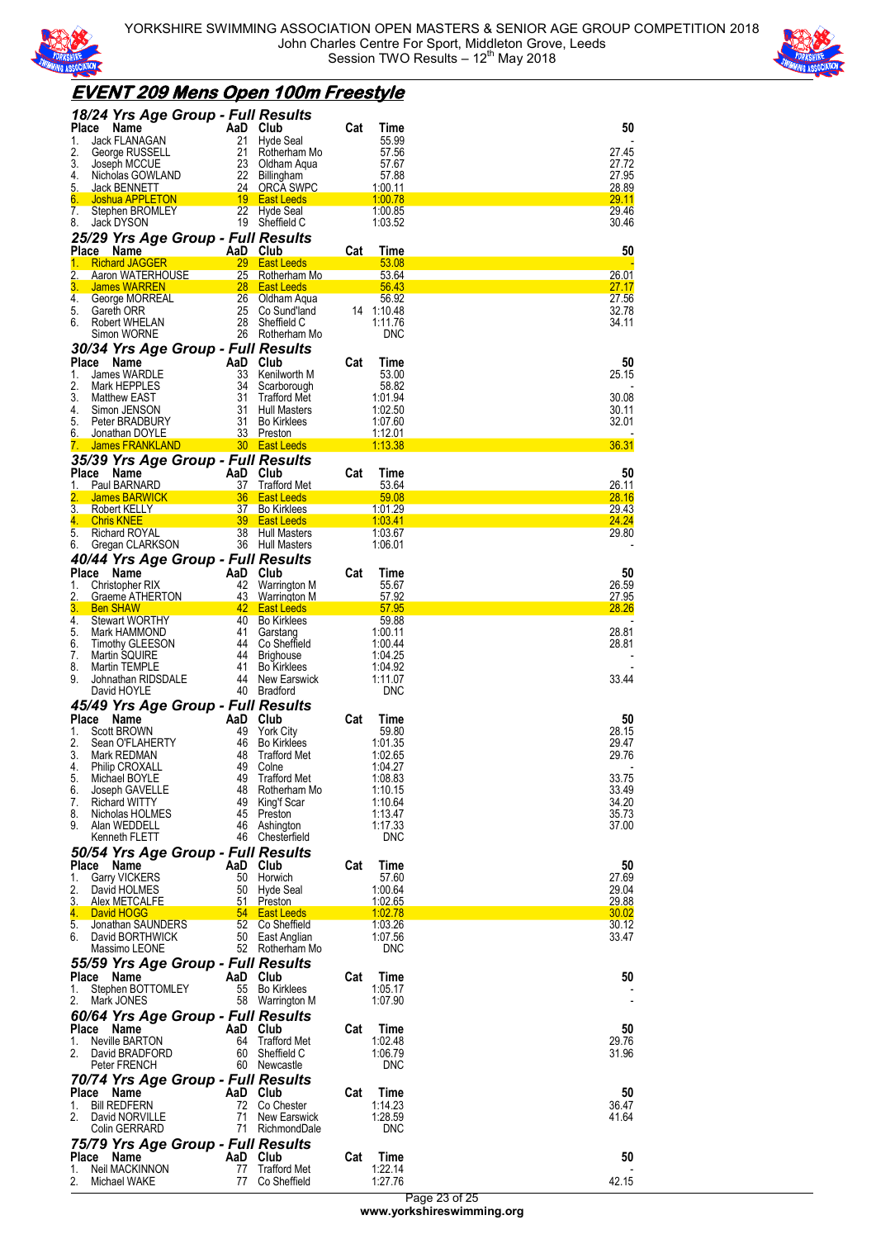



## **EVENT 209 Mens Open 100m Freestyle**

| 18/24 Yrs Age Group - Full Results                         |                |                                           |     |                    |                |
|------------------------------------------------------------|----------------|-------------------------------------------|-----|--------------------|----------------|
| <b>Place</b><br>Name                                       | AaD            | Club                                      | Cat | Time               | 50             |
| Jack FLANAGAN<br>1.                                        | 21             | Hyde Seal                                 |     | 55.99              |                |
| 2.<br>George RUSSELL<br>3.<br>Joseph MCCUE                 | 21<br>23       | Rotherham Mo<br>Oldham Aqua               |     | 57.56<br>57.67     | 27.45<br>27.72 |
| 4.<br>Nicholas GOWLAND                                     | 22             | <b>Billingham</b>                         |     | 57.88              | 27.95          |
| 5.<br><b>Jack BENNETT</b>                                  | 24             | <b>ORCA SWPC</b>                          |     | 1:00.11            | 28.89          |
| 6.<br>Joshua APPLETON                                      | 19             | <b>East Leeds</b>                         |     | 1:00.78            | <b>29.11</b>   |
| 7.<br>Stephen BROMLEY                                      | 22             | Hyde Seal                                 |     | 1:00.85            | 29.46          |
| 8.<br>Jack DYSON                                           | 19             | Sheffield C                               |     | 1:03.52            | 30.46          |
| 25/29 Yrs Age Group - Full Results                         |                |                                           |     |                    |                |
| <b>Place</b><br><b>Name</b><br><b>Richard JAGGER</b><br>1. | 29             | AaD Club<br><b>East Leeds</b>             | Cat | Time<br>53.08      | 50             |
| 2.<br>Aaron WATERHOUSE                                     | 25             | Rotherham Mo                              |     | 53.64              | <u> 26.01</u>  |
| 3.<br><b>James WARREN</b>                                  | 28             | <b>East Leeds</b>                         |     | 56.43              | 27.17          |
| 4.<br>George MORREAL                                       | 26             | Oldham Aqua                               |     | 56.92              | 27.56          |
| 5.<br>Gareth ORR                                           | 25             | Co Sund'land                              |     | 14 1:10.48         | 32.78          |
| 6.<br>Robert WHELAN<br>Simon WORNE                         | 28<br>26       | Sheffield C<br>Rotherham Mo               |     | 1:11.76<br>DNC     | 34.11          |
| 30/34 Yrs Age Group - Full Results                         |                |                                           |     |                    |                |
| Place<br>Name                                              | AaD            | Club                                      | Cat | Time               | 50             |
| James WARDLE<br>1.                                         | 33             | Kenilworth M                              |     | 53.00              | 25.15          |
| 2.<br>Mark HEPPLES                                         | 34             | Scarborough                               |     | 58.82              |                |
| 3.<br><b>Matthew EAST</b>                                  | 31             | <b>Trafford Met</b>                       |     | 1:01.94            | 30.08          |
| 4.<br>Simon JENSON                                         | 31             | <b>Hull Masters</b>                       |     | 1:02.50            | 30.11          |
| 5.<br>Peter BRADBURY<br>6.<br>Jonathan DOYLE               | 31<br>33       | <b>Bo Kirklees</b><br>Preston             |     | 1:07.60<br>1:12.01 | 32.01          |
| <b>James FRANKLAND</b><br>7.                               | 30             | <b>East Leeds</b>                         |     | 1:13.38            | 36.31          |
| 35/39 Yrs Age Group - Full Results                         |                |                                           |     |                    |                |
| <b>Place</b><br>Name                                       | AaD Club       |                                           | Cat | Time               | 50             |
| Paul BARNARD<br>1.                                         | 37             | <b>Trafford Met</b>                       |     | 53.64              | 26.11          |
| <b>James BARWICK</b>                                       | 36             | <b>East Leeds</b>                         |     | 59.08              | 28.16          |
| 3.<br>Robert KELLY                                         | 37             | <b>Bo Kirklees</b>                        |     | <u>1:01.29</u>     | 29.43          |
| 4.<br><b>Chris KNEE</b><br>5.<br>Richard ROYAL             | 39<br>38       | <b>East Leeds</b><br><b>Hull Masters</b>  |     | 1:03.41<br>1.03.67 | 24.24<br>29.80 |
| 6.<br>Gregan CLARKSON                                      |                | 36 Hull Masters                           |     | 1:06.01            |                |
| 40/44 Yrs Age Group - Full Results                         |                |                                           |     |                    |                |
| Place<br>Name                                              | AaD            | Club                                      | Cat | Time               | 50             |
| 1.<br>Christopher RIX                                      | 42             | Warrington M                              |     | 55.67              | 26.59          |
| 2.<br>Graeme ATHERTON                                      | 43             | <b>Warrington M</b>                       |     | 57.92              | 27.95          |
| 3.<br><b>Ben SHAW</b>                                      | 42             | <b>East Leeds</b>                         |     | 57.95              | 28.26          |
| 4.<br><b>Stewart WORTHY</b><br>5.<br>Mark HAMMOND          | 40<br>41       | <b>Bo Kirklees</b><br>Garstang            |     | 59.88<br>1:00.11   | 28.81          |
|                                                            |                |                                           |     |                    |                |
|                                                            |                |                                           |     |                    |                |
| 6.<br><b>Timothy GLEESON</b><br>7.<br>Martin SQUIRE        | 44<br>44       | Co Sheffield<br><b>Brighouse</b>          |     | 1:00.44<br>1:04.25 | 28.81          |
| 8.<br>Martin TEMPLE                                        | 41             | <b>Bo Kirklees</b>                        |     | 1:04.92            |                |
| 9.<br>Johnathan RIDSDALE                                   | 44             | New Earswick                              |     | 1:11.07            | 33.44          |
| David HOYLE                                                | 40             | <b>Bradford</b>                           |     | <b>DNC</b>         |                |
| 45/49 Yrs Age Group - Full Results                         |                |                                           |     |                    |                |
| <b>Place</b><br>Name                                       | AaD            | Club                                      | Cat | Time               | 50             |
| Scott BROWN<br>1.                                          | 49             | <b>York City</b>                          |     | 59.80              | 28.15          |
| 2.<br>Sean O'FLAHERTY<br>3.<br>Mark REDMAN                 | 46<br>48       | <b>Bo Kirklees</b><br><b>Trafford Met</b> |     | 1:01.35<br>1:02.65 | 29.47<br>29.76 |
| Philip CROXALL<br>4.                                       |                | 49 Colne                                  |     | 1:04.27            |                |
| 5.<br>Michael BOYLE                                        |                | 49 Trafford Met                           |     | 1:08.83            | 33.75          |
| 6.<br>Joseph GAVELLE                                       |                | 48 Rotherham Mo                           |     | 1:10.15            | 33.49          |
| 7.<br><b>Richard WITTY</b>                                 |                | 49 King'f Scar                            |     | 1:10.64            | 34.20          |
| Nicholas HOLMES<br>8.<br>9.<br>Alan WEDDELL                |                | 45 Preston<br>46 Ashington                |     | 1:13.47<br>1:17.33 | 35.73<br>37.00 |
| Kenneth FLETT                                              |                | 46 Chesterfield                           |     | <b>DNC</b>         |                |
| 50/54 Yrs Age Group - Full Results                         |                |                                           |     |                    |                |
| Place Name                                                 | AaD Club       |                                           | Cat | Time               | 50             |
| <b>Garry VICKERS</b><br>1.                                 |                | 50 Horwich                                |     | 57.60              | 27.69          |
| 2.<br>David HOLMES                                         |                | 50 Hyde Seal                              |     | 1:00.64            | 29.04          |
| 3.<br>Alex METCALFE<br>4.<br>David HOGG                    | 51             | Preston<br>54 East Leeds                  |     | 1:02.65<br>1:02.78 | 29.88<br>30.02 |
| 5.<br>Jonathan SAUNDERS                                    |                | 52 Co Sheffield                           |     | 1:03.26            | 30.12          |
| 6. David BORTHWICK                                         |                | 50 East Anglian                           |     | 1:07.56            | 33.47          |
| Massimo LEONE                                              |                | 52 Rotherham Mo                           |     | <b>DNC</b>         |                |
| 55/59 Yrs Age Group - Full Results                         |                |                                           |     |                    |                |
| Place Name                                                 | AaD Club       |                                           | Cat | Time               | 50             |
| Stephen BOTTOMLEY<br>1.                                    |                | 55 Bo Kirklees                            |     | 1:05.17            |                |
| 2.<br>Mark JONES                                           |                | 58 Warrington M                           |     | 1:07.90            |                |
| 60/64 Yrs Age Group - Full Results                         |                |                                           |     |                    |                |
| Place Name<br>1.<br>Neville BARTON                         | AaD Club<br>64 | <b>Trafford Met</b>                       | Cat | Time<br>1:02.48    | 50<br>29.76    |
| 2.<br>David BRADFORD                                       | 60             | Sheffield C                               |     | 1:06.79            | 31.96          |
| Peter FRENCH                                               |                | 60 Newcastle                              |     | <b>DNC</b>         |                |
| 70/74 Yrs Age Group - Full Results                         |                |                                           |     |                    |                |
| Place Name                                                 | AaD Club       |                                           | Cat | Time               | 50             |
| <b>Bill REDFERN</b><br>1.                                  |                | 72 Co Chester                             |     | 1:14.23            | 36.47          |
| 2.<br>David NORVILLE                                       | 71             | New Earswick                              |     | 1:28.59            | 41.64          |
| Colin GERRARD                                              |                | 71 RichmondDale                           |     | <b>DNC</b>         |                |
| 75/79 Yrs Age Group - Full Results                         |                |                                           |     |                    |                |
| Place Name<br>Neil MACKINNON<br>1.                         | AaD Club<br>77 | <b>Trafford Met</b>                       | Cat | Time<br>1:22.14    | 50             |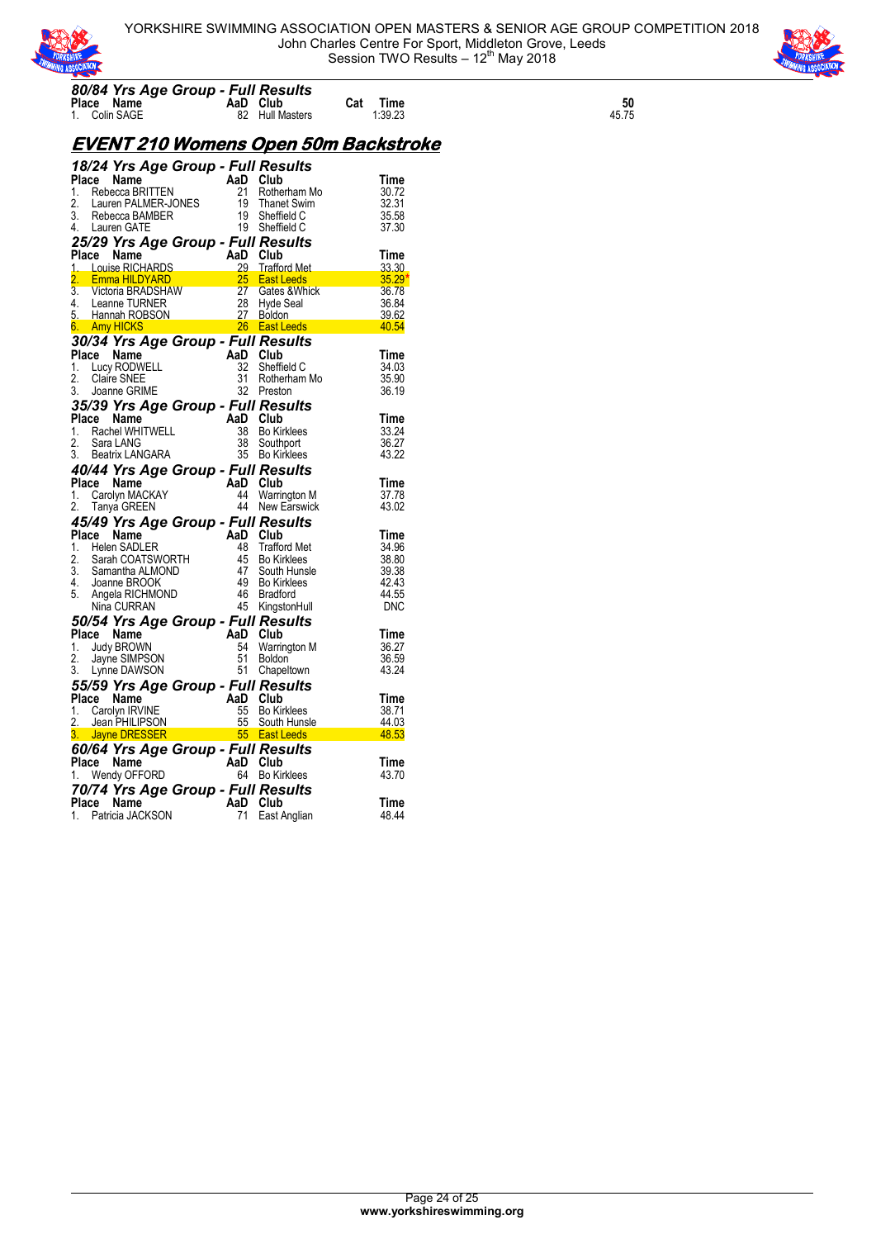



## **Place Name 61 AaD Club Cat Time 61**<br>1. Colin SAGE 62 Hull Masters 1:39.23 45.75 **EVENT 210 Womens Open 50m Backstroke**

*80/84 Yrs Age Group - Full Results*

| <b>18/24 Yrs Age Group - Full Results<br/> Place Name AaD Club<br/> 1. Rebecca BRITTEN 21 Rotherham Mo<br/> 2. Lauren PALMER-JONES 19 Thanet Swim<br/> 3. Rebecca BAMBER 19 Sheffield C<br/> 4. Lauren GATE 19 Sheffield C<br/> 4. Lauren GATE 19 Sheffi</b> |                       |             |
|--------------------------------------------------------------------------------------------------------------------------------------------------------------------------------------------------------------------------------------------------------------|-----------------------|-------------|
|                                                                                                                                                                                                                                                              |                       | Time        |
|                                                                                                                                                                                                                                                              |                       | 30.72       |
|                                                                                                                                                                                                                                                              |                       | 32.31       |
|                                                                                                                                                                                                                                                              |                       | 35.58       |
|                                                                                                                                                                                                                                                              |                       | 37.30       |
| 25/29 Yrs Age Group - Full Results                                                                                                                                                                                                                           |                       |             |
|                                                                                                                                                                                                                                                              |                       |             |
|                                                                                                                                                                                                                                                              |                       |             |
|                                                                                                                                                                                                                                                              |                       |             |
|                                                                                                                                                                                                                                                              |                       |             |
|                                                                                                                                                                                                                                                              |                       |             |
|                                                                                                                                                                                                                                                              |                       |             |
| 25/29 Trs Age Group - Furn Resurs<br>Place Name AaD Club<br>1. Louise RICHARDS 28 Trafford Met 33.30<br>2. Emma HILDYARD 25 East Leeds 35.29<br>3. Victoria BRADSHAW 27 Gates & Whick 36.78<br>4. Leanne TURNER 28 Hyde Seal 36.84<br>5. H                   |                       |             |
| <b>30/34 Yrs Age Group - Full Results<br/> Place Name AaD Club<br/> 1. Lucy RODWELL 32 Sheffield C<br/> 2. Claire SNEE 31 Rotherham Mo<br/> 3. Joanne GRIME 32 Preston</b>                                                                                   |                       |             |
|                                                                                                                                                                                                                                                              |                       | Time        |
|                                                                                                                                                                                                                                                              |                       | 34.03       |
|                                                                                                                                                                                                                                                              | 31 Rotherham Mo       | 35.90       |
| 3. Joanne GRIME                                                                                                                                                                                                                                              | 32 Preston            | 36.19       |
| <b>35/39 Yrs Age Group - Full Results<br/> Place Name AaD Club<br/> 1. Rachel WHITWELL 38 Bo Kirklees<br/> 2. Sara LANG 38 Southport<br/> 3. Beatrix LANGARA 35 Bo Kirklees</b>                                                                              |                       |             |
|                                                                                                                                                                                                                                                              |                       | Time        |
|                                                                                                                                                                                                                                                              |                       | 33.24       |
|                                                                                                                                                                                                                                                              |                       | 36.27       |
|                                                                                                                                                                                                                                                              |                       | 43.22       |
| <b>40/44 Yrs Age Group - Full Results<br/>Place Name AaD Club<br/>1. Carolyn MACKAY 44 Warrington M<br/>2. Tanya GREEN 44 New Earswick</b>                                                                                                                   |                       |             |
|                                                                                                                                                                                                                                                              |                       | Time        |
|                                                                                                                                                                                                                                                              | 44 Warrington M       | 37.78       |
|                                                                                                                                                                                                                                                              |                       | 43.02       |
| 2. Tanya Green<br><b>45/49 Yrs Age Group - Full Results<br/> Place Name AaDLER</b><br>2. Sarah COATSWORTH<br>2. Sarah COATSWORTH<br>3. Samantha ALMOND<br>4. Joanne BROOK<br>5. Angela RICHMOND<br>5. Angela RICHMOND<br>5. Angela RICHMOND<br>5. Angela     |                       |             |
|                                                                                                                                                                                                                                                              |                       | <b>Time</b> |
|                                                                                                                                                                                                                                                              |                       | 34.96       |
|                                                                                                                                                                                                                                                              |                       | 38.80       |
|                                                                                                                                                                                                                                                              |                       | 39.38       |
|                                                                                                                                                                                                                                                              |                       | 42.43       |
|                                                                                                                                                                                                                                                              |                       | 44.55       |
|                                                                                                                                                                                                                                                              |                       | DNC         |
| <b>50/54 Yrs Age Group - Full Results<br/> Place Name AaD Club<br/> 1. Judy BROWN 54 Warrington M<br/> 2. Jayne SIMPSON 51 Boldon<br/> 3. Lynne DAWSON 51 Chapeltown</b>                                                                                     |                       |             |
|                                                                                                                                                                                                                                                              |                       | Time        |
|                                                                                                                                                                                                                                                              | 54 Warrington M       | 36.27       |
|                                                                                                                                                                                                                                                              |                       | 36.59       |
|                                                                                                                                                                                                                                                              |                       | 43.24       |
|                                                                                                                                                                                                                                                              |                       |             |
|                                                                                                                                                                                                                                                              |                       | Time        |
|                                                                                                                                                                                                                                                              |                       | 38.71       |
|                                                                                                                                                                                                                                                              |                       |             |
| 55/59 Yrs Age Group - Full Results<br>Place Name<br>1. Carolyn IRVINE<br>2. Jean PHILIPSON 55 Bo Kirklees<br>3. Jayne DRESSER 55 East Leeds                                                                                                                  | $\frac{44.03}{48.53}$ |             |
| <b>60/64 Yrs Age Group - Full Results<br/>Place Name AaD Club<br/>1. Wendy OFFORD 64 Bo Kirklees</b>                                                                                                                                                         |                       |             |
|                                                                                                                                                                                                                                                              |                       | Time        |
|                                                                                                                                                                                                                                                              |                       | 43.70       |
| 70/74 Yrs Age Group - Full Results                                                                                                                                                                                                                           |                       |             |
| Place Name                                                                                                                                                                                                                                                   |                       | Time        |
| $\begin{array}{c} \overline{a} \\ AaD \\ \overline{b} \\ \overline{c} \end{array}$ Club<br>1. Patricia JACKSON                                                                                                                                               | East Anglian          | 48.44       |
|                                                                                                                                                                                                                                                              |                       |             |